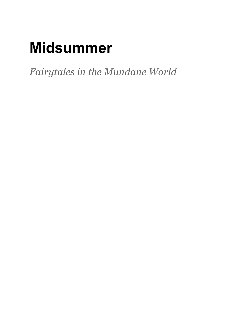# **Midsummer**

*Fairytales in the Mundane World*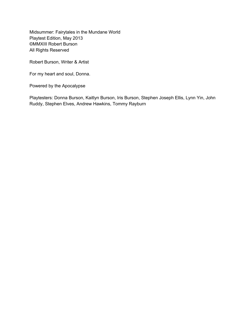Midsummer: Fairytales in the Mundane World Playtest Edition, May 2013 ©MMXIII Robert Burson All Rights Reserved

Robert Burson, Writer & Artist

For my heart and soul, Donna.

Powered by the Apocalypse

Playtesters: Donna Burson, Kaitlyn Burson, Iris Burson, Stephen Joseph Ellis, Lynn Yin, John Ruddy, Stephen Elves, Andrew Hawkins, Tommy Rayburn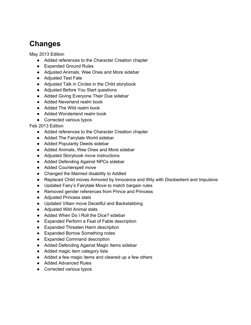# <span id="page-2-0"></span>**Changes**

May 2013 Edition

- Added references to the Character Creation chapter
- Expanded Ground Rules
- Adjusted Animals, Wee Ones and More sidebar
- Adjusted Test Fate
- Adjusted Talk in Circles in the Child storybook
- Adjusted Before You Start questions
- Added Giving Everyone Their Due sidebar
- Added Neverland realm book
- Added The Wild realm book
- Added Wonderland realm book
- Corrected various typos

Feb 2013 Edition

- Added references to the Character Creation chapter
- Added The Fairytale World sidebar
- Added Popularity Deeds sidebar
- Added Animals, Wee Ones and More sidebar
- Adjusted Storybook move instructions
- Added Defending Against NPCs sidebar
- Added Counterspell move
- Changed the Maimed disability to Addled
- Replaced Child moves Armored by Innocence and Wily with Disobedient and Impulsive
- Updated Fairy's Fairytale Move to match bargain rules
- Removed gender references from Prince and Princess
- Adjusted Princess stats
- Updated Villain move Deceitful and Backstabbing
- Adjusted Wild Animal stats
- Added When Do I Roll the Dice? sidebar
- Expanded Perform a Feat of Fable description
- Expanded Threaten Harm description
- Expanded Borrow Something notes
- Expanded Command description
- Added Defending Against Magic Items sidebar
- Added magic item category lists
- Added a few magic items and cleaned up a few others
- Added Advanced Rules
- Corrected various typos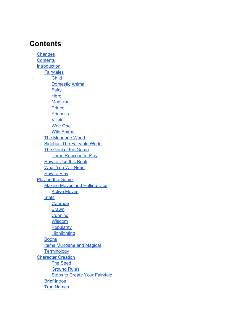### **Contents**

**[Changes](#page-2-0) Contents** [Introduction](#page-13-0) **[Fairytales](#page-13-0) [Child](#page-13-0)** [Domestic](#page-13-0) [Animal](#page-13-0) **[Fairy](#page-13-0) [Hero](#page-13-0) [Magician](#page-14-0) [Prince](#page-14-0) [Princess](#page-14-0) [Villain](#page-14-0)** [Wee](#page-14-0) [One](#page-14-0) [Wild](#page-14-0) [Animal](#page-14-0) [The](#page-14-0) [Mundane](#page-14-0) [World](#page-14-0) [Sidebar: The](#page-15-0) [Fairytale](#page-15-0) [World](#page-15-0) [The](#page-15-0) [Goal](#page-15-0) [of](#page-15-0) [the](#page-15-0) [Game](#page-15-0) [Three](#page-15-0) [Reasons](#page-15-0) [to](#page-15-0) [Play](#page-15-0) [How](#page-15-0) [to](#page-15-0) [Use](#page-15-0) [this](#page-15-0) [Book](#page-15-0) [What](#page-15-0) [You](#page-15-0) [Will](#page-15-0) [Need](#page-15-0) [How](#page-16-0) [to](#page-16-0) [Play](#page-16-0) [Playing](#page-17-0) [the](#page-17-0) [Game](#page-17-0) [Making](#page-17-0) [Moves](#page-17-0) [and](#page-17-0) [Rolling](#page-17-0) [Dice](#page-17-0) **[Active](#page-17-0) [Moves](#page-17-0) [Stats](#page-17-0) [Courage](#page-17-0) [Brawn](#page-17-0) [Cunning](#page-18-0) [Wisdom](#page-18-0) [Popularity](#page-18-0) [Highlighting](#page-18-0) [Boons](#page-18-0)** [Items](#page-18-0) [Mundane](#page-18-0) [and](#page-18-0) [Magical](#page-18-0) **[Terminology](#page-19-0) [Character](#page-20-0) [Creation](#page-20-0)** [The](#page-20-0) [Seed](#page-20-0) [Ground](#page-20-0) [Rules](#page-20-0) **[Steps](#page-20-0) [to](#page-20-0) [Create](#page-20-0) [Your](#page-20-0) [Fairytale](#page-20-0)** [Brief](#page-21-0) [Intros](#page-21-0) [True](#page-21-0) [Names](#page-21-0)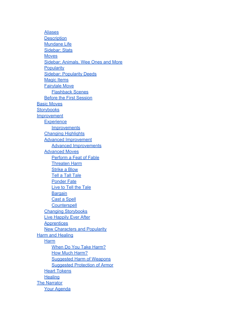[Aliases](#page-21-0) **[Description](#page-22-0)** [Mundane](#page-22-0) [Life](#page-22-0) [Sidebar: Stats](#page-22-0) **[Moves](#page-22-0)** [Sidebar: Animals, Wee](#page-22-0) [Ones](#page-22-0) [and](#page-22-0) [More](#page-22-0) **[Popularity](#page-23-0)** [Sidebar: Popularity](#page-23-0) [Deeds](#page-23-0) [Magic](#page-23-0) [Items](#page-23-0) [Fairytale](#page-24-0) [Move](#page-24-0) [Flashback](#page-24-0) [Scenes](#page-24-0) [Before](#page-24-0) [the](#page-24-0) [First](#page-24-0) [Session](#page-24-0) **[Basic](#page-25-0) [Moves](#page-25-0) [Storybooks](#page-26-0)** [Improvement](#page-27-0) **[Experience](#page-27-0) [Improvements](#page-27-0)** [Changing](#page-27-0) [Highlights](#page-27-0) [Advanced](#page-27-0) [Improvement](#page-27-0) [Advanced](#page-27-0) [Improvements](#page-27-0) [Advanced](#page-28-0) [Moves](#page-28-0) [Perform](#page-28-0) [a](#page-28-0) [Feat](#page-28-0) [of](#page-28-0) [Fable](#page-28-0) [Threaten](#page-28-0) [Harm](#page-28-0) [Strike](#page-28-0) [a](#page-28-0) [Blow](#page-28-0) [Tell](#page-28-0) [a](#page-28-0) [Tall](#page-28-0) [Tale](#page-28-0) [Ponder](#page-28-0) [Fate](#page-28-0) [Live](#page-28-0) [to](#page-28-0) [Tell](#page-28-0) [the](#page-28-0) [Tale](#page-28-0) **[Bargain](#page-28-0)** [Cast](#page-28-0) [a](#page-28-0) [Spell](#page-28-0) **[Counterspell](#page-28-0)** [Changing](#page-29-0) [Storybooks](#page-29-0) [Live](#page-29-0) [Happily](#page-29-0) [Ever](#page-29-0) [After](#page-29-0) **[Apprentices](#page-29-0)** [New](#page-29-0) [Characters](#page-29-0) [and](#page-29-0) [Popularity](#page-29-0) [Harm](#page-30-0) [and](#page-30-0) [Healing](#page-30-0) [Harm](#page-30-0) [When](#page-30-0) [Do](#page-30-0) [You](#page-30-0) [Take](#page-30-0) [Harm?](#page-30-0) [How](#page-30-0) [Much](#page-30-0) [Harm?](#page-30-0) [Suggested](#page-30-0) [Harm](#page-30-0) [of](#page-30-0) [Weapons](#page-30-0) [Suggested](#page-31-0) [Protection](#page-31-0) [of](#page-31-0) [Armor](#page-31-0) [Heart](#page-31-0) [Tokens](#page-31-0) **[Healing](#page-31-0)** [The](#page-32-0) [Narrator](#page-32-0) [Your](#page-32-0) [Agenda](#page-32-0)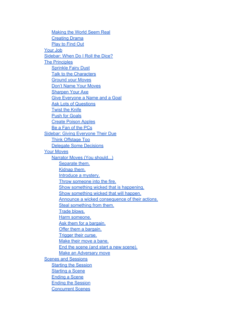[Making](#page-32-0) [the](#page-32-0) [World](#page-32-0) [Seem](#page-32-0) [Real](#page-32-0) [Creating](#page-33-0) [Drama](#page-33-0) [Play](#page-33-0) [to](#page-33-0) [Find](#page-33-0) [Out](#page-33-0) [Your](#page-33-0) [Job](#page-33-0) [Sidebar: When](#page-34-0) [Do](#page-34-0) [I](#page-34-0) [Roll](#page-34-0) [the](#page-34-0) [Dice?](#page-34-0) [The](#page-34-0) [Principles](#page-34-0) [Sprinkle](#page-35-0) [Fairy](#page-35-0) [Dust](#page-35-0) [Talk](#page-35-0) [to](#page-35-0) [the](#page-35-0) [Characters](#page-35-0) [Ground](#page-35-0) [your](#page-35-0) [Moves](#page-35-0) [Don't](#page-35-0) [Name](#page-35-0) [Your](#page-35-0) [Moves](#page-35-0) [Sharpen](#page-36-0) [Your](#page-36-0) [Axe](#page-36-0) [Give](#page-36-0) [Everyone](#page-36-0) [a](#page-36-0) [Name](#page-36-0) [and](#page-36-0) [a](#page-36-0) [Goal](#page-36-0) [Ask](#page-36-0) [Lots](#page-36-0) [of](#page-36-0) [Questions](#page-36-0) [Twist](#page-36-0) [the](#page-36-0) [Knife](#page-36-0) [Push](#page-37-0) [for](#page-37-0) [Goals](#page-37-0) [Create](#page-37-0) [Poison](#page-37-0) [Apples](#page-37-0) [Be](#page-37-0) [a](#page-37-0) [Fan](#page-37-0) [of](#page-37-0) [the](#page-37-0) [PCs](#page-37-0) [Sidebar: Giving](#page-37-0) [Everyone](#page-37-0) [Their](#page-37-0) [Due](#page-37-0) [Think](#page-38-0) [Offstage](#page-38-0) [Too](#page-38-0) [Delegate](#page-38-0) [Some](#page-38-0) [Decisions](#page-38-0) [Your](#page-38-0) [Moves](#page-38-0) [Narrator](#page-39-0) [Moves \(You](#page-39-0) [should...\)](#page-39-0) [Separate](#page-39-0) [them.](#page-39-0) [Kidnap](#page-39-0) [them.](#page-39-0) [Introduce](#page-39-0) [a](#page-39-0) [mystery.](#page-39-0) [Throw](#page-39-0) [someone](#page-39-0) [into](#page-39-0) [the](#page-39-0) [fire.](#page-39-0) [Show](#page-39-0) [something](#page-39-0) [wicked](#page-39-0) [that](#page-39-0) [is](#page-39-0) [happening.](#page-39-0) [Show](#page-39-0) [something](#page-39-0) [wicked](#page-39-0) [that](#page-39-0) [will](#page-39-0) [happen.](#page-39-0) [Announce](#page-39-0) [a](#page-39-0) [wicked](#page-39-0) [consequence](#page-39-0) [of](#page-39-0) [their](#page-39-0) [actions.](#page-39-0) [Steal](#page-40-0) [something](#page-40-0) [from](#page-40-0) [them.](#page-40-0) [Trade](#page-40-0) [blows.](#page-40-0) [Harm](#page-40-0) [someone.](#page-40-0) [Ask](#page-40-0) [them](#page-40-0) [for](#page-40-0) [a](#page-40-0) [bargain.](#page-40-0) [Offer](#page-40-0) [them](#page-40-0) [a](#page-40-0) [bargain.](#page-40-0) [Trigger](#page-40-0) [their](#page-40-0) [curse.](#page-40-0) [Make](#page-40-0) [their](#page-40-0) [move](#page-40-0) [a](#page-40-0) [bane.](#page-40-0) [End](#page-40-0) [the](#page-40-0) [scene \(and](#page-40-0) [start](#page-40-0) [a](#page-40-0) [new](#page-40-0) [scene\).](#page-40-0) [Make](#page-41-0) [an](#page-41-0) [Adversary](#page-41-0) [move](#page-41-0) [Scenes](#page-41-0) [and](#page-41-0) [Sessions](#page-41-0) [Starting](#page-41-0) [the](#page-41-0) [Session](#page-41-0) **[Starting](#page-41-0) [a](#page-41-0) [Scene](#page-41-0)** [Ending](#page-41-0) [a](#page-41-0) [Scene](#page-41-0) [Ending](#page-41-0) [the](#page-41-0) [Session](#page-41-0) [Concurrent](#page-42-0) [Scenes](#page-42-0)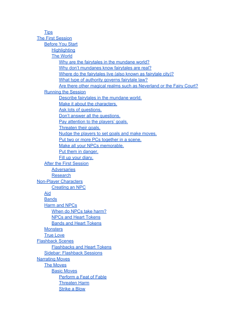**[Tips](#page-42-0)** [The](#page-44-0) [First](#page-44-0) [Session](#page-44-0) [Before](#page-44-0) [You](#page-44-0) [Start](#page-44-0) **[Highlighting](#page-44-0)** [The](#page-44-0) [World](#page-44-0) [Why](#page-44-0) [are](#page-44-0) [the](#page-44-0) [fairytales](#page-44-0) [in](#page-44-0) the [mundane](#page-44-0) [world?](#page-44-0) [Why](#page-45-0) [don't](#page-45-0) [mundanes](#page-45-0) [know](#page-45-0) [fairytales](#page-45-0) [are](#page-45-0) [real?](#page-45-0) [Where](#page-45-0) [do](#page-45-0) [the](#page-45-0) [fairytales](#page-45-0) [live \(also](#page-45-0) [known](#page-45-0) [as](#page-45-0) [fairytale](#page-45-0) [city\)?](#page-45-0) [What](#page-45-0) [type](#page-45-0) [of](#page-45-0) [authority](#page-45-0) [governs](#page-45-0) [fairytale](#page-45-0) [law?](#page-45-0) [Are](#page-45-0) [there](#page-45-0) [other](#page-45-0) [magical](#page-45-0) [realms](#page-45-0) [such](#page-45-0) [as](#page-45-0) [Neverland](#page-45-0) [or](#page-45-0) [the](#page-45-0) [Fairy](#page-45-0) [Court?](#page-45-0) [Running](#page-45-0) [the](#page-45-0) [Session](#page-45-0) [Describe](#page-45-0) [fairytales](#page-45-0) [in](#page-45-0) [the](#page-45-0) [mundane](#page-45-0) [world.](#page-45-0) [Make](#page-46-0) [it](#page-46-0) [about](#page-46-0) [the](#page-46-0) [characters.](#page-46-0) [Ask](#page-46-0) [lots](#page-46-0) [of](#page-46-0) [questions.](#page-46-0) [Don't](#page-46-0) [answer](#page-46-0) [all](#page-46-0) [the](#page-46-0) [questions.](#page-46-0) [Pay](#page-46-0) [attention](#page-46-0) [to](#page-46-0) [the](#page-46-0) [players' goals.](#page-46-0) [Threaten](#page-46-0) [their](#page-46-0) [goals.](#page-46-0) [Nudge](#page-47-0) [the](#page-47-0) [players](#page-47-0) [to](#page-47-0) [set](#page-47-0) [goals](#page-47-0) [and](#page-47-0) [make](#page-47-0) [moves.](#page-47-0) [Put](#page-47-0) [two](#page-47-0) [or](#page-47-0) [more](#page-47-0) [PCs](#page-47-0) [together](#page-47-0) [in](#page-47-0) [a](#page-47-0) [scene.](#page-47-0) [Make](#page-47-0) [all](#page-47-0) [your](#page-47-0) [NPCs](#page-47-0) [memorable.](#page-47-0) [Put](#page-47-0) [them](#page-47-0) [in](#page-47-0) [danger.](#page-47-0) [Fill](#page-47-0) [up](#page-47-0) [your](#page-47-0) [diary.](#page-47-0) [After](#page-48-0) [the](#page-48-0) [First](#page-48-0) [Session](#page-48-0) **[Adversaries](#page-48-0)** [Research](#page-48-0) [Non-Player](#page-50-0) [Characters](#page-50-0) [Creating](#page-50-0) [an](#page-50-0) [NPC](#page-50-0) [Aid](#page-50-0) **[Bands](#page-51-0)** [Harm](#page-51-0) [and](#page-51-0) [NPCs](#page-51-0) [When](#page-51-0) [do](#page-51-0) [NPCs](#page-51-0) [take](#page-51-0) [harm?](#page-51-0) [NPCs](#page-51-0) [and](#page-51-0) [Heart](#page-51-0) [Tokens](#page-51-0) [Bands](#page-51-0) [and](#page-51-0) [Heart](#page-51-0) [Tokens](#page-51-0) **[Monsters](#page-52-0)** [True](#page-52-0) [Love](#page-52-0) [Flashback](#page-53-0) [Scenes](#page-53-0) [Flashbacks](#page-53-0) [and](#page-53-0) [Heart](#page-53-0) [Tokens](#page-53-0) [Sidebar: Flashback](#page-53-0) [Sessions](#page-53-0) [Narrating](#page-54-0) [Moves](#page-54-0) [The](#page-54-0) [Moves](#page-54-0) [Basic](#page-54-0) [Moves](#page-54-0) [Perform](#page-54-0) [a](#page-54-0) [Feat](#page-54-0) [of](#page-54-0) [Fable](#page-54-0) [Threaten](#page-54-0) [Harm](#page-54-0)

[Strike](#page-55-0) [a](#page-55-0) [Blow](#page-55-0)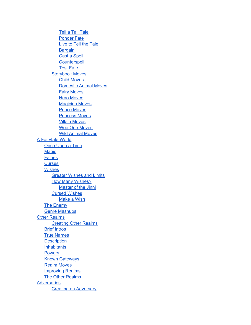[Tell](#page-55-0) [a](#page-55-0) [Tall](#page-55-0) [Tale](#page-55-0) [Ponder](#page-56-0) [Fate](#page-56-0) [Live](#page-56-0) [to](#page-56-0) [Tell](#page-56-0) [the](#page-56-0) [Tale](#page-56-0) **[Bargain](#page-57-0)** [Cast](#page-57-0) [a](#page-57-0) [Spell](#page-57-0) **[Counterspell](#page-57-0)** [Test](#page-58-0) [Fate](#page-58-0) **[Storybook](#page-58-0) [Moves](#page-58-0)** [Child](#page-58-0) [Moves](#page-58-0) [Domestic](#page-59-0) [Animal](#page-59-0) [Moves](#page-59-0) [Fairy](#page-60-0) [Moves](#page-60-0) **[Hero](#page-60-0) [Moves](#page-60-0) [Magician](#page-61-0) [Moves](#page-61-0)** [Prince](#page-61-0) [Moves](#page-61-0) [Princess](#page-62-0) [Moves](#page-62-0) [Villain](#page-63-0) [Moves](#page-63-0) [Wee](#page-64-0) [One](#page-64-0) [Moves](#page-64-0) [Wild](#page-64-0) [Animal](#page-64-0) [Moves](#page-64-0) [A](#page-66-0) [Fairytale](#page-66-0) [World](#page-66-0) [Once](#page-66-0) [Upon](#page-66-0) [a](#page-66-0) [Time](#page-66-0) **[Magic](#page-66-0) [Fairies](#page-67-0) [Curses](#page-68-0) [Wishes](#page-68-0)** [Greater](#page-69-0) [Wishes](#page-69-0) [and](#page-69-0) [Limits](#page-69-0) [How](#page-69-0) [Many](#page-69-0) [Wishes?](#page-69-0) **[Master](#page-69-0) [of](#page-69-0) [the](#page-69-0) [Jinni](#page-69-0)** [Cursed](#page-69-0) [Wishes](#page-69-0) [Make](#page-70-0) [a](#page-70-0) [Wish](#page-70-0) [The](#page-70-0) [Enemy](#page-70-0) [Genre](#page-70-0) [Mashups](#page-70-0) **[Other](#page-72-0) [Realms](#page-72-0)** [Creating](#page-72-0) [Other](#page-72-0) [Realms](#page-72-0) [Brief](#page-72-0) [Intros](#page-72-0) [True](#page-72-0) [Names](#page-72-0) **[Description](#page-73-0) [Inhabitants](#page-73-0)** [Powers](#page-73-0) [Known](#page-73-0) [Gateways](#page-73-0) [Realm](#page-73-0) [Moves](#page-73-0) [Improving](#page-74-0) [Realms](#page-74-0) [The](#page-74-0) [Other](#page-74-0) [Realms](#page-74-0) **[Adversaries](#page-75-0)** [Creating](#page-75-0) [an](#page-75-0) [Adversary](#page-75-0)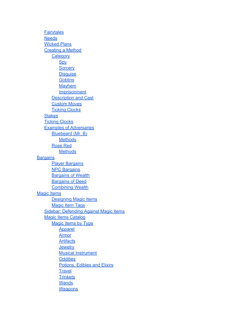**[Fairytales](#page-75-0) [Needs](#page-76-0)** [Wicked](#page-76-0) [Plans](#page-76-0) [Creating](#page-76-0) [a](#page-76-0) [Method](#page-76-0) **[Category](#page-77-0) [Spy](#page-77-0) [Sorcery](#page-78-0) Disquise [Goblins](#page-79-0)** [Mayhem](#page-80-0) **[Imprisonment](#page-80-0)** [Description](#page-81-0) [and](#page-81-0) [Cast](#page-81-0) [Custom](#page-81-0) [Moves](#page-81-0) **[Ticking](#page-82-0) [Clocks](#page-82-0) [Stakes](#page-82-0) [Ticking](#page-82-0) [Clocks](#page-82-0)** [Examples](#page-82-0) [of](#page-82-0) [Adversaries](#page-82-0) [Bluebeard \(Mr. B\)](#page-82-0) **[Methods](#page-83-0)** [Rose](#page-84-0) [Red](#page-84-0) **[Methods](#page-84-0) [Bargains](#page-86-0)** [Player](#page-86-0) [Bargains](#page-86-0) [NPC](#page-86-0) [Bargains](#page-86-0) **[Bargains](#page-86-0) [of](#page-86-0) [Wealth](#page-86-0) [Bargains](#page-86-0) [of](#page-86-0) [Deed](#page-86-0)** [Combining](#page-87-0) [Wealth](#page-87-0) [Magic](#page-88-0) [Items](#page-88-0) **[Designing](#page-88-0) [Magic](#page-88-0) [Items](#page-88-0) [Magic](#page-88-0) [Item](#page-88-0) [Tags](#page-88-0)** [Sidebar: Defending](#page-89-0) [Against](#page-89-0) [Magic](#page-89-0) [Items](#page-89-0) [Magic](#page-89-0) [Items](#page-89-0) [Catalog](#page-89-0) [Magic](#page-89-0) [Items](#page-89-0) [by](#page-89-0) [Type](#page-89-0) [Apparel](#page-90-0) [Armor](#page-90-0) **[Artifacts](#page-90-0) [Jewelry](#page-90-0)** [Musical](#page-91-0) [Instrument](#page-91-0) **[Oddities](#page-91-0)** [Potions, Edibles](#page-91-0) [and](#page-91-0) [Elixirs](#page-91-0) **[Travel](#page-91-0) [Trinkets](#page-92-0) [Wands](#page-93-0) [Weapons](#page-93-0)**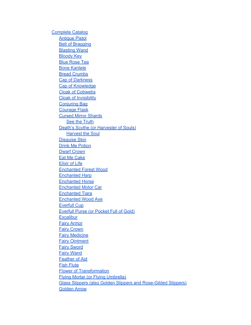[Complete](#page-94-0) [Catalog](#page-94-0) [Antique](#page-94-0) [Pistol](#page-94-0) [Belt](#page-94-0) [of](#page-94-0) [Bragging](#page-94-0) [Blasting](#page-94-0) [Wand](#page-94-0) [Bloody](#page-94-0) [Key](#page-94-0) [Blue](#page-94-0) [Rose](#page-94-0) [Tea](#page-94-0) [Bone](#page-94-0) [Kantele](#page-94-0) **[Bread](#page-95-0) [Crumbs](#page-95-0)** [Cap](#page-95-0) [of](#page-95-0) [Darkness](#page-95-0) [Cap](#page-95-0) [of](#page-95-0) [Knowledge](#page-95-0) [Cloak](#page-95-0) [of](#page-95-0) [Cobwebs](#page-95-0) [Cloak](#page-95-0) [of](#page-95-0) [Invisibility](#page-95-0) [Conjuring](#page-95-0) [Bag](#page-95-0) [Courage](#page-95-0) [Flask](#page-95-0) [Cursed](#page-95-0) [Mirror](#page-95-0) [Shards](#page-95-0) **[See](#page-95-0) [the](#page-95-0) [Truth](#page-95-0)** [Death's](#page-95-0) [Scythe \(or](#page-95-0) [Harvester](#page-95-0) [of](#page-95-0) [Souls\)](#page-95-0) [Harvest](#page-96-0) [the](#page-96-0) [Soul](#page-96-0) [Disguise](#page-96-0) [Skin](#page-96-0) [Drink](#page-96-0) [Me](#page-96-0) [Potion](#page-96-0) [Dwarf](#page-96-0) [Crown](#page-96-0) [Eat](#page-96-0) [Me](#page-96-0) [Cake](#page-96-0) [Elixir](#page-96-0) [of](#page-96-0) [Life](#page-96-0) [Enchanted](#page-96-0) [Forest](#page-96-0) [Wood](#page-96-0) [Enchanted](#page-96-0) [Harp](#page-96-0) [Enchanted](#page-96-0) [Horse](#page-96-0) [Enchanted](#page-96-0) [Motor](#page-96-0) [Car](#page-96-0) [Enchanted](#page-96-0) [Tiara](#page-96-0) [Enchanted](#page-97-0) [Wood](#page-97-0) [Axe](#page-97-0) [Everfull](#page-97-0) [Cup](#page-97-0) [Everfull](#page-97-0) [Purse \(or](#page-97-0) [Pocket](#page-97-0) [Full](#page-97-0) [of](#page-97-0) [Gold\)](#page-97-0) **[Excalibur](#page-97-0)** [Fairy](#page-97-0) [Armor](#page-97-0) [Fairy](#page-97-0) [Crown](#page-97-0) [Fairy](#page-97-0) [Medicine](#page-97-0) [Fairy](#page-97-0) [Ointment](#page-97-0) [Fairy](#page-97-0) [Sword](#page-97-0) [Fairy](#page-97-0) [Wand](#page-97-0) [Feather](#page-97-0) [of](#page-97-0) [Aid](#page-97-0) [Fish](#page-98-0) [Flute](#page-98-0) [Flower](#page-98-0) [of](#page-98-0) [Transformation](#page-98-0) [Flying](#page-98-0) [Mortar \(or](#page-98-0) [Flying](#page-98-0) [Umbrella\)](#page-98-0) [Glass](#page-98-0) [Slippers \(also](#page-98-0) [Golden](#page-98-0) [Slippers](#page-98-0) [and](#page-98-0) [Rose-Gilded](#page-98-0) [Slippers\)](#page-98-0) [Golden](#page-98-0) [Arrow](#page-98-0)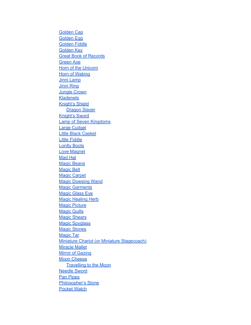[Golden](#page-98-0) [Cap](#page-98-0) [Golden](#page-98-0) [Egg](#page-98-0) [Golden](#page-98-0) [Fiddle](#page-98-0) [Golden](#page-98-0) [Key](#page-98-0) [Great](#page-98-0) [Book](#page-98-0) [of](#page-98-0) [Records](#page-98-0) [Green](#page-99-0) [Axe](#page-99-0) [Horn](#page-99-0) [of](#page-99-0) [the](#page-99-0) [Unicorn](#page-99-0) **[Horn](#page-99-0) [of](#page-99-0) [Waking](#page-99-0)** [Jinni](#page-99-0) [Lamp](#page-99-0) [Jinni](#page-99-0) [Ring](#page-99-0) [Jungle](#page-99-0) [Crown](#page-99-0) **[Kladenets](#page-99-0)** [Knight's](#page-99-0) [Shield](#page-99-0) [Dragon](#page-99-0) [Slayer](#page-99-0) [Knight's](#page-99-0) [Sword](#page-99-0) [Lamp](#page-99-0) [of](#page-99-0) [Seven](#page-99-0) [Kingdoms](#page-99-0) [Large](#page-100-0) [Cudgel](#page-100-0) [Little](#page-100-0) [Black](#page-100-0) [Casket](#page-100-0) [Little](#page-100-0) [Fiddle](#page-100-0) [Lordly](#page-100-0) [Boots](#page-100-0) [Love](#page-100-0) [Magnet](#page-100-0) [Mad](#page-100-0) [Hat](#page-100-0) [Magic](#page-100-0) [Beans](#page-100-0) [Magic](#page-100-0) [Belt](#page-100-0) [Magic](#page-100-0) [Carpet](#page-100-0) [Magic](#page-100-0) [Dowsing](#page-100-0) [Wand](#page-100-0) **[Magic](#page-100-0) [Garments](#page-100-0) [Magic](#page-101-0) [Glass](#page-101-0) [Eye](#page-101-0)** [Magic](#page-101-0) [Healing](#page-101-0) [Herb](#page-101-0) **[Magic](#page-101-0) [Picture](#page-101-0)** [Magic](#page-101-0) [Quills](#page-101-0) **[Magic](#page-101-0) [Shears](#page-101-0) [Magic](#page-101-0) [Spyglass](#page-101-0)** [Magic](#page-101-0) [Stones](#page-101-0) [Magic](#page-101-0) [Tar](#page-101-0) [Miniature](#page-101-0) [Chariot \(or](#page-101-0) [Miniature](#page-101-0) [Stagecoach\)](#page-101-0) [Miracle](#page-101-0) [Mallet](#page-101-0) [Mirror](#page-101-0) [of](#page-101-0) [Gazing](#page-101-0) [Moon](#page-102-0) [Cheese](#page-102-0) [Travelling](#page-102-0) [to](#page-102-0) [the](#page-102-0) [Moon](#page-102-0) [Needle](#page-102-0) [Sword](#page-102-0) **[Pan](#page-102-0) [Pipes](#page-102-0)** [Philosopher's](#page-102-0) [Stone](#page-102-0) [Pocket](#page-102-0) [Watch](#page-102-0)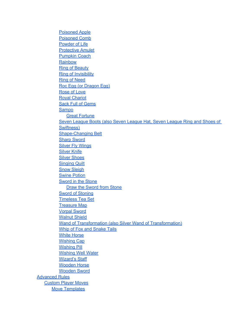[Poisoned](#page-102-0) [Apple](#page-102-0) [Poisoned](#page-102-0) [Comb](#page-102-0) [Powder](#page-102-0) [of](#page-102-0) [Life](#page-102-0) [Protective](#page-102-0) [Amulet](#page-102-0) [Pumpkin](#page-103-0) [Coach](#page-103-0) **[Rainbow](#page-103-0)** [Ring](#page-103-0) [of](#page-103-0) [Beauty](#page-103-0) [Ring](#page-103-0) [of](#page-103-0) [Invisibility](#page-103-0) [Ring](#page-103-0) [of](#page-103-0) [Need](#page-103-0) [Roc](#page-103-0) [Egg \(or](#page-103-0) [Dragon](#page-103-0) [Egg\)](#page-103-0) [Rose](#page-103-0) [of](#page-103-0) [Love](#page-103-0) [Royal](#page-103-0) [Chariot](#page-103-0) **[Sack](#page-103-0) [Full](#page-103-0) [of](#page-103-0) [Gems](#page-103-0) [Sampo](#page-103-0)** [Great](#page-103-0) [Fortune](#page-103-0) [Seven](#page-104-0) [League](#page-104-0) [Boots \(also](#page-104-0) [Seven](#page-104-0) [League](#page-104-0) [Hat, Seven](#page-104-0) [League](#page-104-0) [Ring](#page-104-0) [and](#page-104-0) [Shoes](#page-104-0) [of](#page-104-0) [Swiftness\)](#page-104-0) [Shape-Changing](#page-104-0) [Belt](#page-104-0) [Sharp](#page-104-0) [Sword](#page-104-0) [Silver](#page-104-0) [Fly](#page-104-0) [Wings](#page-104-0) [Silver](#page-104-0) [Knife](#page-104-0) **[Silver](#page-104-0) [Shoes](#page-104-0)** [Singing](#page-104-0) [Quilt](#page-104-0) **[Snow](#page-104-0) [Sleigh](#page-104-0)** [Swine](#page-104-0) [Potion](#page-104-0) [Sword](#page-104-0) [in](#page-104-0) [the](#page-104-0) [Stone](#page-104-0) [Draw](#page-104-0) [the](#page-104-0) [Sword](#page-104-0) [from](#page-104-0) [Stone](#page-104-0) [Sword](#page-105-0) [of](#page-105-0) [Stoning](#page-105-0) [Timeless](#page-105-0) [Tea](#page-105-0) [Set](#page-105-0) **[Treasure](#page-105-0) [Map](#page-105-0)** [Vorpal](#page-105-0) [Sword](#page-105-0) [Walnut](#page-105-0) [Shield](#page-105-0) [Wand](#page-105-0) [of](#page-105-0) [Transformation \(also](#page-105-0) [Silver](#page-105-0) [Wand](#page-105-0) [of](#page-105-0) [Transformation\)](#page-105-0) [Whip](#page-105-0) [of](#page-105-0) [Fox](#page-105-0) [and](#page-105-0) [Snake](#page-105-0) [Tails](#page-105-0) [White](#page-105-0) [Horse](#page-105-0) **[Wishing](#page-105-0) [Cap](#page-105-0)** [Wishing](#page-105-0) [Pill](#page-105-0) [Wishing](#page-106-0) [Well](#page-106-0) [Water](#page-106-0) [Wizard's](#page-106-0) [Staff](#page-106-0) [Wooden](#page-106-0) [Horse](#page-106-0) [Wooden](#page-106-0) [Sword](#page-106-0) [Advanced](#page-107-0) [Rules](#page-107-0) [Custom](#page-107-0) [Player](#page-107-0) [Moves](#page-107-0) [Move](#page-107-0) [Templates](#page-107-0)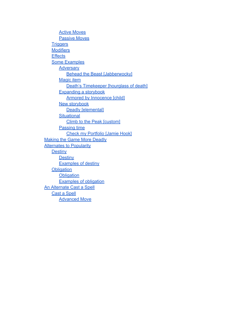[Active](#page-107-0) [Moves](#page-107-0) [Passive](#page-107-0) [Moves](#page-107-0) **[Triggers](#page-107-0) [Modifiers](#page-108-0) [Effects](#page-108-0)** [Some](#page-109-0) [Examples](#page-109-0) **[Adversary](#page-109-0)** [Behead](#page-109-0) [the](#page-109-0) [Beast \[Jabberwocky\]](#page-109-0) [Magic](#page-109-0) [item](#page-109-0) [Death's](#page-109-0) [Timekeeper \[hourglass](#page-109-0) [of](#page-109-0) [death\]](#page-109-0) [Expanding](#page-109-0) [a](#page-109-0) [storybook](#page-109-0) [Armored](#page-109-0) [by](#page-109-0) [Innocence \[child\]](#page-109-0) [New](#page-109-0) [storybook](#page-109-0) [Deadly \[elemental\]](#page-109-0) **[Situational](#page-110-0)** [Climb](#page-110-0) [to](#page-110-0) [the](#page-110-0) [Peak \[custom\]](#page-110-0) [Passing](#page-110-0) [time](#page-110-0) [Check](#page-110-0) [my](#page-110-0) [Portfolio \[Jamie](#page-110-0) [Hook\]](#page-110-0) [Making](#page-110-0) [the](#page-110-0) [Game](#page-110-0) [More](#page-110-0) [Deadly](#page-110-0) **[Alternates](#page-110-0) [to](#page-110-0) [Popularity](#page-110-0) [Destiny](#page-111-0) [Destiny](#page-111-0)** [Examples](#page-111-0) [of](#page-111-0) [destiny](#page-111-0) **[Obligation](#page-111-0) [Obligation](#page-111-0)** [Examples](#page-111-0) [of](#page-111-0) [obligation](#page-111-0) [An](#page-112-0) [Alternate](#page-112-0) [Cast](#page-112-0) [a](#page-112-0) [Spell](#page-112-0) [Cast](#page-112-0) [a](#page-112-0) [Spell](#page-112-0) [Advanced](#page-112-0) [Move](#page-112-0)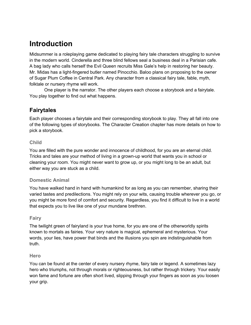# <span id="page-13-0"></span>**Introduction**

Midsummer is a roleplaying game dedicated to playing fairy tale characters struggling to survive in the modern world. Cinderella and three blind fellows seal a business deal in a Parisian cafe. A bag lady who calls herself the Evil Queen recruits Miss Gale's help in restoring her beauty. Mr. Midas has a light-fingered butler named Pinocchio. Baloo plans on proposing to the owner of Sugar Plum Coffee in Central Park. Any character from a classical fairy tale, fable, myth, folktale or nursery rhyme will work.

One player is the narrator. The other players each choose a storybook and a fairytale. You play together to find out what happens.

### **Fairytales**

Each player chooses a fairytale and their corresponding storybook to play. They all fall into one of the following types of storybooks. The Character Creation chapter has more details on how to pick a storybook.

#### **Child**

You are filled with the pure wonder and innocence of childhood, for you are an eternal child. Tricks and tales are your method of living in a grown-up world that wants you in school or cleaning your room. You might never want to grow up, or you might long to be an adult, but either way you are stuck as a child.

### **Domestic Animal**

You have walked hand in hand with humankind for as long as you can remember, sharing their varied tastes and predilections. You might rely on your wits, causing trouble wherever you go, or you might be more fond of comfort and security. Regardless, you find it difficult to live in a world that expects you to live like one of your mundane brethren.

#### **Fairy**

The twilight green of fairyland is your true home, for you are one of the otherworldly spirits known to mortals as fairies. Your very nature is magical, ephemeral and mysterious. Your words, your lies, have power that binds and the illusions you spin are indistinguishable from truth.

#### **Hero**

You can be found at the center of every nursery rhyme, fairy tale or legend. A sometimes lazy hero who triumphs, not through morals or righteousness, but rather through trickery. Your easily won fame and fortune are often short lived, slipping through your fingers as soon as you loosen your grip.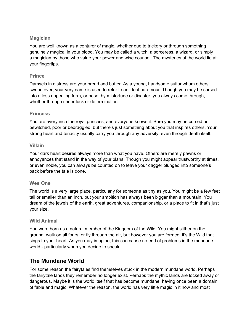#### <span id="page-14-0"></span>**Magician**

You are well known as a conjurer of magic, whether due to trickery or through something genuinely magical in your blood. You may be called a witch, a sorceress, a wizard, or simply a magician by those who value your power and wise counsel. The mysteries of the world lie at your fingertips.

#### **Prince**

Damsels in distress are your bread and butter. As a young, handsome suitor whom others swoon over, your very name is used to refer to an ideal paramour. Though you may be cursed into a less appealing form, or beset by misfortune or disaster, you always come through, whether through sheer luck or determination.

#### **Princess**

You are every inch the royal princess, and everyone knows it. Sure you may be cursed or bewitched, poor or bedraggled, but there's just something about you that inspires others. Your strong heart and tenacity usually carry you through any adversity, even through death itself.

#### **Villain**

Your dark heart desires always more than what you have. Others are merely pawns or annoyances that stand in the way of your plans. Though you might appear trustworthy at times, or even noble, you can always be counted on to leave your dagger plunged into someone's back before the tale is done.

#### **Wee One**

The world is a very large place, particularly for someone as tiny as you. You might be a few feet tall or smaller than an inch, but your ambition has always been bigger than a mountain. You dream of the jewels of the earth, great adventures, companionship, or a place to fit in that's just your size.

#### **Wild Animal**

You were born as a natural member of the Kingdom of the Wild. You might slither on the ground, walk on all fours, or fly through the air, but however you are formed, it's the Wild that sings to your heart. As you may imagine, this can cause no end of problems in the mundane world - particularly when you decide to speak.

### **The Mundane World**

For some reason the fairytales find themselves stuck in the modern mundane world. Perhaps the fairytale lands they remember no longer exist. Perhaps the mythic lands are locked away or dangerous. Maybe it is the world itself that has become mundane, having once been a domain of fable and magic. Whatever the reason, the world has very little magic in it now and most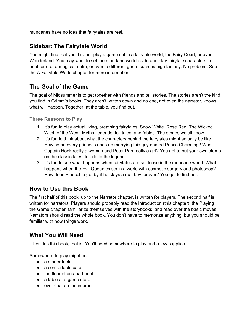<span id="page-15-0"></span>mundanes have no idea that fairytales are real.

### **Sidebar: The Fairytale World**

You might find that you'd rather play a game set in a fairytale world, the Fairy Court, or even Wonderland. You may want to set the mundane world aside and play fairytale characters in another era, a magical realm, or even a different genre such as high fantasy. No problem. See the A Fairytale World chapter for more information.

### **The Goal of the Game**

The goal of Midsummer is to get together with friends and tell stories. The stories aren't the kind you find in Grimm's books. They aren't written down and no one, not even the narrator, knows what will happen. Together, at the table, you find out.

**Three Reasons to Play**

- 1. It's fun to play actual living, breathing fairytales. Snow White. Rose Red. The Wicked Witch of the West. Myths, legends, folktales, and fables. The stories we all know.
- 2. It's fun to think about what the characters behind the fairytales might actually be like. How come every princess ends up marrying this guy named Prince Charming? Was Captain Hook really a woman and Peter Pan really a girl? You get to put your own stamp on the classic tales; to add to the legend.
- 3. It's fun to see what happens when fairytales are set loose in the mundane world. What happens when the Evil Queen exists in a world with cosmetic surgery and photoshop? How does Pinocchio get by if he stays a real boy forever? You get to find out.

### **How to Use this Book**

The first half of this book, up to the Narrator chapter, is written for players. The second half is written for narrators. Players should probably read the Introduction (this chapter), the Playing the Game chapter, familiarize themselves with the storybooks, and read over the basic moves. Narrators should read the whole book. You don't have to memorize anything, but you should be familiar with how things work.

### **What You Will Need**

...besides this book, that is. You'll need somewhere to play and a few supplies.

Somewhere to play might be:

- a dinner table
- a comfortable cafe
- the floor of an apartment
- a table at a game store
- over chat on the internet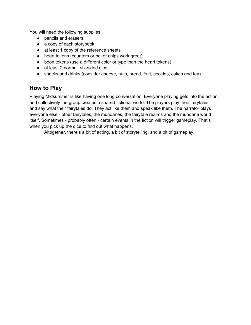<span id="page-16-0"></span>You will need the following supplies:

- pencils and erasers
- a copy of each storybook
- at least 1 copy of the reference sheets
- heart tokens (counters or poker chips work great)
- boon tokens (use a different color or type than the heart tokens)
- at least 2 normal, six-sided dice
- snacks and drinks (consider cheese, nuts, bread, fruit, cookies, cakes and tea)

### **How to Play**

Playing Midsummer is like having one long conversation. Everyone playing gets into the action, and collectively the group creates a shared fictional world. The players play their fairytales and say what their fairytales do. They act like them and speak like them. The narrator plays everyone else - other fairytales, the mundanes, the fairytale realms and the mundane world itself. Sometimes - probably often - certain events in the fiction will trigger gameplay. That's when you pick up the dice to find out what happens.

Altogether, there's a bit of acting, a bit of storytelling, and a bit of gameplay.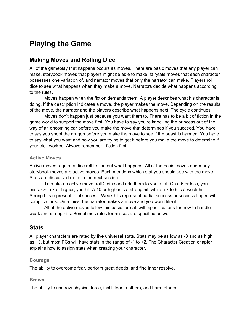# <span id="page-17-0"></span>**Playing the Game**

### **Making Moves and Rolling Dice**

All of the gameplay that happens occurs as moves. There are basic moves that any player can make, storybook moves that players might be able to make, fairytale moves that each character possesses one variation of, and narrator moves that only the narrator can make. Players roll dice to see what happens when they make a move. Narrators decide what happens according to the rules.

Moves happen when the fiction demands them. A player describes what his character is doing. If the description indicates a move, the player makes the move. Depending on the results of the move, the narrator and the players describe what happens next. The cycle continues.

Moves don't happen just because you want them to. There has to be a bit of fiction in the game world to support the move first. You have to say you're knocking the princess out of the way of an oncoming car before you make the move that determines if you succeed. You have to say you shoot the dragon before you make the move to see if the beast is harmed. You have to say what you want and how you are trying to get it before you make the move to determine if your trick worked. Always remember - fiction first.

#### **Active Moves**

Active moves require a dice roll to find out what happens. All of the basic moves and many storybook moves are active moves. Each mentions which stat you should use with the move. Stats are discussed more in the next section.

To make an active move, roll 2 dice and add them to your stat. On a 6 or less, you miss. On a 7 or higher, you hit. A 10 or higher is a strong hit, while a 7 to 9 is a weak hit. Strong hits represent total success. Weak hits represent partial success or success tinged with complications. On a miss, the narrator makes a move and you won't like it.

All of the active moves follow this basic format, with specifications for how to handle weak and strong hits. Sometimes rules for misses are specified as well.

### **Stats**

All player characters are rated by five universal stats. Stats may be as low as -3 and as high as +3, but most PCs will have stats in the range of -1 to +2. The Character Creation chapter explains how to assign stats when creating your character.

#### **Courage**

The ability to overcome fear, perform great deeds, and find inner resolve.

#### **Brawn**

The ability to use raw physical force, instill fear in others, and harm others.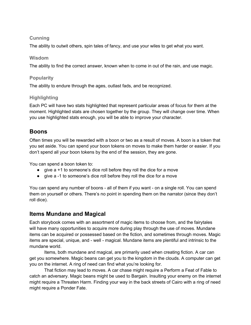### <span id="page-18-0"></span>**Cunning**

The ability to outwit others, spin tales of fancy, and use your wiles to get what you want.

#### **Wisdom**

The ability to find the correct answer, known when to come in out of the rain, and use magic.

#### **Popularity**

The ability to endure through the ages, outlast fads, and be recognized.

#### **Highlighting**

Each PC will have two stats highlighted that represent particular areas of focus for them at the moment. Highlighted stats are chosen together by the group. They will change over time. When you use highlighted stats enough, you will be able to improve your character.

### **Boons**

Often times you will be rewarded with a boon or two as a result of moves. A boon is a token that you set aside. You can spend your boon tokens on moves to make them harder or easier. If you don't spend all your boon tokens by the end of the session, they are gone.

You can spend a boon token to:

- give a +1 to someone's dice roll before they roll the dice for a move
- give a -1 to someone's dice roll before they roll the dice for a move

You can spend any number of boons - all of them if you want - on a single roll. You can spend them on yourself or others. There's no point in spending them on the narrator (since they don't roll dice).

### **Items Mundane and Magical**

Each storybook comes with an assortment of magic items to choose from, and the fairytales will have many opportunities to acquire more during play through the use of moves. Mundane items can be acquired or possessed based on the fiction, and sometimes through moves. Magic items are special, unique, and - well - magical. Mundane items are plentiful and intrinsic to the mundane world.

Items, both mundane and magical, are primarily used when creating fiction. A car can get you somewhere. Magic beans can get you to the kingdom in the clouds. A computer can get you on the internet. A ring of need can find what you're looking for.

That fiction may lead to moves. A car chase might require a Perform a Feat of Fable to catch an adversary. Magic beans might be used to Bargain. Insulting your enemy on the internet might require a Threaten Harm. Finding your way in the back streets of Cairo with a ring of need might require a Ponder Fate.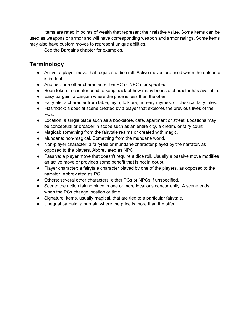<span id="page-19-0"></span>Items are rated in points of wealth that represent their relative value. Some items can be used as weapons or armor and will have corresponding weapon and armor ratings. Some items may also have custom moves to represent unique abilities.

See the Bargains chapter for examples.

### **Terminology**

- Active: a player move that requires a dice roll. Active moves are used when the outcome is in doubt.
- Another: one other character; either PC or NPC if unspecified.
- Boon token: a counter used to keep track of how many boons a character has available.
- Easy bargain: a bargain where the price is less than the offer.
- Fairytale: a character from fable, myth, folklore, nursery rhymes, or classical fairy tales.
- Flashback: a special scene created by a player that explores the previous lives of the PCs.
- Location: a single place such as a bookstore, cafe, apartment or street. Locations may be conceptual or broader in scope such as an entire city, a dream, or fairy court.
- Magical: something from the fairytale realms or created with magic.
- Mundane: non-magical. Something from the mundane world.
- Non-player character: a fairytale or mundane character played by the narrator, as opposed to the players. Abbreviated as NPC.
- Passive: a player move that doesn't require a dice roll. Usually a passive move modifies an active move or provides some benefit that is not in doubt.
- Player character: a fairytale character played by one of the players, as opposed to the narrator. Abbreviated as PC.
- Others: several other characters; either PCs or NPCs if unspecified.
- Scene: the action taking place in one or more locations concurrently. A scene ends when the PCs change location or time.
- Signature: items, usually magical, that are tied to a particular fairytale.
- Unequal bargain: a bargain where the price is more than the offer.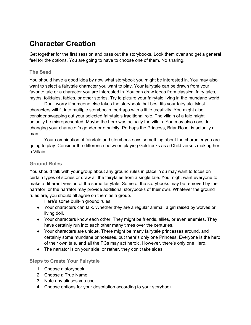# <span id="page-20-0"></span>**Character Creation**

Get together for the first session and pass out the storybooks. Look them over and get a general feel for the options. You are going to have to choose one of them. No sharing.

#### **The Seed**

You should have a good idea by now what storybook you might be interested in. You may also want to select a fairytale character you want to play. Your fairytale can be drawn from your favorite tale or a character you are interested in. You can draw ideas from classical fairy tales, myths, folktales, fables, or other stories. Try to picture your fairytale living in the mundane world.

Don't worry if someone else takes the storybook that best fits your fairytale. Most characters will fit into multiple storybooks, perhaps with a little creativity. You might also consider swapping out your selected fairytale's traditional role. The villain of a tale might actually be misrepresented. Maybe the hero was actually the villain. You may also consider changing your character's gender or ethnicity. Perhaps the Princess, Briar Rose, is actually a man.

Your combination of fairytale and storybook says something about the character you are going to play. Consider the difference between playing Goldilocks as a Child versus making her a Villain.

### **Ground Rules**

You should talk with your group about any ground rules in place. You may want to focus on certain types of stories or draw all the fairytales from a single tale. You might want everyone to make a different version of the same fairytale. Some of the storybooks may be removed by the narrator, or the narrator may provide additional storybooks of their own. Whatever the ground rules are, you should all agree on them as a group.

Here's some built-in ground rules:

- Your characters can talk. Whether they are a regular animal, a girl raised by wolves or living doll.
- Your characters know each other. They might be friends, allies, or even enemies. They have certainly run into each other many times over the centuries.
- Your characters are unique. There might be many fairytale princesses around, and certainly some mundane princesses, but there's only one Princess. Everyone is the hero of their own tale, and all the PCs may act heroic. However, there's only one Hero.
- The narrator is on your side, or rather, they don't take sides.

#### **Steps to Create Your Fairytale**

- 1. Choose a storybook.
- 2. Choose a True Name.
- 3. Note any aliases you use.
- 4. Choose options for your description according to your storybook.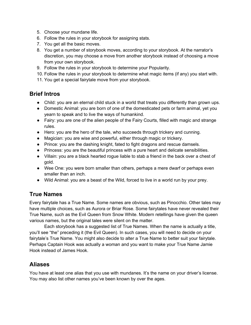- <span id="page-21-0"></span>5. Choose your mundane life.
- 6. Follow the rules in your storybook for assigning stats.
- 7. You get all the basic moves.
- 8. You get a number of storybook moves, according to your storybook. At the narrator's discretion, you may choose a move from another storybook instead of choosing a move from your own storybook.
- 9. Follow the rules in your storybook to determine your Popularity.
- 10. Follow the rules in your storybook to determine what magic items (if any) you start with.
- 11. You get a special fairytale move from your storybook.

### **Brief Intros**

- Child: you are an eternal child stuck in a world that treats you differently than grown ups.
- Domestic Animal: you are born of one of the domesticated pets or farm animal, yet you yearn to speak and to live the ways of humankind.
- Fairy: you are one of the alien people of the Fairy Courts, filled with magic and strange rules.
- Hero: you are the hero of the tale, who succeeds through trickery and cunning.
- Magician: you are wise and powerful, either through magic or trickery.
- Prince: you are the dashing knight, fated to fight dragons and rescue damsels.
- Princess: you are the beautiful princess with a pure heart and delicate sensibilities.
- Villain: you are a black hearted rogue liable to stab a friend in the back over a chest of gold.
- Wee One: you were born smaller than others, perhaps a mere dwarf or perhaps even smaller than an inch.
- Wild Animal: you are a beast of the Wild, forced to live in a world run by your prey.

### **True Names**

Every fairytale has a True Name. Some names are obvious, such as Pinocchio. Other tales may have multiple choices, such as Aurora or Briar Rose. Some fairytales have never revealed their True Name, such as the Evil Queen from Snow White. Modern retellings have given the queen various names, but the original tales were silent on the matter.

Each storybook has a suggested list of True Names. When the name is actually a title, you'll see "the" preceding it (the Evil Queen). In such cases, you will need to decide on your fairytale's True Name. You might also decide to alter a True Name to better suit your fairytale. Perhaps Captain Hook was actually a woman and you want to make your True Name Jamie Hook instead of James Hook.

### **Aliases**

You have at least one alias that you use with mundanes. It's the name on your driver's license. You may also list other names you've been known by over the ages.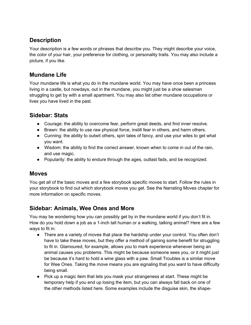### <span id="page-22-0"></span>**Description**

Your description is a few words or phrases that describe you. They might describe your voice, the color of your hair, your preference for clothing, or personality traits. You may also include a picture, if you like.

### **Mundane Life**

Your mundane life is what you do in the mundane world. You may have once been a princess living in a castle, but nowdays, out in the mundane, you might just be a shoe salesman struggling to get by with a small apartment. You may also list other mundane occupations or lives you have lived in the past.

### **Sidebar: Stats**

- Courage: the ability to overcome fear, perform great deeds, and find inner resolve.
- Brawn: the ability to use raw physical force, instill fear in others, and harm others.
- Cunning: the ability to outwit others, spin tales of fancy, and use your wiles to get what you want.
- Wisdom: the ability to find the correct answer, known when to come in out of the rain, and use magic.
- Popularity: the ability to endure through the ages, outlast fads, and be recognized.

### **Moves**

You get all of the basic moves and a few storybook specific moves to start. Follow the rules in your storybook to find out which storybook moves you get. See the Narrating Moves chapter for more information on specific moves.

### **Sidebar: Animals, Wee Ones and More**

You may be wondering how you can possibly get by in the mundane world if you don't fit in. How do you hold down a job as a 1-inch tall human or a walking, talking animal? Here are a few ways to fit in:

- There are a variety of moves that place the hardship under your control. You often don't have to take these moves, but they offer a method of gaining some benefit for struggling to fit in. Glamoured, for example, allows you to mark experience whenever being an animal causes you problems. This might be because someone sees you, or it might just be because it's hard to hold a wine glass with a paw. Small Troubles is a similar move for Wee Ones. Taking the move means you are signaling that you want to have difficulty being small.
- Pick up a magic item that lets you mask your strangeness at start. These might be temporary help if you end up losing the item, but you can always fall back on one of the other methods listed here. Some examples include the disguise skin, the shape-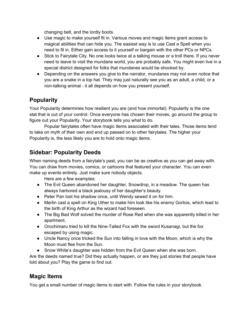changing belt, and the lordly boots.

- <span id="page-23-0"></span>● Use magic to make yourself fit in. Various moves and magic items grant access to magical abilities that can hide you. The easiest way is to use Cast a Spell when you need to fit in. Either gain access to it yourself or bargain with the other PCs or NPCs.
- Stick to Fairytale City. No one looks twice at a talking mouse or a troll there. If you never need to leave to visit the mundane world, you are probably safe. You might even live in a special district designed for folks that mundanes would be shocked by.
- Depending on the answers you give to the narrator, mundanes may not even notice that you are a snake in a top hat. They may just naturally see you as an adult, a child, or a non-talking animal - it all depends on how you present yourself.

### **Popularity**

Your Popularity determines how resilient you are (and how immortal). Popularity is the one stat that is out of your control. Once everyone has chosen their moves, go around the group to figure out your Popularity. Your storybook tells you what to do.

Popular fairytales often have magic items associated with their tales. Those items tend to take on myth of their own and end up passed on to other fairytales. The higher your Popularity is, the less likely you are to hold onto magic items.

### **Sidebar: Popularity Deeds**

When naming deeds from a fairytale's past, you can be as creative as you can get away with. You can draw from movies, comics, or cartoons that featured your character. You can even make up events entirely. Just make sure nobody objects.

Here are a few examples:

- The Evil Queen abandoned her daughter, Snowdrop, in a meadow. The queen has always harbored a black jealousy of her daughter's beauty.
- Peter Pan lost his shadow once, until Wendy sewed it on for him.
- Merlin cast a spell on King Uther to make him look like his enemy Gorlois, which lead to the birth of King Arthur as the wizard had foreseen.
- The Big Bad Wolf solved the murder of Rose Red when she was apparently killed in her apartment.
- Orochimaru tried to kill the Nine-Tailed Fox with the sword Kusanagi, but the fox escaped by using magic.
- Uncle Nancy once tricked the Sun into falling in love with the Moon, which is why the Moon must flee from the Sun.
- Snow White's daughter was hidden from the Evil Queen when she was born.

Are the deeds named true? Did they actually happen, or are they just stories that people have told about you? Play the game to find out.

### **Magic Items**

You get a small number of magic items to start with. Follow the rules in your storybook.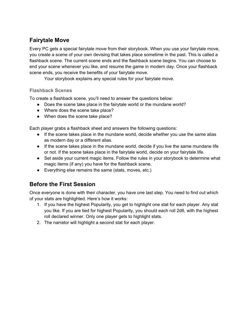### <span id="page-24-0"></span>**Fairytale Move**

Every PC gets a special fairytale move from their storybook. When you use your fairytale move, you create a scene of your own devising that takes place sometime in the past. This is called a flashback scene. The current scene ends and the flashback scene begins. You can choose to end your scene whenever you like, and resume the game in modern day. Once your flashback scene ends, you receive the benefits of your fairytale move.

Your storybook explains any special rules for your fairytale move.

#### **Flashback Scenes**

To create a flashback scene, you'll need to answer the questions below:

- Does the scene take place in the fairytale world or the mundane world?
- Where does the scene take place?
- When does the scene take place?

Each player grabs a flashback sheet and answers the following questions:

- If the scene takes place in the mundane world, decide whether you use the same alias as modern day or a different alias.
- If the scene takes place in the mundane world, decide if you live the same mundane life or not. If the scene takes place in the fairytale world, decide on your fairytale life.
- Set aside your current magic items. Follow the rules in your storybook to determine what magic items (if any) you have for the flashback scene.
- Everything else remains the same (stats, moves, etc.)

### **Before the First Session**

Once everyone is done with their character, you have one last step. You need to find out which of your stats are highlighted. Here's how it works:

- 1. If you have the highest Popularity, you get to highlight one stat for each player. Any stat you like. If you are tied for highest Popularity, you should each roll 2d6, with the highest roll declared winner. Only one player gets to highlight stats.
- 2. The narrator will highlight a second stat for each player.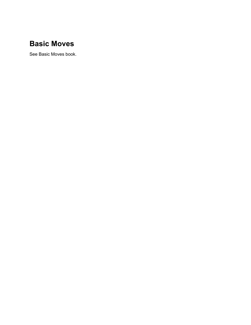# <span id="page-25-0"></span>**Basic Moves**

See Basic Moves book.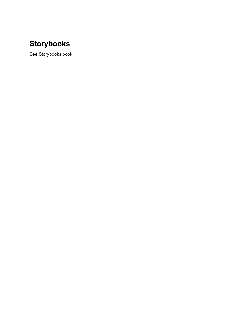# <span id="page-26-0"></span>**Storybooks**

See Storybooks book.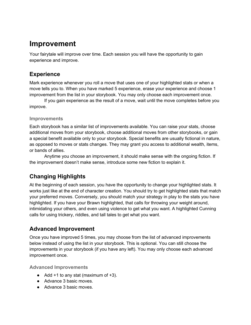## <span id="page-27-0"></span>**Improvement**

Your fairytale will improve over time. Each session you will have the opportunity to gain experience and improve.

### **Experience**

Mark experience whenever you roll a move that uses one of your highlighted stats or when a move tells you to. When you have marked 5 experience, erase your experience and choose 1 improvement from the list in your storybook. You may only choose each improvement once.

If you gain experience as the result of a move, wait until the move completes before you improve.

#### **Improvements**

Each storybook has a similar list of improvements available. You can raise your stats, choose additional moves from your storybook, choose additional moves from other storybooks, or gain a special benefit available only to your storybook. Special benefits are usually fictional in nature, as opposed to moves or stats changes. They may grant you access to additional wealth, items, or bands of allies.

Anytime you choose an improvement, it should make sense with the ongoing fiction. If the improvement doesn't make sense, introduce some new fiction to explain it.

### **Changing Highlights**

At the beginning of each session, you have the opportunity to change your highlighted stats. It works just like at the end of character creation. You should try to get highlighted stats that match your preferred moves. Conversely, you should match your strategy in play to the stats you have highlighted. If you have your Brawn highlighted, that calls for throwing your weight around, intimidating your others, and even using violence to get what you want. A highlighted Cunning calls for using trickery, riddles, and tall tales to get what you want.

### **Advanced Improvement**

Once you have improved 5 times, you may choose from the list of advanced improvements below instead of using the list in your storybook. This is optional. You can still choose the improvements in your storybook (if you have any left). You may only choose each advanced improvement once.

**Advanced Improvements**

- $\bullet$  Add +1 to any stat (maximum of +3).
- Advance 3 basic moves.
- Advance 3 basic moves.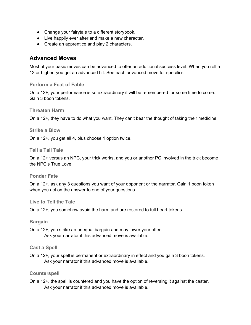- <span id="page-28-0"></span>● Change your fairytale to a different storybook.
- Live happily ever after and make a new character.
- Create an apprentice and play 2 characters.

### **Advanced Moves**

Most of your basic moves can be advanced to offer an additional success level. When you roll a 12 or higher, you get an advanced hit. See each advanced move for specifics.

#### **Perform a Feat of Fable**

On a 12+, your performance is so extraordinary it will be remembered for some time to come. Gain 3 boon tokens.

#### **Threaten Harm**

On a 12+, they have to do what you want. They can't bear the thought of taking their medicine.

**Strike a Blow**

On a 12+, you get all 4, plus choose 1 option twice.

**Tell a Tall Tale**

On a 12+ versus an NPC, your trick works, and you or another PC involved in the trick become the NPC's True Love.

**Ponder Fate**

On a 12+, ask any 3 questions you want of your opponent or the narrator. Gain 1 boon token when you act on the answer to one of your questions.

**Live to Tell the Tale**

On a 12+, you somehow avoid the harm and are restored to full heart tokens.

#### **Bargain**

On a 12+, you strike an unequal bargain and may lower your offer. Ask your narrator if this advanced move is available.

#### **Cast a Spell**

On a 12+, your spell is permanent or extraordinary in effect and you gain 3 boon tokens. Ask your narrator if this advanced move is available.

#### **Counterspell**

On a 12+, the spell is countered and you have the option of reversing it against the caster. Ask your narrator if this advanced move is available.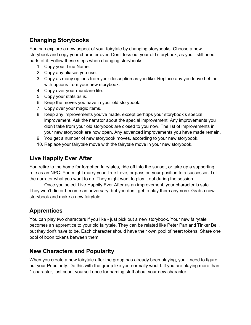### <span id="page-29-0"></span>**Changing Storybooks**

You can explore a new aspect of your fairytale by changing storybooks. Choose a new storybook and copy your character over. Don't toss out your old storybook, as you'll still need parts of it. Follow these steps when changing storybooks:

- 1. Copy your True Name.
- 2. Copy any aliases you use.
- 3. Copy as many options from your description as you like. Replace any you leave behind with options from your new storybook.
- 4. Copy over your mundane life.
- 5. Copy your stats as is.
- 6. Keep the moves you have in your old storybook.
- 7. Copy over your magic items.
- 8. Keep any improvements you've made, except perhaps your storybook's special improvement. Ask the narrator about the special improvement. Any improvements you didn't take from your old storybook are closed to you now. The list of improvements in your new storybook are now open. Any advanced improvements you have made remain.
- 9. You get a number of new storybook moves, according to your new storybook.
- 10. Replace your fairytale move with the fairytale move in your new storybook.

### **Live Happily Ever After**

You retire to the home for forgotten fairytales, ride off into the sunset, or take up a supporting role as an NPC. You might marry your True Love, or pass on your position to a successor. Tell the narrator what you want to do. They might want to play it out during the session.

Once you select Live Happily Ever After as an improvement, your character is safe. They won't die or become an adversary, but you don't get to play them anymore. Grab a new storybook and make a new fairytale.

### **Apprentices**

You can play two characters if you like - just pick out a new storybook. Your new fairytale becomes an apprentice to your old fairytale. They can be related like Peter Pan and Tinker Bell, but they don't have to be. Each character should have their own pool of heart tokens. Share one pool of boon tokens between them.

### **New Characters and Popularity**

When you create a new fairytale after the group has already been playing, you'll need to figure out your Popularity. Do this with the group like you normally would. If you are playing more than 1 character, just count yourself once for naming stuff about your new character.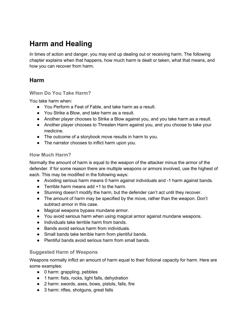# <span id="page-30-0"></span>**Harm and Healing**

In times of action and danger, you may end up dealing out or receiving harm. The following chapter explains when that happens, how much harm is dealt or taken, what that means, and how you can recover from harm.

### **Harm**

#### **When Do You Take Harm?**

You take harm when:

- You Perform a Feat of Fable, and take harm as a result.
- You Strike a Blow, and take harm as a result.
- Another player chooses to Strike a Blow against you, and you take harm as a result.
- Another player chooses to Threaten Harm against you, and you choose to take your medicine.
- The outcome of a storybook move results in harm to you.
- The narrator chooses to inflict harm upon you.

#### **How Much Harm?**

Normally the amount of harm is equal to the weapon of the attacker minus the armor of the defender. If for some reason there are multiple weapons or armors involved, use the highest of each. This may be modified in the following ways:

- Avoiding serious harm means 0 harm against individuals and -1 harm against bands.
- **•** Terrible harm means add  $+1$  to the harm.
- Stunning doesn't modify the harm, but the defender can't act until they recover.
- The amount of harm may be specified by the move, rather than the weapon. Don't subtract armor in this case.
- Magical weapons bypass mundane armor.
- You avoid serious harm when using magical armor against mundane weapons.
- Individuals take terrible harm from bands.
- Bands avoid serious harm from individuals.
- Small bands take terrible harm from plentiful bands.
- Plentiful bands avoid serious harm from small bands.

### **Suggested Harm of Weapons**

Weapons normally inflict an amount of harm equal to their fictional capacity for harm. Here are some examples:

- 0 harm: grappling, pebbles
- 1 harm: fists, rocks, light falls, dehydration
- 2 harm: swords, axes, bows, pistols, falls, fire
- 3 harm: rifles, shotguns, great falls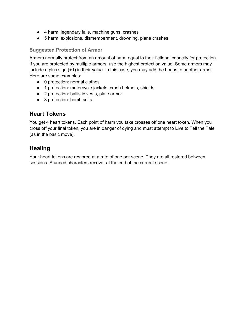- <span id="page-31-0"></span>● 4 harm: legendary falls, machine guns, crashes
- 5 harm: explosions, dismemberment, drowning, plane crashes

#### **Suggested Protection of Armor**

Armors normally protect from an amount of harm equal to their fictional capacity for protection. If you are protected by multiple armors, use the highest protection value. Some armors may include a plus sign (+1) in their value. In this case, you may add the bonus to another armor. Here are some examples:

- 0 protection: normal clothes
- 1 protection: motorcycle jackets, crash helmets, shields
- 2 protection: ballistic vests, plate armor
- 3 protection: bomb suits

### **Heart Tokens**

You get 4 heart tokens. Each point of harm you take crosses off one heart token. When you cross off your final token, you are in danger of dying and must attempt to Live to Tell the Tale (as in the basic move).

### **Healing**

Your heart tokens are restored at a rate of one per scene. They are all restored between sessions. Stunned characters recover at the end of the current scene.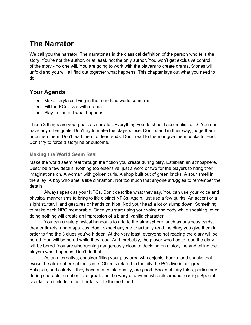# <span id="page-32-0"></span>**The Narrator**

We call you the narrator. The narrator as in the classical definition of the person who tells the story. You're not the author, or at least, not the only author. You won't get exclusive control of the story - no one will. You are going to work with the players to create drama. Stories will unfold and you will all find out together what happens. This chapter lays out what you need to do.

### **Your Agenda**

- Make fairytales living in the mundane world seem real
- Fill the PCs' lives with drama
- Play to find out what happens

These 3 things are your goals as narrator. Everything you do should accomplish all 3. You don't have any other goals. Don't try to make the players lose. Don't stand in their way, judge them or punish them. Don't lead them to dead ends. Don't read to them or give them books to read. Don't try to force a storyline or outcome.

#### **Making the World Seem Real**

Make the world seem real through the fiction you create during play. Establish an atmosphere. Describe a few details. Nothing too extensive, just a word or two for the players to hang their imaginations on. A woman with golden curls. A shop built out of green bricks. A sour smell in the alley. A boy who smells like cinnamon. Not too much that anyone struggles to remember the details.

Always speak as your NPCs. Don't describe what they say. You can use your voice and physical mannerisms to bring to life distinct NPCs. Again, just use a few quirks. An accent or a slight stutter. Hand gestures or hands on hips. Nod your head a lot or slump down. Something to make each NPC memorable. Once you start using your voice and body while speaking, even doing nothing will create an impression of a bland, vanilla character.

You can create physical handouts to add to the atmosphere, such as business cards, theater tickets, and maps. Just don't expect anyone to actually read the diary you give them in order to find the 3 clues you've hidden. At the very least, everyone not reading the diary will be bored. You will be bored while they read. And, probably, the player who has to read the diary will be bored. You are also running dangerously close to deciding on a storyline and telling the players what happens. Don't do that.

As an alternative, consider filling your play area with objects, books, and snacks that evoke the atmosphere of the game. Objects related to the city the PCs live in are great. Antiques, particularly if they have a fairy tale quality, are good. Books of fairy tales, particularly during character creation, are great. Just be wary of anyone who sits around reading. Special snacks can include cultural or fairy tale themed food.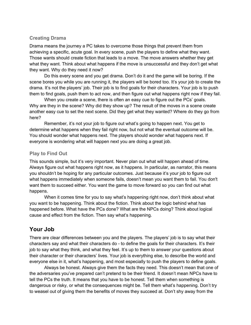#### <span id="page-33-0"></span>**Creating Drama**

Drama means the journey a PC takes to overcome those things that prevent them from achieving a specific, acute goal. In every scene, push the players to define what they want. Those wants should create fiction that leads to a move. The move answers whether they get what they want. Think about what happens if the move is unsuccessful and they don't get what they want. Why do they need it now?

Do this every scene and you get drama. Don't do it and the game will be boring. If the scene bores you while you are running it, the players will be bored too. It's your job to create the drama. It's not the players' job. Their job is to find goals for their characters. Your job is to push them to find goals, push them to act now, and then figure out what happens right now if they fail.

When you create a scene, there is often an easy cue to figure out the PCs' goals. Why are they in the scene? Why did they show up? The result of the moves in a scene create another easy cue to set the next scene. Did they get what they wanted? Where do they go from here?

Remember, it's not your job to figure out what's going to happen next. You get to determine what happens when they fail right now, but not what the eventual outcome will be. You should wonder what happens next. The players should wonder what happens next. If everyone is wondering what will happen next you are doing a great job.

#### **Play to Find Out**

This sounds simple, but it's very important. Never plan out what will happen ahead of time. Always figure out what happens right now, as it happens. In particular, as narrator, this means you shouldn't be hoping for any particular outcomes. Just because it's your job to figure out what happens immediately when someone fails, doesn't mean you want them to fail. You don't want them to succeed either. You want the game to move forward so you can find out what happens.

When it comes time for you to say what's happening right now, don't think about what you want to be happening. Think about the fiction. Think about the logic behind what has happened before. What have the PCs done? What are the NPCs doing? Think about logical cause and effect from the fiction. Then say what's happening.

### **Your Job**

There are clear differences between you and the players. The players' job is to say what their characters say and what their characters do - to define the goals for their characters. It's their job to say what they think, and what they feel. It's up to them to answer your questions about their character or their characters' lives. Your job is everything else, to describe the world and everyone else in it, what's happening, and most especially to push the players to define goals.

Always be honest. Always give them the facts they need. This doesn't mean that one of the adversaries you've prepared can't pretend to be their friend. It doesn't mean NPCs have to tell the PCs the truth. It means that you have to be honest. Tell them when something is dangerous or risky, or what the consequences might be. Tell them what's happening. Don't try to weasel out of giving them the benefits of moves they succeed at. Don't shy away from the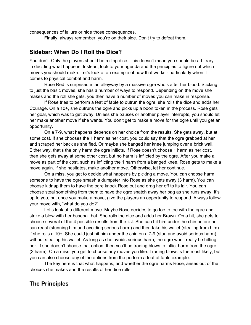<span id="page-34-0"></span>consequences of failure or hide those consequences.

Finally, always remember, you're on their side. Don't try to defeat them.

### **Sidebar: When Do I Roll the Dice?**

You don't. Only the players should be rolling dice. This doesn't mean you should be arbitrary in deciding what happens. Instead, look to your agenda and the principles to figure out which moves you should make. Let's look at an example of how that works - particularly when it comes to physical combat and harm.

Rose Red is surprised in an alleyway by a massive ogre who's after her blood. Sticking to just the basic moves, she has a number of ways to respond. Depending on the move she makes and the roll she gets, you then have a number of moves you can make in response.

If Rose tries to perform a feat of fable to outrun the ogre, she rolls the dice and adds her Courage. On a 10+, she outruns the ogre and picks up a boon token in the process. Rose gets her goal, which was to get away. Unless she pauses or another player interrupts, you should let her make another move if she wants. You don't get to make a move for the ogre until you get an opportunity.

On a 7-9, what happens depends on her choice from the results. She gets away, but at some cost. If she chooses the 1 harm as her cost, you could say that the ogre grabbed at her and scraped her back as she fled. Or maybe she banged her knee jumping over a brick wall. Either way, that's the only harm the ogre inflicts. If Rose doesn't choose 1 harm as her cost, then she gets away at some other cost, but no harm is inflicted by the ogre. After you make a move as part of the cost, such as inflicting the 1 harm from a banged knee, Rose gets to make a move again. If she hesitates, make another move. Otherwise, let her continue.

On a miss, you get to decide what happens by picking a move. You can choose harm someone to have the ogre smash a dumpster into Rose as she gets away (3 harm). You can choose kidnap them to have the ogre knock Rose out and drag her off to its lair. You can choose steal something from them to have the ogre snatch away her bag as she runs away. It's up to you, but once you make a move, give the players an opportunity to respond. Always follow your move with, "what do you do?"

Let's look at a different move. Maybe Rose decides to go toe to toe with the ogre and strike a blow with her baseball bat. She rolls the dice and adds her Brawn. On a hit, she gets to choose several of the 4 possible results from the list. She can hit him under the chin before he can react (stunning him and avoiding serious harm) and then take his wallet (stealing from him) if she rolls a 10+. She could just hit him under the chin on a 7-9 (stun and avoid serious harm), without stealing his wallet. As long as she avoids serious harm, the ogre won't really be hitting her. If she doesn't choose that option, then you'll be trading blows to inflict harm from the ogre (3 harm). On a miss, you get to choose any moves you like. Trading blows is the most likely, but you can also choose any of the options from the perform a feat of fable example.

The key here is that what happens, and whether the ogre harms Rose, arises out of the choices she makes and the results of her dice rolls.

### **The Principles**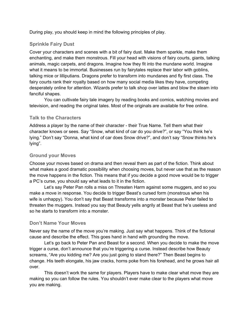<span id="page-35-0"></span>During play, you should keep in mind the following principles of play.

### **Sprinkle Fairy Dust**

Cover your characters and scenes with a bit of fairy dust. Make them sparkle, make them enchanting, and make them monstrous. Fill your head with visions of fairy courts, giants, talking animals, magic carpets, and dragons. Imagine how they fit into the mundane world. Imagine what it means to be immortal. Businesses run by fairytales replace their labor with goblins, talking mice or lilliputians. Dragons prefer to transform into mundanes and fly first class. The fairy courts rank their royalty based on how many social media likes they have, competing desperately online for attention. Wizards prefer to talk shop over lattes and blow the steam into fanciful shapes.

You can cultivate fairy tale imagery by reading books and comics, watching movies and television, and reading the original tales. Most of the originals are available for free online.

#### **Talk to the Characters**

Address a player by the name of their character - their True Name. Tell them what their character knows or sees. Say "Snow, what kind of car do you drive?", or say "You think he's lying." Don't say "Donna, what kind of car does Snow drive?", and don't say "Snow thinks he's lying".

#### **Ground your Moves**

Choose your moves based on drama and then reveal them as part of the fiction. Think about what makes a good dramatic possibility when choosing moves, but never use that as the reason the move happens in the fiction. This means that if you decide a good move would be to trigger a PC's curse, you should say what leads to it in the fiction.

Let's say Peter Pan rolls a miss on Threaten Harm against some muggers, and so you make a move in response. You decide to trigger Beast's cursed form (monstrous when his wife is unhappy). You don't say that Beast transforms into a monster because Peter failed to threaten the muggers. Instead you say that Beauty yells angrily at Beast that he's useless and so he starts to transform into a monster.

#### **Don't Name Your Moves**

Never say the name of the move you're making. Just say what happens. Think of the fictional cause and describe the effect. This goes hand in hand with grounding the move.

Let's go back to Peter Pan and Beast for a second. When you decide to make the move trigger a curse, don't announce that you're triggering a curse. Instead describe how Beauty screams, "Are you kidding me? Are you just going to stand there?" Then Beast begins to change. His teeth elongate, his jaw cracks, horns poke from his forehead, and he grows hair all over.

This doesn't work the same for players. Players have to make clear what move they are making so you can follow the rules. You shouldn't ever make clear to the players what move you are making.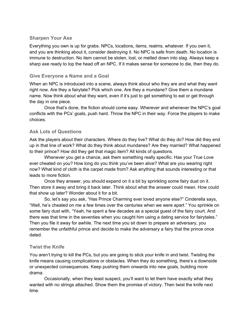# **Sharpen Your Axe**

Everything you own is up for grabs. NPCs, locations, items, realms, whatever. If you own it, and you are thinking about it, consider destroying it. No NPC is safe from death. No location is immune to destruction. No item cannot be stolen, lost, or melted down into slag. Always keep a sharp axe ready to lop the head off an NPC. If it makes sense for someone to die, then they do.

## **Give Everyone a Name and a Goal**

When an NPC is introduced into a scene, always think about who they are and what they want right now. Are they a fairytale? Pick which one. Are they a mundane? Give them a mundane name. Now think about what they want, even if it's just to get something to eat or get through the day in one piece.

Once that's done, the fiction should come easy. Wherever and whenever the NPC's goal conflicts with the PCs' goals, push hard. Throw the NPC in their way. Force the players to make choices.

# **Ask Lots of Questions**

Ask the players about their characters. Where do they live? What do they do? How did they end up in that line of work? What do they think about mundanes? Are they married? What happened to their prince? How did they get that magic item? All kinds of questions.

Whenever you get a chance, ask them something really specific. Has your True Love ever cheated on you? How long do you think you've been alive? What are you wearing right now? What kind of cloth is the carpet made from? Ask anything that sounds interesting or that leads to more fiction.

Once they answer, you should expand on it a bit by sprinkling some fairy dust on it. Then store it away and bring it back later. Think about what the answer could mean. How could that show up later? Wonder about it for a bit.

So, let's say you ask, "Has Prince Charming ever loved anyone else?" Cinderella says, "Well, he's cheated on me a few times over the centuries when we were apart." You sprinkle on some fairy dust with, "Yeah, he spent a few decades as a special guest of the fairy court. And there was that time in the seventies when you caught him using a dating service for fairytales." Then you file it away for awhile. The next time you sit down to prepare an adversary, you remember the unfaithful prince and decide to make the adversary a fairy that the prince once dated.

# **Twist the Knife**

You aren't trying to kill the PCs, but you are going to stick your knife in and twist. Twisting the knife means causing complications or obstacles. When they do something, there's a downside or unexpected consequences. Keep pushing them onwards into new goals, building more drama.

Occasionally, when they least suspect, you'll want to let them have exactly what they wanted with no strings attached. Show them the promise of victory. Then twist the knife next time.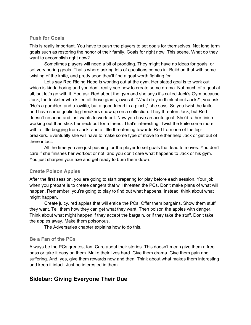## **Push for Goals**

This is really important. You have to push the players to set goals for themselves. Not long term goals such as restoring the honor of their family. Goals for right now. This scene. What do they want to accomplish right now?

Sometimes players will need a bit of prodding. They might have no ideas for goals, or set very boring goals. That's where asking lots of questions comes in. Build on that with some twisting of the knife, and pretty soon they'll find a goal worth fighting for.

Let's say Red Riding Hood is working out at the gym. Her stated goal is to work out, which is kinda boring and you don't really see how to create some drama. Not much of a goal at all, but let's go with it. You ask Red about the gym and she says it's called Jack's Gym because Jack, the trickster who killed all those giants, owns it. "What do you think about Jack?", you ask. "He's a gambler, and a lowlife, but a good friend in a pinch," she says. So you twist the knife and have some goblin leg-breakers show up on a collection. They threaten Jack, but Red doesn't respond and just wants to work out. Now you have an acute goal. She'd rather finish working out than stick her neck out for a friend. That's interesting. Twist the knife some more with a little begging from Jack, and a little threatening towards Red from one of the legbreakers. Eventually she will have to make some type of move to either help Jack or get out of there intact.

All the time you are just pushing for the player to set goals that lead to moves. You don't care if she finishes her workout or not, and you don't care what happens to Jack or his gym. You just sharpen your axe and get ready to burn them down.

# **Create Poison Apples**

After the first session, you are going to start preparing for play before each session. Your job when you prepare is to create dangers that will threaten the PCs. Don't make plans of what will happen. Remember, you're going to play to find out what happens. Instead, think about what might happen.

Create juicy, red apples that will entice the PCs. Offer them bargains. Show them stuff they want. Tell them how they can get what they want. Then poison the apples with danger. Think about what might happen if they accept the bargain, or if they take the stuff. Don't take the apples away. Make them poisonous.

The Adversaries chapter explains how to do this.

## **Be a Fan of the PCs**

Always be the PCs greatest fan. Care about their stories. This doesn't mean give them a free pass or take it easy on them. Make their lives hard. Give them drama. Give them pain and suffering. And, yes, give them rewards now and then. Think about what makes them interesting and keep it intact. Just be interested in them.

# **Sidebar: Giving Everyone Their Due**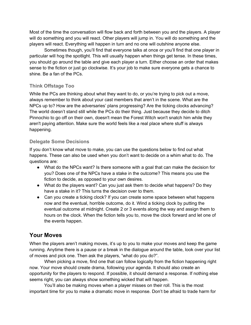Most of the time the conversation will flow back and forth between you and the players. A player will do something and you will react. Other players will jump in. You will do something and the players will react. Everything will happen in turn and no one will outshine anyone else.

Sometimes though, you'll find that everyone talks at once or you'll find that one player in particular will hog the spotlight. This will usually happen when things get tense. In these times, you should go around the table and give each player a turn. Either choose an order that makes sense to the fiction or just go clockwise. It's your job to make sure everyone gets a chance to shine. Be a fan of the PCs.

# **Think Offstage Too**

While the PCs are thinking about what they want to do, or you're trying to pick out a move, always remember to think about your cast members that aren't in the scene. What are the NPCs up to? How are the adversaries' plans progressing? Are the ticking clocks advancing? The world doesn't stand still while the PCs do their thing. Just because they decide to ditch Pinnochio to go off on their own, doesn't mean the Forest Witch won't snatch him while they aren't paying attention. Make sure the world feels like a real place where stuff is always happening.

# **Delegate Some Decisions**

If you don't know what move to make, you can use the questions below to find out what happens. These can also be used when you don't want to decide on a whim what to do. The questions are:

- What do the NPCs want? Is there someone with a goal that can make the decision for you? Does one of the NPCs have a stake in the outcome? This means you use the fiction to decide, as opposed to your own desires.
- What do the players want? Can you just ask them to decide what happens? Do they have a stake in it? This turns the decision over to them.
- Can you create a ticking clock? If you can create some space between what happens now and the eventual, horrible outcome, do it. Wind a ticking clock by putting the eventual outcome at midnight. Create 2 or 3 events along the way and assign them to hours on the clock. When the fiction tells you to, move the clock forward and let one of the events happen.

# **Your Moves**

When the players aren't making moves, it's up to you to make your moves and keep the game running. Anytime there is a pause or a break in the dialogue around the table, look over your list of moves and pick one. Then ask the players, "what do you do?".

When picking a move, find one that can follow logically from the fiction happening right now. Your move should create drama, following your agenda. It should also create an opportunity for the players to respond. If possible, it should demand a response. If nothing else seems right, you can always show something wicked that will happen.

You'll also be making moves when a player misses on their roll. This is the most important time for you to make a dramatic move in response. Don't be afraid to trade harm for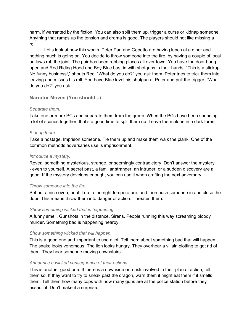harm, if warranted by the fiction. You can also split them up, trigger a curse or kidnap someone. Anything that ramps up the tension and drama is good. The players should not like missing a roll.

Let's look at how this works. Peter Pan and Gepetto are having lunch at a diner and nothing much is going on. You decide to throw someone into the fire, by having a couple of local outlaws rob the joint. The pair has been robbing places all over town. You have the door bang open and Red Riding Hood and Boy Blue bust in with shotguns in their hands. "This is a stickup. No funny business!," shouts Red. "What do you do?" you ask them. Peter tries to trick them into leaving and misses his roll. You have Blue level his shotgun at Peter and pull the trigger. "What do you do?" you ask.

**Narrator Moves (You should...)**

## *Separate them.*

Take one or more PCs and separate them from the group. When the PCs have been spending a lot of scenes together, that's a good time to split them up. Leave them alone in a dark forest.

## *Kidnap them.*

Take a hostage. Imprison someone. Tie them up and make them walk the plank. One of the common methods adversaries use is imprisonment.

## *Introduce a mystery.*

Reveal something mysterious, strange, or seemingly contradictory. Don't answer the mystery - even to yourself. A secret past, a familiar stranger, an intruder, or a sudden discovery are all good. If the mystery develops enough, you can use it when crafting the next adversary.

# *Throw someone into the fire.*

Set out a nice oven, heat it up to the right temperature, and then push someone in and close the door. This means throw them into danger or action. Threaten them.

## *Show something wicked that is happening.*

A funny smell. Gunshots in the distance. Sirens. People running this way screaming bloody murder. Something bad is happening nearby.

# *Show something wicked that will happen.*

This is a good one and important to use a lot. Tell them about something bad that will happen. The snake looks venomous. The lion looks hungry. They overhear a villain plotting to get rid of them. They hear someone moving downstairs.

## *Announce a wicked consequence of their actions.*

This is another good one. If there is a downside or a risk involved in their plan of action, tell them so. If they want to try to sneak past the dragon, warn them it might eat them if it smells them. Tell them how many cops with how many guns are at the police station before they assault it. Don't make it a surprise.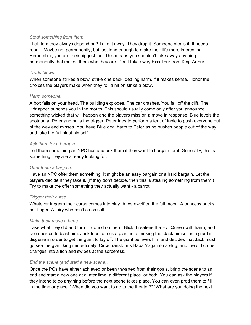### *Steal something from them.*

That item they always depend on? Take it away. They drop it. Someone steals it. It needs repair. Maybe not permanently, but just long enough to make their life more interesting. Remember, you are their biggest fan. This means you shouldn't take away anything permanently that makes them who they are. Don't take away Excalibur from King Arthur.

### *Trade blows.*

When someone strikes a blow, strike one back, dealing harm, if it makes sense. Honor the choices the players make when they roll a hit on strike a blow.

### *Harm someone.*

A box falls on your head. The building explodes. The car crashes. You fall off the cliff. The kidnapper punches you in the mouth. This should usually come only after you announce something wicked that will happen and the players miss on a move in response. Blue levels the shotgun at Peter and pulls the trigger. Peter tries to perform a feat of fable to push everyone out of the way and misses. You have Blue deal harm to Peter as he pushes people out of the way and take the full blast himself.

## *Ask them for a bargain.*

Tell them something an NPC has and ask them if they want to bargain for it. Generally, this is something they are already looking for.

## *Offer them a bargain.*

Have an NPC offer them something. It might be an easy bargain or a hard bargain. Let the players decide if they take it. (If they don't decide, then this is stealing something from them.) Try to make the offer something they actually want - a carrot.

## *Trigger their curse.*

Whatever triggers their curse comes into play. A werewolf on the full moon. A princess pricks her finger. A fairy who can't cross salt.

### *Make their move a bane.*

Take what they did and turn it around on them. Blick threatens the Evil Queen with harm, and she decides to blast him. Jack tries to trick a giant into thinking that Jack himself is a giant in disguise in order to get the giant to lay off. The giant believes him and decides that Jack must go see the giant king immediately. Circe transforms Baba Yaga into a slug, and the old crone changes into a lion and swipes at the sorceress.

## *End the scene (and start a new scene).*

Once the PCs have either achieved or been thwarted from their goals, bring the scene to an end and start a new one at a later time, a different place, or both. You can ask the players if they intend to do anything before the next scene takes place. You can even prod them to fill in the time or place. "When did you want to go to the theater?" "What are you doing the next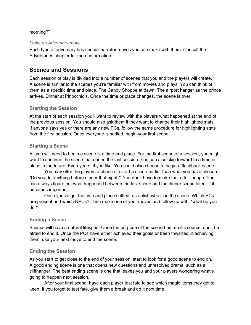## morning?"

### *Make an Adversary move*

Each type of adversary has special narrator moves you can make with them. Consult the Adversaries chapter for more information.

# **Scenes and Sessions**

Each session of play is divided into a number of scenes that you and the players will create. A scene is similar to the scenes you're familiar with from movies and plays. You can think of them as a specific time and place. The Candy Shoppe at dawn. The airport hanger as the prince arrives. Dinner at Pinocchio's. Once the time or place changes, the scene is over.

# **Starting the Session**

At the start of each session you'll want to review with the players what happened at the end of the previous session. You should also ask them if they want to change their highlighted stats. If anyone says yes or there are any new PCs, follow the same procedure for highlighting stats from the first session. Once everyone is settled, begin your first scene.

# **Starting a Scene**

All you will need to begin a scene is a time and place. For the first scene of a session, you might want to continue the scene that ended the last session. You can also skip forward to a time or place in the future. Even years, if you like. You could also choose to begin a flashback scene.

You may offer the players a chance to start a scene earlier than what you have chosen. "Do you do anything before dinner that night?" You don't have to make that offer though. You can always figure out what happened between the last scene and the dinner scene later - if it becomes important.

Once you've got the time and place settled, establish who is in the scene. Which PCs are present and which NPCs? Then make one of your moves and follow up with, "what do you do?"

# **Ending a Scene**

Scenes will have a natural lifespan. Once the purpose of the scene has run it's course, don't be afraid to end it. Once the PCs have either achieved their goals or been thwarted in achieving them, use your next move to end the scene.

# **Ending the Session**

As you start to get close to the end of your session, start to look for a good scene to end on. A good ending scene is one that opens new questions and unresolved drama, such as a cliffhanger. The best ending scene is one that leaves you and your players wondering what's going to happen next session.

After your final scene, have each player test fate to see which magic items they get to keep. If you forget to test fate, give them a break and do it next time.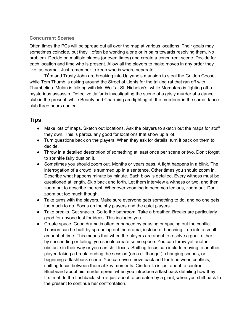# **Concurrent Scenes**

Often times the PCs will be spread out all over the map at various locations. Their goals may sometimes coincide, but they'll often be working alone or in pairs towards resolving them. No problem. Decide on multiple places (or even times) and create a concurrent scene. Decide for each location and time who is present. Allow all the players to make moves in any order they like, as normal. Just remember to keep who is where separate.

Tấm and Trusty John are breaking into Uglyane's mansion to steal the Golden Goose, while Tom Thumb is asking around the Street of Lights for the talking rat that ran off with Thumbelina. Mulan is talking with Mr. Wolf at St. Nicholas's, while Momotaro is fighting off a mysterious assassin. Detective Ja'far is investigating the scene of a grisly murder at a dance club in the present, while Beauty and Charming are fighting off the murderer in the same dance club three hours earlier.

# **Tips**

- Make lots of maps. Sketch out locations. Ask the players to sketch out the maps for stuff they own. This is particularly good for locations that show up a lot.
- Turn questions back on the players. When they ask for details, turn it back on them to decide.
- Throw in a detailed description of something at least once per scene or two. Don't forget to sprinkle fairy dust on it.
- Sometimes you should zoom out. Months or years pass. A fight happens in a blink. The interrogation of a crowd is summed up in a sentence. Other times you should zoom in. Describe what happens minute by minute. Each blow is detailed. Every witness must be questioned at length. Skip back and forth. Let them interview a witness or two, and then zoom out to describe the rest. Whenever zooming in becomes tedious, zoom out. Don't zoom out too much though.
- Take turns with the players. Make sure everyone gets something to do, and no one gets too much to do. Focus on the shy players and the quiet players.
- Take breaks. Get snacks. Go to the bathroom. Take a breather. Breaks are particularly good for anyone lost for ideas. This includes you.
- Create space. Good drama is often enhanced by pausing or spacing out the conflict. Tension can be built by spreading out the drama, instead of bunching it up into a small amount of time. This means that when the players are about to resolve a goal, either by succeeding or failing, you should create some space. You can throw yet another obstacle in their way or you can shift focus. Shifting focus can include moving to another player, taking a break, ending the session (on a cliffhanger), changing scenes, or beginning a flashback scene. You can even move back and forth between conflicts, shifting focus between them at key moments. Cinderella is just about to confront Bluebeard about his murder spree, when you introduce a flashback detailing how they first met. In the flashback, she is just about to be eaten by a giant, when you shift back to the present to continue her confrontation.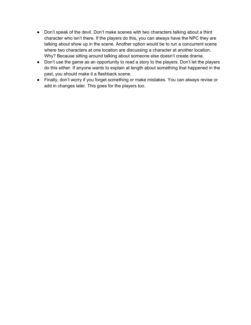- Don't speak of the devil. Don't make scenes with two characters talking about a third character who isn't there. If the players do this, you can always have the NPC they are talking about show up in the scene. Another option would be to run a concurrent scene where two characters at one location are discussing a character at another location. Why? Because sitting around talking about someone else doesn't create drama.
- Don't use the game as an opportunity to read a story to the players. Don't let the players do this either. If anyone wants to explain at length about something that happened in the past, you should make it a flashback scene.
- Finally, don't worry if you forget something or make mistakes. You can always revise or add in changes later. This goes for the players too.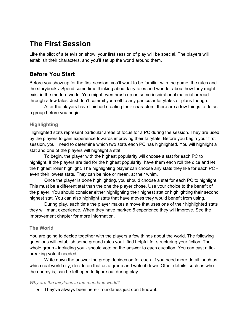# **The First Session**

Like the pilot of a television show, your first session of play will be special. The players will establish their characters, and you'll set up the world around them.

# **Before You Start**

Before you show up for the first session, you'll want to be familiar with the game, the rules and the storybooks. Spend some time thinking about fairy tales and wonder about how they might exist in the modern world. You might even brush up on some inspirational material or read through a few tales. Just don't commit yourself to any particular fairytales or plans though.

After the players have finished creating their characters, there are a few things to do as a group before you begin.

# **Highlighting**

Highlighted stats represent particular areas of focus for a PC during the session. They are used by the players to gain experience towards improving their fairytale. Before you begin your first session, you'll need to determine which two stats each PC has highlighted. You will highlight a stat and one of the players will highlight a stat.

To begin, the player with the highest popularity will choose a stat for each PC to highlight. If the players are tied for the highest popularity, have them each roll the dice and let the highest roller highlight. The highlighting player can choose any stats they like for each PC even their lowest stats. They can be nice or mean, at their whim.

Once the player is done highlighting, you should choose a stat for each PC to highlight. This must be a different stat than the one the player chose. Use your choice to the benefit of the player. You should consider either highlighting their highest stat or highlighting their second highest stat. You can also highlight stats that have moves they would benefit from using.

During play, each time the player makes a move that uses one of their highlighted stats they will mark experience. When they have marked 5 experience they will improve. See the Improvement chapter for more information.

# **The World**

You are going to decide together with the players a few things about the world. The following questions will establish some ground rules you'll find helpful for structuring your fiction. The whole group - including you - should vote on the answer to each question. You can cast a tiebreaking vote if needed.

Write down the answer the group decides on for each. If you need more detail, such as which real world city, decide on that as a group and write it down. Other details, such as who the enemy is, can be left open to figure out during play.

## *Why are the fairytales in the mundane world?*

● They've always been here - mundanes just don't know it.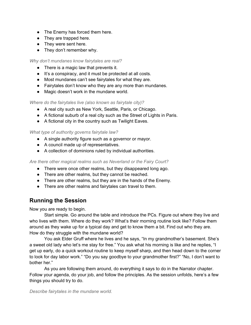- The Enemy has forced them here.
- They are trapped here.
- They were sent here.
- They don't remember why.

## *Why don't mundanes know fairytales are real?*

- There is a magic law that prevents it.
- It's a conspiracy, and it must be protected at all costs.
- Most mundanes can't see fairytales for what they are.
- Fairytales don't know who they are any more than mundanes.
- Magic doesn't work in the mundane world.

# *Where do the fairytales live (also known as fairytale city)?*

- A real city such as New York, Seattle, Paris, or Chicago.
- A fictional suburb of a real city such as the Street of Lights in Paris.
- A fictional city in the country such as Twilight Eaves.

# *What type of authority governs fairytale law?*

- A single authority figure such as a governor or mayor.
- A council made up of representatives.
- A collection of dominions ruled by individual authorities.

# *Are there other magical realms such as Neverland or the Fairy Court?*

- There were once other realms, but they disappeared long ago.
- There are other realms, but they cannot be reached.
- There are other realms, but they are in the hands of the Enemy.
- There are other realms and fairytales can travel to them.

# **Running the Session**

Now you are ready to begin.

Start simple. Go around the table and introduce the PCs. Figure out where they live and who lives with them. Where do they work? What's their morning routine look like? Follow them around as they wake up for a typical day and get to know them a bit. Find out who they are. How do they struggle with the mundane world?

You ask Elder Gruff where he lives and he says, "In my grandmother's basement. She's a sweet old lady who let's me stay for free." You ask what his morning is like and he replies, "I get up early, do a quick workout routine to keep myself sharp, and then head down to the corner to look for day labor work." "Do you say goodbye to your grandmother first?" "No, I don't want to bother her."

As you are following them around, do everything it says to do in the Narrator chapter. Follow your agenda, do your job, and follow the principles. As the session unfolds, here's a few things you should try to do.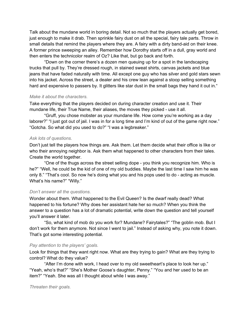Talk about the mundane world in boring detail. Not so much that the players actually get bored, just enough to make it drab. Then sprinkle fairy dust on all the special, fairy tale parts. Throw in small details that remind the players where they are. A fairy with a dirty band-aid on their knee. A former prince sweeping an alley. Remember how Dorothy starts off in a dull, gray world and then enters the technicolor realm of Oz? Like that, but go back and forth.

"Down on the corner there's a dozen men queuing up for a spot in the landscaping trucks that pull by. They're dressed rough, in stained sweat shirts, canvas jackets and blue jeans that have faded naturally with time. All except one guy who has silver and gold stars sewn into his jacket. Across the street, a dealer and his crew lean against a stoop selling something hard and expensive to passers by. It glitters like star dust in the small bags they hand it out in."

#### *Make it about the characters.*

Take everything that the players decided on during character creation and use it. Their mundane life, their True Name, their aliases, the moves they picked - use it all.

"Gruff, you chose mobster as your mundane life. How come you're working as a day laborer?" "I just got out of jail. I was in for a long time and I'm kind of out of the game right now." "Gotcha. So what did you used to do?" "I was a legbreaker."

### *Ask lots of questions.*

Don't just tell the players how things are. Ask them. Let them decide what their office is like or who their annoying neighbor is. Ask them what happened to other characters from their tales. Create the world together.

"One of the thugs across the street selling dope - you think you recognize him. Who is he?" "Well, he could be the kid of one of my old buddies. Maybe the last time I saw him he was only 8." "That's cool. So now he's doing what you and his pops used to do - acting as muscle. What's his name?" "Willy."

### *Don't answer all the questions.*

Wonder about them. What happened to the Evil Queen? Is the dwarf really dead? What happened to his fortune? Why does her assistant hate her so much? When you think the answer to a question has a lot of dramatic potential, write down the question and tell yourself you'll answer it later.

"So, what kind of mob do you work for? Mundane? Fairytales?" "The goblin mob. But I don't work for them anymore. Not since I went to jail." Instead of asking why, you note it down. That's got some interesting potential.

### *Pay attention to the players' goals.*

Look for things that they want right now. What are they trying to gain? What are they trying to control? What do they value?

"After I'm done with work, I head over to my old sweetheart's place to look her up." "Yeah, who's that?" "She's Mother Goose's daughter, Penny." "You and her used to be an item?" "Yeah. She was all I thought about while I was away."

### *Threaten their goals.*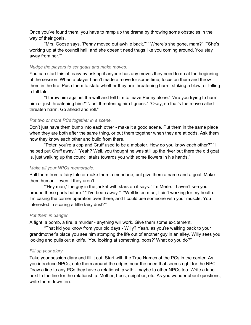Once you've found them, you have to ramp up the drama by throwing some obstacles in the way of their goals.

"Mrs. Goose says, 'Penny moved out awhile back.'" "'Where's she gone, mam?'" "'She's working up at the council hall, and she doesn't need thugs like you coming around. You stay away from her.'"

### *Nudge the players to set goals and make moves.*

You can start this off easy by asking if anyone has any moves they need to do at the beginning of the session. When a player hasn't made a move for some time, focus on them and throw them in the fire. Push them to state whether they are threatening harm, striking a blow, or telling a tall tale.

"I throw him against the wall and tell him to leave Penny alone." "Are you trying to harm him or just threatening him?" "Just threatening him I guess." "Okay, so that's the move called threaten harm. Go ahead and roll."

## *Put two or more PCs together in a scene.*

Don't just have them bump into each other - make it a good scene. Put them in the same place when they are both after the same thing, or put them together when they are at odds. Ask them how they know each other and build from there.

"Peter, you're a cop and Gruff used to be a mobster. How do you know each other?" "I helped put Gruff away." "Yeah? Well, you thought he was still up the river but there the old goat is, just walking up the council stairs towards you with some flowers in his hands."

## *Make all your NPCs memorable.*

Pull them from a fairy tale or make them a mundane, but give them a name and a goal. Make them human - even if they aren't.

"'Hey man,' the guy in the jacket with stars on it says. 'I'm Merle. I haven't see you around these parts before." "'I've been away.'" "'Well listen man, I ain't working for my health. I'm casing the corner operation over there, and I could use someone with your muscle. You interested in scoring a little fairy dust?'"

### *Put them in danger.*

A fight, a bomb, a fire, a murder - anything will work. Give them some excitement.

"That kid you know from your old days - Willy? Yeah, as you're walking back to your grandmother's place you see him stomping the life out of another guy in an alley. Willy sees you looking and pulls out a knife. 'You looking at something, pops?' What do you do?"

## *Fill up your diary.*

Take your session diary and fill it out. Start with the True Names of the PCs in the center. As you introduce NPCs, note them around the edges near the need that seems right for the NPC. Draw a line to any PCs they have a relationship with - maybe to other NPCs too. Write a label next to the line for the relationship. Mother, boss, neighbor, etc. As you wonder about questions, write them down too.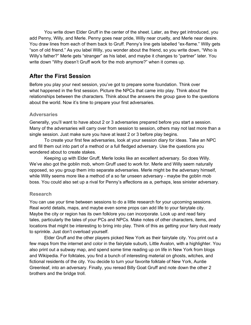You write down Elder Gruff in the center of the sheet. Later, as they get introduced, you add Penny, Willy, and Merle. Penny goes near pride, Willy near cruelty, and Merle near desire. You draw lines from each of them back to Gruff. Penny's line gets labelled "ex-flame." Willy gets "son of old friend." As you label Willy, you wonder about the friend, so you write down, "Who is Willy's father?" Merle gets "stranger" as his label, and maybe it changes to "partner" later. You write down "Why doesn't Gruff work for the mob anymore?" when it comes up.

# **After the First Session**

Before you play your next session, you've got to prepare some foundation. Think over what happened in the first session. Picture the NPCs that came into play. Think about the relationships between the characters. Think about the answers the group gave to the questions about the world. Now it's time to prepare your first adversaries.

## **Adversaries**

Generally, you'll want to have about 2 or 3 adversaries prepared before you start a session. Many of the adversaries will carry over from session to session, others may not last more than a single session. Just make sure you have at least 2 or 3 before play begins.

To create your first few adversaries, look at your session diary for ideas. Take an NPC and fill them out into part of a method or a full fledged adversary. Use the questions you wondered about to create stakes.

Keeping up with Elder Gruff, Merle looks like an excellent adversary. So does Willy. We've also got the goblin mob, whom Gruff used to work for. Merle and Willy seem naturally opposed, so you group them into separate adversaries. Merle might be the adversary himself, while Willy seems more like a method of a so far unseen adversary - maybe the goblin mob boss. You could also set up a rival for Penny's affections as a, perhaps, less sinister adversary.

# **Research**

You can use your time between sessions to do a little research for your upcoming sessions. Real world details, maps, and maybe even some props can add life to your fairytale city. Maybe the city or region has its own folklore you can incorporate. Look up and read fairy tales, particularly the tales of your PCs and NPCs. Make notes of other characters, items, and locations that might be interesting to bring into play. Think of this as getting your fairy dust ready to sprinkle. Just don't overload yourself.

Elder Gruff and the other players picked New York as their fairytale city. You print out a few maps from the internet and color in the fairytale suburb, Little Avalon, with a highlighter. You also print out a subway map, and spend some time reading up on life in New York from blogs and Wikipedia. For folktales, you find a bunch of interesting material on ghosts, witches, and fictional residents of the city. You decide to turn your favorite folktale of New York, Auntie Greenleaf, into an adversary. Finally, you reread Billy Goat Gruff and note down the other 2 brothers and the bridge troll.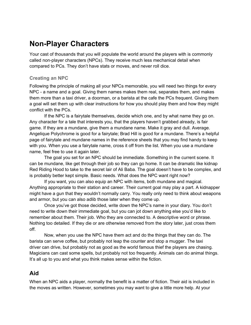# **Non-Player Characters**

Your cast of thousands that you will populate the world around the players with is commonly called non-player characters (NPCs). They receive much less mechanical detail when compared to PCs. They don't have stats or moves, and never roll dice.

# **Creating an NPC**

Following the principle of making all your NPCs memorable, you will need two things for every NPC - a name and a goal. Giving them names makes them real, separates them, and makes them more than a taxi driver, a doorman, or a barista at the cafe the PCs frequent. Giving them a goal will set them up with clear instructions for how you should play them and how they might conflict with the PCs.

If the NPC is a fairytale themselves, decide which one, and by what name they go on. Any character for a tale that interests you, that the players haven't grabbed already, is fair game. If they are a mundane, give them a mundane name. Make it gray and dull. Average. Angelique Polychrome is good for a fairytale; Brad Hill is good for a mundane. There's a helpful page of fairytale and mundane names in the reference sheets that you may find handy to keep with you. When you use a fairytale name, cross it off from the list. When you use a mundane name, feel free to use it again later.

The goal you set for an NPC should be immediate. Something in the current scene. It can be mundane, like get through their job so they can go home. It can be dramatic like kidnap Red Riding Hood to take to the secret lair of Ali Baba. The goal doesn't have to be complex, and is probably better kept simple. Basic needs. What does the NPC want right now?

If you want, you can also equip an NPC with items, both mundane and magical. Anything appropriate to their station and career. Their current goal may play a part. A kidnapper might have a gun that they wouldn't normally carry. You really only need to think about weapons and armor, but you can also adlib those later when they come up.

Once you've got those decided, write down the NPC's name in your diary. You don't need to write down their immediate goal, but you can jot down anything else you'd like to remember about them. Their job. Who they are connected to. A descriptive word or phrase. Nothing too detailed. If they die or are otherwise removed from the story later, just cross them off.

Now, when you use the NPC have them act and do the things that they can do. The barista can serve coffee, but probably not leap the counter and stop a mugger. The taxi driver can drive, but probably not as good as the world famous thief the players are chasing. Magicians can cast some spells, but probably not too frequently. Animals can do animal things. It's all up to you and what you think makes sense within the fiction.

# **Aid**

When an NPC aids a player, normally the benefit is a matter of fiction. Their aid is included in the moves as written. However, sometimes you may want to give a little more help. At your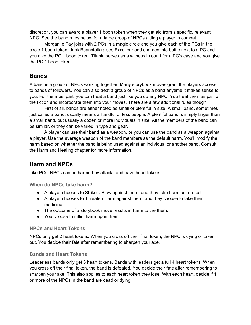discretion, you can award a player 1 boon token when they get aid from a specific, relevant NPC. See the band rules below for a large group of NPCs aiding a player in combat.

Morgan le Fay joins with 2 PCs in a magic circle and you give each of the PCs in the circle 1 boon token. Jack Beanstalk raises Excalibur and charges into battle next to a PC and you give the PC 1 boon token. Titania serves as a witness in court for a PC's case and you give the PC 1 boon token.

# **Bands**

A band is a group of NPCs working together. Many storybook moves grant the players access to bands of followers. You can also treat a group of NPCs as a band anytime it makes sense to you. For the most part, you can treat a band just like you do any NPC. You treat them as part of the fiction and incorporate them into your moves. There are a few additional rules though.

First of all, bands are either noted as small or plentiful in size. A small band, sometimes just called a band, usually means a handful or less people. A plentiful band is simply larger than a small band, but usually a dozen or more individuals in size. All the members of the band can be similar, or they can be varied in type and gear.

A player can use their band as a weapon, or you can use the band as a weapon against a player. Use the average weapon of the band members as the default harm. You'll modify the harm based on whether the band is being used against an individual or another band. Consult the Harm and Healing chapter for more information.

# **Harm and NPCs**

Like PCs, NPCs can be harmed by attacks and have heart tokens.

**When do NPCs take harm?**

- A player chooses to Strike a Blow against them, and they take harm as a result.
- A player chooses to Threaten Harm against them, and they choose to take their medicine.
- The outcome of a storybook move results in harm to the them.
- You choose to inflict harm upon them.

# **NPCs and Heart Tokens**

NPCs only get 2 heart tokens. When you cross off their final token, the NPC is dying or taken out. You decide their fate after remembering to sharpen your axe.

# **Bands and Heart Tokens**

Leaderless bands only get 3 heart tokens. Bands with leaders get a full 4 heart tokens. When you cross off their final token, the band is defeated. You decide their fate after remembering to sharpen your axe. This also applies to each heart token they lose. With each heart, decide if 1 or more of the NPCs in the band are dead or dying.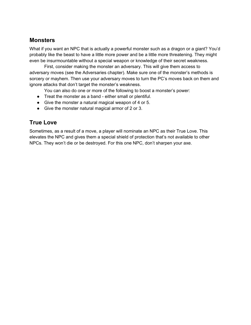# **Monsters**

What if you want an NPC that is actually a powerful monster such as a dragon or a giant? You'd probably like the beast to have a little more power and be a little more threatening. They might even be insurmountable without a special weapon or knowledge of their secret weakness.

First, consider making the monster an adversary. This will give them access to adversary moves (see the Adversaries chapter). Make sure one of the monster's methods is sorcery or mayhem. Then use your adversary moves to turn the PC's moves back on them and ignore attacks that don't target the monster's weakness.

You can also do one or more of the following to boost a monster's power:

- Treat the monster as a band either small or plentiful.
- Give the monster a natural magical weapon of 4 or 5.
- Give the monster natural magical armor of 2 or 3.

# **True Love**

Sometimes, as a result of a move, a player will nominate an NPC as their True Love. This elevates the NPC and gives them a special shield of protection that's not available to other NPCs. They won't die or be destroyed. For this one NPC, don't sharpen your axe.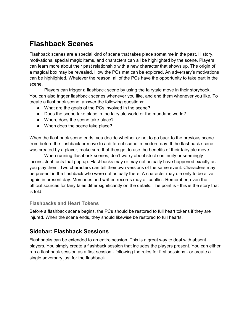# **Flashback Scenes**

Flashback scenes are a special kind of scene that takes place sometime in the past. History, motivations, special magic items, and characters can all be highlighted by the scene. Players can learn more about their past relationship with a new character that shows up. The origin of a magical box may be revealed. How the PCs met can be explored. An adversary's motivations can be highlighted. Whatever the reason, all of the PCs have the opportunity to take part in the scene.

Players can trigger a flashback scene by using the fairytale move in their storybook. You can also trigger flashback scenes whenever you like, and end them whenever you like. To create a flashback scene, answer the following questions:

- What are the goals of the PCs involved in the scene?
- Does the scene take place in the fairytale world or the mundane world?
- Where does the scene take place?
- When does the scene take place?

When the flashback scene ends, you decide whether or not to go back to the previous scene from before the flashback or move to a different scene in modern day. If the flashback scene was created by a player, make sure that they get to use the benefits of their fairytale move.

When running flashback scenes, don't worry about strict continuity or seemingly inconsistent facts that pop up. Flashbacks may or may not actually have happened exactly as you play them. Two characters can tell their own versions of the same event. Characters may be present in the flashback who were not actually there. A character may die only to be alive again in present day. Memories and written records may all conflict. Remember, even the official sources for fairy tales differ significantly on the details. The point is - this is the story that is told.

## **Flashbacks and Heart Tokens**

Before a flashback scene begins, the PCs should be restored to full heart tokens if they are injured. When the scene ends, they should likewise be restored to full hearts.

# **Sidebar: Flashback Sessions**

Flashbacks can be extended to an entire session. This is a great way to deal with absent players. You simply create a flashback session that includes the players present. You can either run a flashback session as a first session - following the rules for first sessions - or create a single adversary just for the flashback.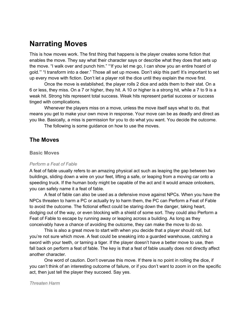# **Narrating Moves**

This is how moves work. The first thing that happens is the player creates some fiction that enables the move. They say what their character says or describe what they does that sets up the move. "I walk over and punch him." "'If you let me go, I can show you an entire hoard of gold.'" "I transform into a deer." Those all set up moves. Don't skip this part! It's important to set up every move with fiction. Don't let a player roll the dice until they explain the move first.

Once the move is established, the player rolls 2 dice and adds them to their stat. On a 6 or less, they miss. On a 7 or higher, they hit. A 10 or higher is a strong hit, while a 7 to 9 is a weak hit. Strong hits represent total success. Weak hits represent partial success or success tinged with complications.

Whenever the players miss on a move, unless the move itself says what to do, that means you get to make your own move in response. Your move can be as deadly and direct as you like. Basically, a miss is permission for you to do what you want. You decide the outcome.

The following is some guidance on how to use the moves.

# **The Moves**

### **Basic Moves**

### *Perform a Feat of Fable*

A feat of fable usually refers to an amazing physical act such as leaping the gap between two buildings, sliding down a wire on your feet, lifting a safe, or leaping from a moving car onto a speeding truck. If the human body might be capable of the act and it would amaze onlookers, you can safely name it a feat of fable.

A feat of fable can also be used as a defensive move against NPCs. When you have the NPCs threaten to harm a PC or actually try to harm them, the PC can Perform a Feat of Fable to avoid the outcome. The fictional effect could be staring down the danger, taking heart, dodging out of the way, or even blocking with a shield of some sort. They could also Perform a Feat of Fable to escape by running away or leaping across a building. As long as they conceivably have a chance of avoiding the outcome, they can make the move to do so.

This is also a great move to start with when you decide that a player should roll, but you're not sure which move. A feat could be sneaking into a guarded warehouse, catching a sword with your teeth, or taming a tiger. If the player doesn't have a better move to use, then fall back on perform a feat of fable. The key is that a feat of fable usually does not directly affect another character.

One word of caution. Don't overuse this move. If there is no point in rolling the dice, if you can't think of an interesting outcome of failure, or if you don't want to zoom in on the specific act, then just tell the player they succeed. Say yes.

#### *Threaten Harm*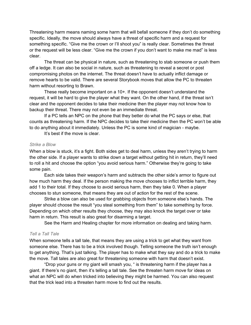Threatening harm means naming some harm that will befall someone if they don't do something specific. Ideally, the move should always have a threat of specific harm and a request for something specific. "Give me the crown or I'll shoot you" is really clear. Sometimes the threat or the request will be less clear. "Give me the crown if you don't want to make me mad" is less clear.

The threat can be physical in nature, such as threatening to stab someone or push them off a ledge. It can also be social in nature, such as threatening to reveal a secret or post compromising photos on the internet. The threat doesn't have to actually inflict damage or remove hearts to be valid. There are several Storybook moves that allow the PC to threaten harm without resorting to Brawn.

These really become important on a 10+. If the opponent doesn't understand the request, it will be hard to give the player what they want. On the other hand, if the threat isn't clear and the opponent decides to take their medicine then the player may not know how to backup their threat. There may not even be an immediate threat.

If a PC tells an NPC on the phone that they better do what the PC says or else, that counts as threatening harm. If the NPC decides to take their medicine then the PC won't be able to do anything about it immediately. Unless the PC is some kind of magician - maybe.

It's best if the move is clear.

### *Strike a Blow*

When a blow is stuck, it's a fight. Both sides get to deal harm, unless they aren't trying to harm the other side. If a player wants to strike down a target without getting hit in return, they'll need to roll a hit and choose the option "you avoid serious harm." Otherwise they're going to take some pain.

Each side takes their weapon's harm and subtracts the other side's armor to figure out how much harm they deal. If the person making the move chooses to inflict terrible harm, they add 1 to their total. If they choose to avoid serious harm, then they take 0. When a player chooses to stun someone, that means they are out of action for the rest of the scene.

Strike a blow can also be used for grabbing objects from someone else's hands. The player should choose the result "you steal something from them" to take something by force. Depending on which other results they choose, they may also knock the target over or take harm in return. This result is also great for disarming a target.

See the Harm and Healing chapter for more information on dealing and taking harm.

## *Tell a Tall Tale*

When someone tells a tall tale, that means they are using a trick to get what they want from someone else. There has to be a trick involved though. Telling someone the truth isn't enough to get anything. That's just talking. The player has to make what they say and do a trick to make the move. Tall tales are also great for threatening someone with harm that doesn't exist.

"Drop your guns or my giant will smash you, " is threatening harm if the player has a giant. If there's no giant, then it's telling a tall tale. See the threaten harm move for ideas on what an NPC will do when tricked into believing they might be harmed. You can also request that the trick lead into a threaten harm move to find out the results.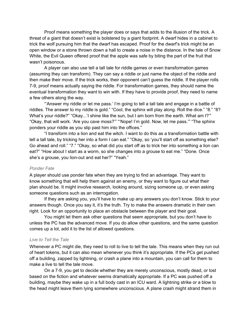Proof means something the player does or says that adds to the illusion of the trick. A threat of a giant that doesn't exist is bolstered by a giant footprint. A dwarf hides in a cabinet to trick the wolf pursuing him that the dwarf has escaped. Proof for the dwarf's trick might be an open window or a stone thrown down a hall to create a noise in the distance. In the tale of Snow White, the Evil Queen offered proof that the apple was safe by biting the part of the fruit that wasn't poisonous.

A player can also use tell a tall tale for riddle games or even transformation games (assuming they can transform). They can say a riddle or just name the object of the riddle and then make their move. If the trick works, their opponent can't guess the riddle. If the player rolls 7-9, proof means actually saying the riddle. For transformation games, they should name the eventual transformation they want to win with. If they have to provide proof, they need to name a few others along the way.

"'Answer my riddle or let me pass.' I'm going to tell a tall tale and engage in a battle of riddles. The answer to my riddle is gold." "Cool, the sphinx will play along. Roll the dice." "8." "8? What's your riddle?" "Okay...'I shine like the sun, but I am born from the earth. What am I?"" "Okay, that will work. 'Are you cave moss?'" "'Nope! I'm gold. Now, let me pass.'" "The sphinx ponders your riddle as you slip past him into the offices."

"I transform into a lion and eat the witch. I want to do this as a transformation battle with tell a tall tale, by tricking her into a form I can eat." "Okay, so 'you'll start off as something else? Go ahead and roll." "7." "Okay, so what did you start off as to trick her into something a lion can eat?" "How about I start as a worm, so she changes into a grouse to eat me." "Done. Once she's a grouse, you lion-out and eat her?" "Yeah."

### *Ponder Fate*

A player should use ponder fate when they are trying to find an advantage. They want to know something that will help them against an enemy, or they want to figure out what their plan should be. It might involve research, looking around, sizing someone up, or even asking someone questions such as an interrogation.

If they are asking you, you'll have to make up any answers you don't know. Stick to your answers though. Once you say it, it's the truth. Try to make the answers dramatic in their own right. Look for an opportunity to place an obstacle between the player and their goal.

You might let them ask other questions that seem appropriate, but you don't have to unless the PC has the advanced move. If you do allow other questions, and the same question comes up a lot, add it to the list of allowed questions.

### *Live to Tell the Tale*

Whenever a PC might die, they need to roll to live to tell the tale. This means when they run out of heart tokens, but it can also mean whenever you think it's appropriate. If the PCs get pushed off a building, zapped by lightning, or crash a plane into a mountain, you can call for them to make a live to tell the tale move.

On a 7-9, you get to decide whether they are merely unconscious, mostly dead, or lost based on the fiction and whatever seems dramatically appropriate. If a PC was pushed off a building, maybe they wake up in a full body cast in an ICU ward. A lightning strike or a blow to the head might leave them lying somewhere unconscious. A plane crash might strand them in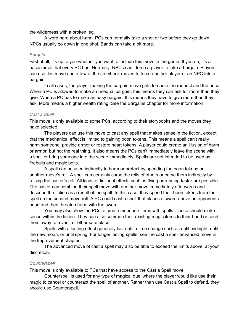the wilderness with a broken leg.

A word here about harm. PCs can normally take a shot or two before they go down. NPCs usually go down in one shot. Bands can take a bit more.

## *Bargain*

First of all, it's up to you whether you want to include this move in the game. If you do, it's a basic move that every PC has. Normally, NPCs can't force a player to take a bargain. Players can use this move and a few of the storybook moves to force another player or an NPC into a bargain.

In all cases, the player making the bargain move gets to name the request and the price. When a PC is allowed to make an unequal bargain, this means they can ask for more than they give. When a PC has to make an easy bargain, this means they have to give more than they ask. More means a higher wealth rating. See the Bargains chapter for more information.

# *Cast a Spell*

This move is only available to some PCs, according to their storybooks and the moves they have selected.

The players can use this move to cast any spell that makes sense in the fiction, except that the mechanical effect is limited to gaining boon tokens. This means a spell can't really harm someone, provide armor or restore heart tokens. A player could create an illusion of harm or armor, but not the real thing. It also means the PCs can't immediately leave the scene with a spell or bring someone into the scene immediately. Spells are not intended to be used as fireballs and magic bolts.

A spell can be used indirectly to harm or protect by spending the boon tokens on another move's roll. A spell can certainly curse the rolls of others or curse them indirectly by raising the caster's roll. All kinds of fictional effects such as flying or running faster are possible. The caster can combine their spell move with another move immediately afterwards and describe the fiction as a result of the spell. In this case, they spend their boon tokens from the spell on the second move roll. A PC could cast a spell that places a sword above an opponents head and then threaten harm with the sword.

You may also allow the PCs to create mundane items with spells. These should make sense within the fiction. They can also summon their existing magic items to their hand or send them away to a vault or other safe place.

Spells with a lasting effect generally last until a time change such as until midnight, until the new moon, or until spring. For longer lasting spells, see the cast a spell advanced move in the Improvement chapter.

The advanced move of cast a spell may also be able to exceed the limits above, at your discretion.

# *Counterspell*

This move is only available to PCs that have access to the Cast a Spell move.

Counterspell is used for any type of magical duel where the player would like use their magic to cancel or counteract the spell of another. Rather than use Cast a Spell to defend, they should use Counterspell.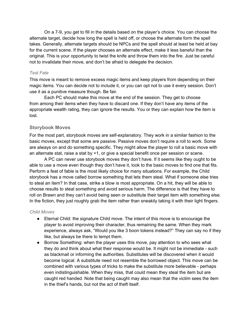On a 7-9, you get to fill in the details based on the player's choice. You can choose the alternate target, decide how long the spell is held off, or choose the alternate form the spell takes. Generally, alternate targets should be NPCs and the spell should at least be held at bay for the current scene. If the player chooses an alternate effect, make it less baneful than the original. This is your opportunity to twist the knife and throw them into the fire. Just be careful not to invalidate their move, and don't be afraid to delegate the decision.

### *Test Fate*

This move is meant to remove excess magic items and keep players from depending on their magic items. You can decide not to include it, or you can opt not to use it every session. Don't use it as a punitive measure though. Be fair.

Each PC should make this move at the end of the session. They get to choose from among their items when they have to discard one. If they don't have any items of the appropriate wealth rating, they can ignore the results. You or they can explain how the item is lost.

## **Storybook Moves**

For the most part, storybook moves are self-explanatory. They work in a similar fashion to the basic moves, except that some are passive. Passive moves don't require a roll to work. Some are always on and do something specific. They might allow the player to roll a basic move with an alternate stat, raise a stat by +1, or give a special benefit once per session or scene.

A PC can never use storybook moves they don't have. If it seems like they ought to be able to use a move even though they don't have it, look to the basic moves to find one that fits. Perform a feat of fable is the most likely choice for many situations. For example, the Child storybook has a move called borrow something that lets them steal. What if someone else tries to steal an item? In that case, strike a blow is most appropriate. On a hit, they will be able to choose results to steal something and avoid serious harm. The difference is that they have to roll on Brawn and they can't avoid being seen or substitute their target item with something else. In the fiction, they just roughly grab the item rather than sneakily taking it with their light fingers.

## *Child Moves*

- Eternal Child: the signature Child move. The intent of this move is to encourage the player to avoid improving their character, thus remaining the same. When they mark experience, always ask, "Would you like 3 boon tokens instead?" They can say no if they like, but always be there to tempt them.
- Borrow Something: when the player uses this move, pay attention to who sees what they do and think about what their response would be. It might not be immediate - such as blackmail or informing the authorities. Substitutes will be discovered when it would become logical. A substitute need not resemble the borrowed object. This move can be combined with various types of tricks to make the substitute more believable - perhaps even indistinguishable. When they miss, that could mean they steal the item but are caught red handed. Note that being caught may also mean that the victim sees the item in the thief's hands, but not the act of theft itself.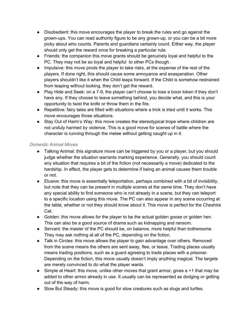- Disobedient: this move encourages the player to break the rules and go against the grown-ups. You can read authority figure to be any grown-up, or you can be a bit more picky about who counts. Parents and guardians certainly count. Either way, the player should only get the reward once for breaking a particular rule.
- Friends: the companion this move grants should be genuinely loyal and helpful to the PC. They may not be so loyal and helpful to other PCs though.
- Impulsive: this move prods the player to take risks, at the expense of the rest of the players. If done right, this should cause some annoyance and exasperation. Other players shouldn't like it when the Child leaps forward. If the Child is somehow restrained from leaping without looking, they don't get the reward.
- Play Hide and Seek: on a 7-9, the player can't choose to lose a boon token if they don't have any. If they choose to leave something behind, you decide what, and this is your opportunity to twist the knife or throw them in the fire.
- Repetitive: fairy tales are filled with situations where a trick is tried until it works. This move encourages those situations.
- Stay Out of Harm's Way: this move creates the stereotypical trope where children are not unduly harmed by violence. This is a good move for scenes of battle where the character is running through the melee without getting caught up in it.

## *Domestic Animal Moves*

- Talking Animal: this signature move can be triggered by you or a player, but you should judge whether the situation warrants marking experience. Generally, you should count any situation that requires a bit of the fiction (not necessarily a move) dedicated to the hardship. In effect, the player gets to determine if being an animal causes them trouble or not.
- Elusive: this move is essentially teleportation, perhaps combined with a bit of invisibility, but note that they can be present in multiple scenes at the same time. They don't have any special ability to find someone who is not already in a scene, but they can teleport to a specific location using this move. The PC can also appear in any scene occurring at the table, whether or not they should know about it. This move is perfect for the Cheshire Cat.
- Golden: this move allows for the player to be the actual golden goose or golden hen. This can also be a good source of drama such as kidnapping and ransom.
- Servant: the master of the PC should be, on balance, more helpful than bothersome. They may ask nothing at all of the PC, depending on the fiction.
- Talk in Circles: this move allows the player to gain advantage over others. Removed from the scene means the others are sent away, flee, or leave. Trading places usually means trading positions, such as a guard agreeing to trade places with a prisoner. Depending on the fiction, this move usually doesn't imply anything magical. The targets are merely convinced to do what the player wants.
- Simple at Heart: this move, unlike other moves that grant armor, gives a +1 that may be added to other armor already in use. It usually can be represented as dodging or getting out of the way of harm.
- Slow But Steady: this move is good for slow creatures such as slugs and turtles.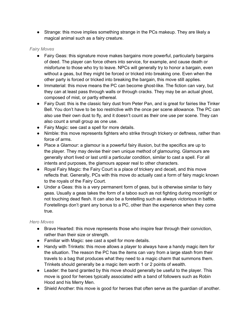• Strange: this move implies something strange in the PCs makeup. They are likely a magical animal such as a fairy creature.

# *Fairy Moves*

- Fairy Geas: this signature move makes bargains more powerful, particularly bargains of deed. The player can force others into service, for example, and cause death or misfortune to those who try to leave. NPCs will generally try to honor a bargain, even without a geas, but they might be forced or tricked into breaking one. Even when the other party is forced or tricked into breaking the bargain, this move still applies.
- Immaterial: this move means the PC can become ghost-like. The fiction can vary, but they can at least pass through walls or through cracks. They may be an actual ghost, composed of mist, or partly ethereal.
- Fairy Dust: this is the classic fairy dust from Peter Pan, and is great for fairies like Tinker Bell. You don't have to be too restrictive with the once per scene allowance. The PC can also use their own dust to fly, and it doesn't count as their one use per scene. They can also count a small group as one use.
- Fairy Magic: see cast a spell for more details.
- Nimble: this move represents fighters who strike through trickery or deftness, rather than force of arms.
- Place a Glamour: a glamour is a powerful fairy illusion, but the specifics are up to the player. They may devise their own unique method of glamouring. Glamours are generally short lived or last until a particular condition, similar to cast a spell. For all intents and purposes, the glamours appear real to other characters.
- Royal Fairy Magic: the Fairy Court is a place of trickery and deceit, and this move reflects that. Generally, PCs with this move do actually cast a form of fairy magic known to the royals of the Fairy Court.
- Under a Geas: this is a very permanent form of geas, but is otherwise similar to fairy geas. Usually a geas takes the form of a taboo such as not fighting during moonlight or not touching dead flesh. It can also be a foretelling such as always victorious in battle. Foretellings don't grant any bonus to a PC, other than the experience when they come true.

# *Hero Moves*

- Brave Hearted: this move represents those who inspire fear through their conviction, rather than their size or strength.
- Familiar with Magic: see cast a spell for more details.
- Handy with Trinkets: this move allows a player to always have a handy magic item for the situation. The reason the PC has the items can vary from a large stash from their travels to a bag that produces what they need to a magic charm that summons them. Trinkets should generally be a magic item worth 1 or 2 points of wealth.
- Leader: the band granted by this move should generally be useful to the player. This move is good for heroes typically associated with a band of followers such as Robin Hood and his Merry Men.
- Shield Another: this move is good for heroes that often serve as the guardian of another.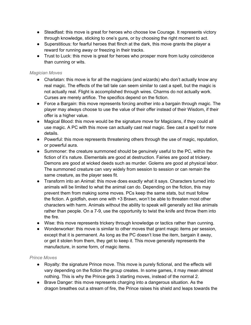- Steadfast: this move is great for heroes who choose low Courage. It represents victory through knowledge, sticking to one's guns, or by choosing the right moment to act.
- Superstitious: for fearful heroes that flinch at the dark, this move grants the player a reward for running away or freezing in their tracks.
- Trust to Luck: this move is great for heroes who prosper more from lucky coincidence than cunning or wits.

# *Magician Moves*

- Charlatan: this move is for all the magicians (and wizards) who don't actually know any real magic. The effects of the tall tale can seem similar to cast a spell, but the magic is not actually real. Flight is accomplished through wires. Charms do not actually work. Curses are merely artifice. The specifics depend on the fiction.
- Force a Bargain: this move represents forcing another into a bargain through magic. The player may always choose to use the value of their offer instead of their Wisdom, if their offer is a higher value.
- Magical Blood: this move would be the signature move for Magicians, if they could all use magic. A PC with this move can actually cast real magic. See cast a spell for more details.
- Powerful: this move represents threatening others through the use of magic, reputation, or powerful aura.
- Summoner: the creature summoned should be genuinely useful to the PC, within the fiction of it's nature. Elementals are good at destruction. Fairies are good at trickery. Demons are good at wicked deeds such as murder. Golems are good at physical labor. The summoned creature can vary widely from session to session or can remain the same creature, as the player sees fit.
- Transform into an Animal: this move does exactly what it says. Characters turned into animals will be limited to what the animal can do. Depending on the fiction, this may prevent them from making some moves. PCs keep the same stats, but must follow the fiction. A goldfish, even one with +3 Brawn, won't be able to threaten most other characters with harm. Animals without the ability to speak will generally act like animals rather than people. On a 7-9, use the opportunity to twist the knife and throw them into the fire.
- Wise: this move represents trickery through knowledge or tactics rather than cunning.
- Wonderworker: this move is similar to other moves that grant magic items per session, except that it is permanent. As long as the PC doesn't lose the item, bargain it away, or get it stolen from them, they get to keep it. This move generally represents the manufacture, in some form, of magic items.

# *Prince Moves*

- Royalty: the signature Prince move. This move is purely fictional, and the effects will vary depending on the fiction the group creates. In some games, it may mean almost nothing. This is why the Prince gets 3 starting moves, instead of the normal 2.
- Brave Danger: this move represents charging into a dangerous situation. As the dragon breathes out a stream of fire, the Prince raises his shield and leaps towards the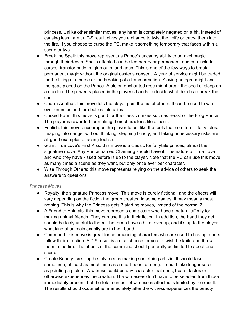princess. Unlike other similar moves, any harm is completely negated on a hit. Instead of causing less harm, a 7-9 result gives you a chance to twist the knife or throw them into the fire. If you choose to curse the PC, make it something temporary that fades within a scene or two.

- Break the Spell: this move represents a Prince's uncanny ability to unravel magic through their deeds. Spells affected can be temporary or permanent, and can include curses, transformations, glamours, and geas. This is one of the few ways to break permanent magic without the original caster's consent. A year of service might be traded for the lifting of a curse or the breaking of a transformation. Slaying an ogre might end the geas placed on the Prince. A stolen enchanted rose might break the spell of sleep on a maiden. The power is placed in the player's hands to decide what deed can break the spell.
- Charm Another: this move lets the player gain the aid of others. It can be used to win over enemies and turn bullies into allies.
- Cursed Form: this move is good for the classic curses such as Beast or the Frog Prince. The player is rewarded for making their character's life difficult.
- Foolish: this move encourages the player to act like the fools that so often fill fairy tales. Leaping into danger without thinking, stepping blindly, and taking unnecessary risks are all good examples of acting foolish.
- Grant True Love's First Kiss: this move is a classic for fairytale princes, almost their signature move. Any Prince named Charming should have it. The nature of True Love and who they have kissed before is up to the player. Note that the PC can use this move as many times a scene as they want, but only once ever per character.
- Wise Through Others: this move represents relying on the advice of others to seek the answers to questions.

# *Princess Moves*

- Royalty: the signature Princess move. This move is purely fictional, and the effects will vary depending on the fiction the group creates. In some games, it may mean almost nothing. This is why the Princess gets 3 starting moves, instead of the normal 2.
- A Friend to Animals: this move represents characters who have a natural affinity for making animal friends. They can use this in their fiction. In addition, the band they get should be fairly useful to them. The terms have a bit of overlap, and it's up to the player what kind of animals exactly are in their band.
- Command: this move is great for commanding characters who are used to having others follow their direction. A 7-9 result is a nice chance for you to twist the knife and throw them in the fire. The effects of the command should generally be limited to about one scene.
- Create Beauty: creating beauty means making something artistic. It should take some time, at least as much time as a short poem or song. It could take longer such as painting a picture. A witness could be any character that sees, hears, tastes or otherwise experiences the creation. The witnesses don't have to be selected from those immediately present, but the total number of witnesses affected is limited by the result. The results should occur either immediately after the witness experiences the beauty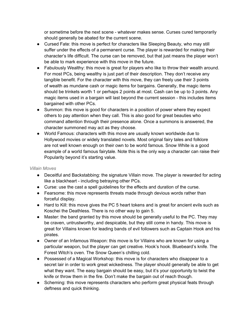or sometime before the next scene - whatever makes sense. Curses cured temporarily should generally be abated for the current scene.

- Cursed Fate: this move is perfect for characters like Sleeping Beauty, who may still suffer under the effects of a permanent curse. The player is rewarded for making their character's life difficult. The curse can be removed, but that just means the player won't be able to mark experience with this move in the future.
- Fabulously Wealthy: this move is great for players who like to throw their wealth around. For most PCs, being wealthy is just part of their description. They don't receive any tangible benefit. For the character with this move, they can freely use their 3 points of wealth as mundane cash or magic items for bargains. Generally, the magic items should be trinkets worth 1 or perhaps 2 points at most. Cash can be up to 3 points. Any magic items used in a bargain will last beyond the current session - this includes items bargained with other PCs.
- Summon: this move is good for characters in a position of power where they expect others to pay attention when they call. This is also good for great beauties who command attention through their presence alone. Once a summons is answered, the character summoned may act as they choose.
- World Famous: characters with this move are usually known worldwide due to Hollywood movies or widely translated novels. Most original fairy tales and folklore are not well known enough on their own to be world famous. Snow White is a good example of a world famous fairytale. Note this is the only way a character can raise their Popularity beyond it's starting value.

# *Villain Moves*

- Deceitful and Backstabbing: the signature Villain move. The player is rewarded for acting like a blackheart - including betraying other PCs.
- Curse: use the cast a spell guidelines for the effects and duration of the curse.
- Fearsome: this move represents threats made through devious words rather than forceful display.
- Hard to Kill: this move gives the PC 5 heart tokens and is great for ancient evils such as Koschei the Deathless. There is no other way to gain 5.
- Master: the band granted by this move should be generally useful to the PC. They may be craven, untrustworthy, and despicable, but they still come in handy. This move is great for Villains known for leading bands of evil followers such as Captain Hook and his pirates.
- Owner of an Infamous Weapon: this move is for Villains who are known for using a particular weapon, but the player can get creative. Hook's hook. Bluebeard's knife. The Forest Witch's oven. The Snow Queen's chilling cold.
- Possessed of a Magical Workshop: this move is for characters who disappear to a secret lair in order to work great wickedness. The player should generally be able to get what they want. The easy bargain should be easy, but it's your opportunity to twist the knife or throw them in the fire. Don't make the bargain out of reach though.
- Scheming: this move represents characters who perform great physical feats through deftness and quick thinking.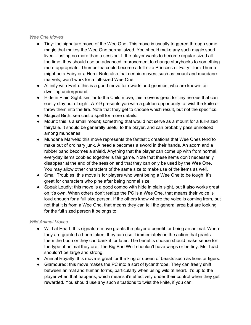### *Wee One Moves*

- Tiny: the signature move of the Wee One. This move is usually triggered through some magic that makes the Wee One normal sized. You should make any such magic short lived - lasting no more than a session. If the player wants to become regular sized all the time, they should use an advanced improvement to change storybooks to something more appropriate. Thumbelina could become a full-size Princess or Fairy. Tom Thumb might be a Fairy or a Hero. Note also that certain moves, such as mount and mundane marvels, won't work for a full-sized Wee One.
- Affinity with Earth: this is a good move for dwarfs and gnomes, who are known for dwelling underground.
- Hide in Plain Sight: similar to the Child move, this move is great for tiny heroes that can easily stay out of sight. A 7-9 presents you with a golden opportunity to twist the knife or throw them into the fire. Note that they get to choose which result, but not the specifics.
- Magical Birth: see cast a spell for more details.
- Mount: this is a small mount; something that would not serve as a mount for a full-sized fairytale. It should be generally useful to the player, and can probably pass unnoticed among mundanes.
- Mundane Marvels: this move represents the fantastic creations that Wee Ones tend to make out of ordinary junk. A needle becomes a sword in their hands. An acorn and a rubber band becomes a shield. Anything that the player can come up with from normal, everyday items cobbled together is fair game. Note that these items don't necessarily disappear at the end of the session and that they can only be used by the Wee One. You may allow other characters of the same size to make use of the items as well.
- Small Troubles: this move is for players who want being a Wee One to be tough. It's great for characters who pine after being normal size.
- Speak Loudly: this move is a good combo with hide in plain sight, but it also works great on it's own. When others don't realize the PC is a Wee One, that means their voice is loud enough for a full size person. If the others know where the voice is coming from, but not that it is from a Wee One, that means they can tell the general area but are looking for the full sized person it belongs to.

# *Wild Animal Moves*

- Wild at Heart: this signature move grants the player a benefit for being an animal. When they are granted a boon token, they can use it immediately on the action that grants them the boon or they can bank it for later. The benefits chosen should make sense for the type of animal they are. The Big Bad Wolf shouldn't have wings or be tiny. Mr. Toad shouldn't be large and strong.
- Animal Royalty: this move is great for the king or queen of beasts such as lions or tigers.
- Glamoured: this move makes the PC into a sort of Ivcanthrope. They can freely shift between animal and human forms, particularly when using wild at heart. It's up to the player when that happens, which means it's effectively under their control when they get rewarded. You should use any such situations to twist the knife, if you can.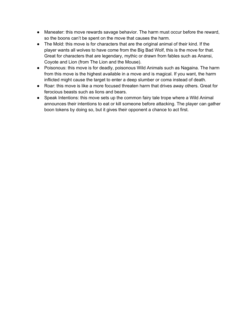- Maneater: this move rewards savage behavior. The harm must occur before the reward, so the boons can't be spent on the move that causes the harm.
- The Mold: this move is for characters that are the original animal of their kind. If the player wants all wolves to have come from the Big Bad Wolf, this is the move for that. Great for characters that are legendary, mythic or drawn from fables such as Anansi, Coyote and Lion (from The Lion and the Mouse).
- Poisonous: this move is for deadly, poisonous Wild Animals such as Nagaina. The harm from this move is the highest available in a move and is magical. If you want, the harm inflicted might cause the target to enter a deep slumber or coma instead of death.
- Roar: this move is like a more focused threaten harm that drives away others. Great for ferocious beasts such as lions and bears.
- Speak Intentions: this move sets up the common fairy tale trope where a Wild Animal announces their intentions to eat or kill someone before attacking. The player can gather boon tokens by doing so, but it gives their opponent a chance to act first.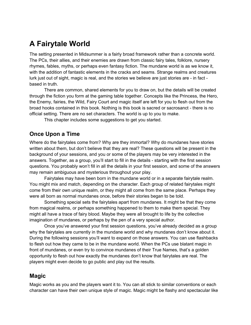# **A Fairytale World**

The setting presented in Midsummer is a fairly broad framework rather than a concrete world. The PCs, their allies, and their enemies are drawn from classic fairy tales, folklore, nursery rhymes, fables, myths, or perhaps even fantasy fiction. The mundane world is as we know it, with the addition of fantastic elements in the cracks and seams. Strange realms and creatures lurk just out of sight, magic is real, and the stories we believe are just stories are - in fact based in truth.

There are common, shared elements for you to draw on, but the details will be created through the fiction you form at the gaming table together. Concepts like the Princess, the Hero, the Enemy, fairies, the Wild, Fairy Court and magic itself are left for you to flesh out from the broad hooks contained in this book. Nothing is this book is sacred or sacrosanct - there is no official setting. There are no set characters. The world is up to you to make.

This chapter includes some suggestions to get you started.

# **Once Upon a Time**

Where do the fairytales come from? Why are they immortal? Why do mundanes have stories written about them, but don't believe that they are real? These questions will be present in the background of your sessions, and you or some of the players may be very interested in the answers. Together, as a group, you'll start to fill in the details - starting with the first session questions. You probably won't fill in all the details in your first session, and some of the answers may remain ambiguous and mysterious throughout your play.

Fairytales may have been born in the mundane world or in a separate fairytale realm. You might mix and match, depending on the character. Each group of related fairytales might come from their own unique realm, or they might all come from the same place. Perhaps they were all born as normal mundanes once, before their stories began to be told.

Something special sets the fairytales apart from mundanes. It might be that they come from magical realms, or perhaps something happened to them to make them special. They might all have a trace of fairy blood. Maybe they were all brought to life by the collective imagination of mundanes, or perhaps by the pen of a very special author.

Once you've answered your first session questions, you've already decided as a group why the fairytales are currently in the mundane world and why mundanes don't know about it. During the following sessions you'll want to expand on those answers. You can use flashbacks to flesh out how they came to be in the mundane world. When the PCs use blatant magic in front of mundanes, or even try to convince mundanes of their True Names, that's a golden opportunity to flesh out how exactly the mundanes don't know that fairytales are real. The players might even decide to go public and play out the results.

# **Magic**

Magic works as you and the players want it to. You can all stick to similar conventions or each character can have their own unique style of magic. Magic might be flashy and spectacular like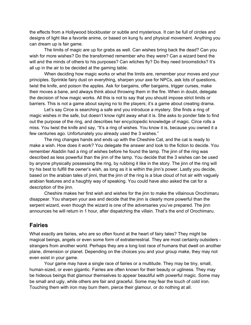the effects from a Hollywood blockbuster or subtle and mysterious. It can be full of circles and designs of light like a favorite anime, or based on kung fu and physical movement. Anything you can dream up is fair game.

The limits of magic are up for grabs as well. Can wishes bring back the dead? Can you wish for more wishes? Do the transformed remember who they were? Can a wizard bend the will and the minds of others to his purposes? Can witches fly? Do they need broomsticks? It's all up in the air to be decided at the gaming table.

When deciding how magic works or what the limits are, remember your moves and your principles. Sprinkle fairy dust on everything, sharpen your axe for NPCs, ask lots of questions, twist the knife, and poison the apples. Ask for bargains, offer bargains, trigger curses, make their moves a bane, and always think about throwing them in the fire. When in doubt, delegate the decision of how magic works. All this is not to say that you should impose strict limits or barriers. This is not a game about saying no to the players; it's a game about creating drama.

Let's say Circe is searching a safe and you introduce a mystery. She finds a ring of magic wishes in the safe, but doesn't know right away what it is. She asks to ponder fate to find out the purpose of the ring, and describes her encyclopedic knowledge of magic. Circe rolls a miss. You twist the knife and say, "It's a ring of wishes. You know it is, because you owned it a few centuries ago. Unfortunately you already used the 3 wishes."

The ring changes hands and ends up with the Cheshire Cat, and the cat is ready to make a wish. How does it work? You delegate the answer and look to the fiction to decide. You remember Aladdin had a ring of wishes before he found the lamp. The jinn of the ring was described as less powerful than the jinn of the lamp. You decide that the 3 wishes can be used by anyone physically possessing the ring, by rubbing it like in the story. The jinn of the ring will try his best to fulfill the owner's wish, as long as it is within the jinn's power. Lastly you decide, based on the arabian tales of jinni, that the jinn of the ring is a blue cloud of hot air with vaguely arabian features and a haughty way of speaking. You could have also asked the cat for a description of the jinn.

Cheshire makes her first wish and wishes for the jinn to make the villainous Orochimaru disappear. You sharpen your axe and decide that the jinn is clearly more powerful than the serpent wizard, even though the wizard is one of the adversaries you've prepared. The jinn announces he will return in 1 hour, after dispatching the villain. That's the end of Orochimaru.

# **Fairies**

What exactly are fairies, who are so often found at the heart of fairy tales? They might be magical beings, angels or even some form of extraterrestrial. They are most certainly outsiders strangers from another world. Perhaps they are a long lost race of humans that dwell on another plane, dimension or planet. Depending on the choices you and your group make, they may not even exist in your game.

Your game may have a single race of fairies or a multitude. They may be tiny, small, human-sized, or even gigantic. Fairies are often known for their beauty or ugliness. They may be hideous beings that glamour themselves to appear beautiful with powerful magic. Some may be small and ugly, while others are fair and graceful. Some may fear the touch of cold iron. Touching them with iron may burn them, pierce their glamour, or do nothing at all.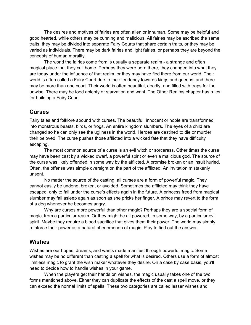The desires and motives of fairies are often alien or inhuman. Some may be helpful and good hearted, while others may be cunning and malicious. All fairies may be ascribed the same traits, they may be divided into separate Fairy Courts that share certain traits, or they may be varied as individuals. There may be dark fairies and light fairies, or perhaps they are beyond the concepts of human morality.

The world the fairies come from is usually a separate realm - a strange and often magical place that they call home. Perhaps they were born there, they changed into what they are today under the influence of that realm, or they may have fled there from our world. Their world is often called a Fairy Court due to their tendency towards kings and queens, and there may be more than one court. Their world is often beautiful, deadly, and filled with traps for the unwise. There may be food aplenty or starvation and want. The Other Realms chapter has rules for building a Fairy Court.

# **Curses**

Fairy tales and folklore abound with curses. The beautiful, innocent or noble are transformed into monstrous beasts, birds, or frogs. An entire kingdom slumbers. The eyes of a child are changed so he can only see the ugliness in the world. Heroes are destined to die or murder their beloved. The curse pushes those afflicted into a wicked fate that they have difficulty escaping.

The most common source of a curse is an evil witch or sorceress. Other times the curse may have been cast by a wicked dwarf, a powerful spirit or even a malicious god. The source of the curse was likely offended in some way by the afflicted. A promise broken or an insult hurled. Often, the offense was simple oversight on the part of the afflicted. An invitation mistakenly unsent.

No matter the source of the casting, all curses are a form of powerful magic. They cannot easily be undone, broken, or avoided. Sometimes the afflicted may think they have escaped, only to fall under the curse's effects again in the future. A princess freed from magical slumber may fall asleep again as soon as she pricks her finger. A prince may revert to the form of a dog whenever he becomes angry.

Why are curses more powerful than other magic? Perhaps they are a special form of magic, from a particular realm. Or they might be all powered, in some way, by a particular evil spirit. Maybe they require a blood sacrifice that gives them their power. The world may simply reinforce their power as a natural phenomenon of magic. Play to find out the answer.

# **Wishes**

Wishes are our hopes, dreams, and wants made manifest through powerful magic. Some wishes may be no different than casting a spell for what is desired. Others use a form of almost limitless magic to grant the wish maker whatever they desire. On a case by case basis, you'll need to decide how to handle wishes in your game.

When the players get their hands on wishes, the magic usually takes one of the two forms mentioned above. Either they can duplicate the effects of the cast a spell move, or they can exceed the normal limits of spells. These two categories are called lesser wishes and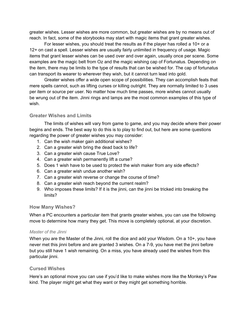greater wishes. Lesser wishes are more common, but greater wishes are by no means out of reach. In fact, some of the storybooks may start with magic items that grant greater wishes.

For lesser wishes, you should treat the results as if the player has rolled a 10+ or a 12+ on cast a spell. Lesser wishes are usually fairly unlimited in frequency of usage. Magic items that grant lesser wishes can be used over and over again, usually once per scene. Some examples are the magic belt from Oz and the magic wishing cap of Fortunatus. Depending on the item, there may be limits to the type of results that can be wished for. The cap of fortunatus can transport its wearer to wherever they wish, but it cannot turn lead into gold.

Greater wishes offer a wide open scope of possibilities. They can accomplish feats that mere spells cannot, such as lifting curses or killing outright. They are normally limited to 3 uses per item or source per user. No matter how much time passes, more wishes cannot usually be wrung out of the item. Jinni rings and lamps are the most common examples of this type of wish.

# **Greater Wishes and Limits**

The limits of wishes will vary from game to game, and you may decide where their power begins and ends. The best way to do this is to play to find out, but here are some questions regarding the power of greater wishes you may consider:

- 1. Can the wish maker gain additional wishes?
- 2. Can a greater wish bring the dead back to life?
- 3. Can a greater wish cause True Love?
- 4. Can a greater wish permanently lift a curse?
- 5. Does 1 wish have to be used to protect the wish maker from any side effects?
- 6. Can a greater wish undue another wish?
- 7. Can a greater wish reverse or change the course of time?
- 8. Can a greater wish reach beyond the current realm?
- 9. Who imposes these limits? If it is the jinni, can the jinni be tricked into breaking the limits?

# **How Many Wishes?**

When a PC encounters a particular item that grants greater wishes, you can use the following move to determine how many they get. This move is completely optional, at your discretion.

# *Master of the Jinni*

When you are the Master of the Jinni, roll the dice and add your Wisdom. On a 10+, you have never met this jinni before and are granted 3 wishes. On a 7-9, you have met the jinni before but you still have 1 wish remaining. On a miss, you have already used the wishes from this particular jinni.

# **Cursed Wishes**

Here's an optional move you can use if you'd like to make wishes more like the Monkey's Paw kind. The player might get what they want or they might get something horrible.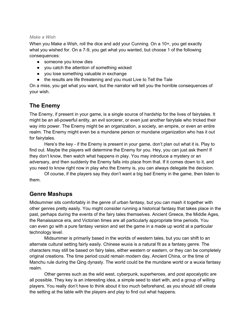### *Make a Wish*

When you Make a Wish, roll the dice and add your Cunning. On a 10+, you get exactly what you wished for. On a 7-9, you get what you wanted, but choose 1 of the following consequences:

- someone you know dies
- you catch the attention of something wicked
- you lose something valuable in exchange
- the results are life threatening and you must Live to Tell the Tale

On a miss, you get what you want, but the narrator will tell you the horrible consequences of your wish.

# **The Enemy**

The Enemy, if present in your game, is a single source of hardship for the lives of fairytales. It might be an all-powerful entity, an evil sorcerer, or even just another fairytale who tricked their way into power. The Enemy might be an organization, a society, an empire, or even an entire realm. The Enemy might even be a mundane person or mundane organization who has it out for fairytales.

Here's the key - if the Enemy is present in your game, don't plan out what it is. Play to find out. Maybe the players will determine the Enemy for you. Hey, you can just ask them! If they don't know, then watch what happens in play. You may introduce a mystery or an adversary, and then suddenly the Enemy falls into place from that. If it comes down to it, and you need to know right now in play who the Enemy is, you can always delegate the decision.

Of course, if the players say they don't want a big bad Enemy in the game, then listen to them.

# **Genre Mashups**

Midsummer sits comfortably in the genre of urban fantasy, but you can mash it together with other genres pretty easily. You might consider running a historical fantasy that takes place in the past, perhaps during the events of the fairy tales themselves. Ancient Greece, the Middle Ages, the Renaissance era, and Victorian times are all particularly appropriate time periods. You can even go with a pure fantasy version and set the game in a made up world at a particular technology level.

Midsummer is primarily based in the worlds of western tales, but you can shift to an alternate cultural setting fairly easily. Chinese wuxia is a natural fit as a fantasy genre. The characters may still be based on fairy tales, either western or eastern, or they can be completely original creations. The time period could remain modern day, Ancient China, or the time of Manchu rule during the Qing dynasty. The world could be the mundane world or a wuxia fantasy realm.

Other genres such as the wild west, cyberpunk, superheroes, and post apocalyptic are all possible. They key is an interesting idea, a simple seed to start with, and a group of willing players. You really don't have to think about it too much beforehand, as you should still create the setting at the table with the players and play to find out what happens.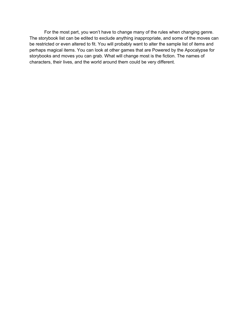For the most part, you won't have to change many of the rules when changing genre. The storybook list can be edited to exclude anything inappropriate, and some of the moves can be restricted or even altered to fit. You will probably want to alter the sample list of items and perhaps magical items. You can look at other games that are Powered by the Apocalypse for storybooks and moves you can grab. What will change most is the fiction. The names of characters, their lives, and the world around them could be very different.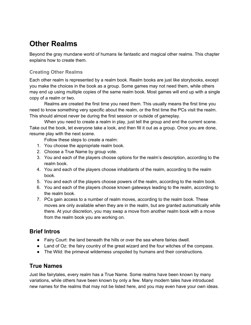# **Other Realms**

Beyond the gray mundane world of humans lie fantastic and magical other realms. This chapter explains how to create them.

### **Creating Other Realms**

Each other realm is represented by a realm book. Realm books are just like storybooks, except you make the choices in the book as a group. Some games may not need them, while others may end up using multiple copies of the same realm book. Most games will end up with a single copy of a realm or two.

Realms are created the first time you need them. This usually means the first time you need to know something very specific about the realm, or the first time the PCs visit the realm. This should almost never be during the first session or outside of gameplay.

When you need to create a realm in play, just tell the group and end the current scene. Take out the book, let everyone take a look, and then fill it out as a group. Once you are done, resume play with the next scene.

Follow these steps to create a realm:

- 1. You choose the appropriate realm book.
- 2. Choose a True Name by group vote.
- 3. You and each of the players choose options for the realm's description, according to the realm book.
- 4. You and each of the players choose inhabitants of the realm, according to the realm book.
- 5. You and each of the players choose powers of the realm, according to the realm book.
- 6. You and each of the players choose known gateways leading to the realm, according to the realm book.
- 7. PCs gain access to a number of realm moves, according to the realm book. These moves are only available when they are in the realm, but are granted automatically while there. At your discretion, you may swap a move from another realm book with a move from the realm book you are working on.

### **Brief Intros**

- Fairy Court: the land beneath the hills or over the sea where fairies dwell.
- Land of Oz: the fairy country of the great wizard and the four witches of the compass.
- The Wild: the primeval wilderness unspoiled by humans and their constructions.

### **True Names**

Just like fairytales, every realm has a True Name. Some realms have been known by many variations, while others have been known by only a few. Many modern tales have introduced new names for the realms that may not be listed here, and you may even have your own ideas.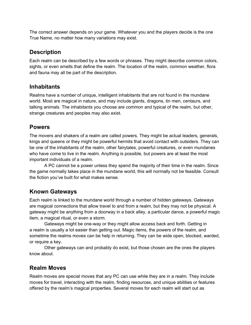The correct answer depends on your game. Whatever you and the players decide is the one True Name, no matter how many variations may exist.

### **Description**

Each realm can be described by a few words or phrases. They might describe common colors, sights, or even smells that define the realm. The location of the realm, common weather, flora and fauna may all be part of the description.

## **Inhabitants**

Realms have a number of unique, intelligent inhabitants that are not found in the mundane world. Most are magical in nature, and may include giants, dragons, tin men, centaurs, and talking animals. The inhabitants you choose are common and typical of the realm, but other, strange creatures and peoples may also exist.

### **Powers**

The movers and shakers of a realm are called powers. They might be actual leaders, generals, kings and queens or they might be powerful hermits that avoid contact with outsiders. They can be one of the inhabitants of the realm, other fairytales, powerful creatures, or even mundanes who have come to live in the realm. Anything is possible, but powers are at least the most important individuals of a realm.

A PC cannot be a power unless they spend the majority of their time in the realm. Since the game normally takes place in the mundane world, this will normally not be feasible. Consult the fiction you've built for what makes sense.

# **Known Gateways**

Each realm is linked to the mundane world through a number of hidden gateways. Gateways are magical connections that allow travel to and from a realm, but they may not be physical. A gateway might be anything from a doorway in a back alley, a particular dance, a powerful magic item, a magical ritual, or even a storm.

Gateways might be one-way or they might allow access back and forth. Getting in a realm is usually a lot easier than getting out. Magic items, the powers of the realm, and sometime the realms moves can be help in returning. They can be wide open, blocked, warded, or require a key.

Other gateways can and probably do exist, but those chosen are the ones the players know about.

# **Realm Moves**

Realm moves are special moves that any PC can use while they are in a realm. They include moves for travel, interacting with the realm, finding resources, and unique abilities or features offered by the realm's magical properties. Several moves for each realm will start out as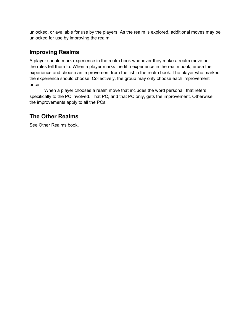unlocked, or available for use by the players. As the realm is explored, additional moves may be unlocked for use by improving the realm.

# **Improving Realms**

A player should mark experience in the realm book whenever they make a realm move or the rules tell them to. When a player marks the fifth experience in the realm book, erase the experience and choose an improvement from the list in the realm book. The player who marked the experience should choose. Collectively, the group may only choose each improvement once.

When a player chooses a realm move that includes the word personal, that refers specifically to the PC involved. That PC, and that PC only, gets the improvement. Otherwise, the improvements apply to all the PCs.

# **The Other Realms**

See Other Realms book.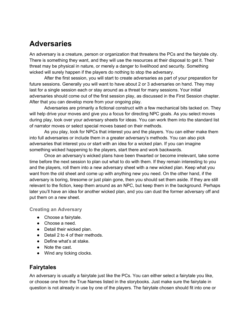# **Adversaries**

An adversary is a creature, person or organization that threatens the PCs and the fairytale city. There is something they want, and they will use the resources at their disposal to get it. Their threat may be physical in nature, or merely a danger to livelihood and security. Something wicked will surely happen if the players do nothing to stop the adversary.

After the first session, you will start to create adversaries as part of your preparation for future sessions. Generally you will want to have about 2 or 3 adversaries on hand. They may last for a single session each or stay around as a threat for many sessions. Your initial adversaries should come out of the first session play, as discussed in the First Session chapter. After that you can develop more from your ongoing play.

Adversaries are primarily a fictional construct with a few mechanical bits tacked on. They will help drive your moves and give you a focus for directing NPC goals. As you select moves during play, look over your adversary sheets for ideas. You can work them into the standard list of narrator moves or select special moves based on their methods.

As you play, look for NPCs that interest you and the players. You can either make them into full adversaries or include them in a greater adversary's methods. You can also pick adversaries that interest you or start with an idea for a wicked plan. If you can imagine something wicked happening to the players, start there and work backwards.

Once an adversary's wicked plans have been thwarted or become irrelevant, take some time before the next session to plan out what to do with them. If they remain interesting to you and the players, roll them into a new adversary sheet with a new wicked plan. Keep what you want from the old sheet and come up with anything new you need. On the other hand, if the adversary is boring, tiresome or just plain gone, then you should set them aside. If they are still relevant to the fiction, keep them around as an NPC, but keep them in the background. Perhaps later you'll have an idea for another wicked plan, and you can dust the former adversary off and put them on a new sheet.

#### **Creating an Adversary**

- Choose a fairytale.
- Choose a need.
- Detail their wicked plan.
- Detail 2 to 4 of their methods.
- Define what's at stake.
- Note the cast.
- Wind any ticking clocks.

### **Fairytales**

An adversary is usually a fairytale just like the PCs. You can either select a fairytale you like, or choose one from the True Names listed in the storybooks. Just make sure the fairytale in question is not already in use by one of the players. The fairytale chosen should fit into one or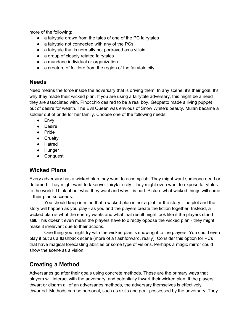more of the following:

- a fairytale drawn from the tales of one of the PC fairytales
- a fairytale not connected with any of the PCs
- a fairytale that is normally not portrayed as a villain
- a group of closely related fairytales
- a mundane individual or organization
- a creature of folklore from the region of the fairytale city

### **Needs**

Need means the force inside the adversary that is driving them. In any scene, it's their goal. It's why they made their wicked plan. If you are using a fairytale adversary, this might be a need they are associated with. Pinocchio desired to be a real boy. Geppetto made a living puppet out of desire for wealth. The Evil Queen was envious of Snow White's beauty. Mulan became a soldier out of pride for her family. Choose one of the following needs:

- Envy
- Desire
- Pride
- Cruelty
- Hatred
- Hunger
- Conquest

## **Wicked Plans**

Every adversary has a wicked plan they want to accomplish. They might want someone dead or defamed. They might want to takeover fairytale city. They might even want to expose fairytales to the world. Think about what they want and why it is bad. Picture what wicked things will come if their plan succeeds.

You should keep in mind that a wicked plan is not a plot for the story. The plot and the story will happen as you play - as you and the players create the fiction together. Instead, a wicked plan is what the enemy wants and what that result might look like if the players stand still. This doesn't even mean the players have to directly oppose the wicked plan - they might make it irrelevant due to their actions.

One thing you might try with the wicked plan is showing it to the players. You could even play it out as a flashback scene (more of a flashforward, really). Consider this option for PCs that have magical forecasting abilities or some type of visions. Perhaps a magic mirror could show the scene as a vision.

## **Creating a Method**

Adversaries go after their goals using concrete methods. These are the primary ways that players will interact with the adversary, and potentially thwart their wicked plan. If the players thwart or disarm all of an adversaries methods, the adversary themselves is effectively thwarted. Methods can be personal, such as skills and gear possessed by the adversary. They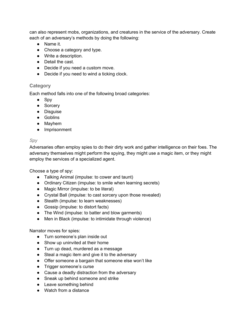can also represent mobs, organizations, and creatures in the service of the adversary. Create each of an adversary's methods by doing the following:

- Name it.
- Choose a category and type.
- Write a description.
- Detail the cast.
- Decide if you need a custom move.
- Decide if you need to wind a ticking clock.

### **Category**

Each method falls into one of the following broad categories:

- Spy
- Sorcery
- Disguise
- Goblins
- Mayhem
- Imprisonment

#### *Spy*

Adversaries often employ spies to do their dirty work and gather intelligence on their foes. The adversary themselves might perform the spying, they might use a magic item, or they might employ the services of a specialized agent.

Choose a type of spy:

- Talking Animal (impulse: to cower and taunt)
- Ordinary Citizen (impulse: to smile when learning secrets)
- Magic Mirror (impulse: to be literal)
- Crystal Ball (impulse: to cast sorcery upon those revealed)
- Stealth (impulse: to learn weaknesses)
- Gossip (impulse: to distort facts)
- The Wind (impulse: to batter and blow garments)
- Men in Black (impulse: to intimidate through violence)

Narrator moves for spies:

- Turn someone's plan inside out
- Show up uninvited at their home
- Turn up dead, murdered as a message
- Steal a magic item and give it to the adversary
- Offer someone a bargain that someone else won't like
- Trigger someone's curse
- Cause a deadly distraction from the adversary
- Sneak up behind someone and strike
- Leave something behind
- Watch from a distance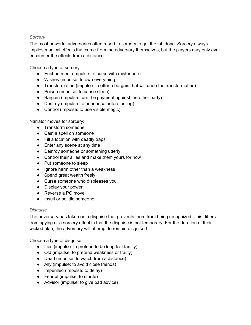#### *Sorcery*

The most powerful adversaries often resort to sorcery to get the job done. Sorcery always implies magical effects that come from the adversary themselves, but the players may only ever encounter the effects from a distance.

Choose a type of sorcery:

- Enchantment (impulse: to curse with misfortune)
- Wishes (impulse: to own everything)
- Transformation (impulse: to offer a bargain that will undo the transformation)
- Poison (impulse: to cause sleep)
- Bargain (impulse: turn the payment against the other party)
- Destroy (impulse: to announce before acting)
- Control (impulse: to use visible magic)

Narrator moves for sorcery:

- Transform someone
- Cast a spell on someone
- Fill a location with deadly traps
- Enter any scene at any time
- Destroy someone or something utterly
- Control their allies and make them yours for now
- Put someone to sleep
- Ignore harm other than a weakness
- Spend great wealth freely
- Curse someone who displeases you
- Display your power
- Reverse a PC move
- Insult or belittle someone

#### *Disguise*

The adversary has taken on a disguise that prevents them from being recognized. This differs from spying or a sorcery effect in that the disguise is not temporary. For the duration of their wicked plan, the adversary will attempt to remain disguised.

Choose a type of disguise:

- Lies (impulse: to pretend to be long lost family)
- Old (impulse: to pretend weakness or frailty)
- Dead (impulse: to watch from a distance)
- Ally (impulse: to avoid close friends)
- Imperilled (impulse: to delay)
- Fearful (impulse: to startle)
- Advisor (impulse: to give bad advice)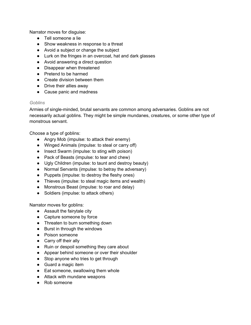Narrator moves for disguise:

- Tell someone a lie
- Show weakness in response to a threat
- Avoid a subject or change the subject
- Lurk on the fringes in an overcoat, hat and dark glasses
- Avoid answering a direct question
- Disappear when threatened
- Pretend to be harmed
- Create division between them
- Drive their allies away
- Cause panic and madness

#### *Goblins*

Armies of single-minded, brutal servants are common among adversaries. Goblins are not necessarily actual goblins. They might be simple mundanes, creatures, or some other type of monstrous servant.

Choose a type of goblins:

- Angry Mob (impulse: to attack their enemy)
- Winged Animals (impulse: to steal or carry off)
- Insect Swarm (impulse: to sting with poison)
- Pack of Beasts (impulse: to tear and chew)
- Ugly Children (impulse: to taunt and destroy beauty)
- Normal Servants (impulse: to betray the adversary)
- Puppets (impulse: to destroy the fleshy ones)
- Thieves (impulse: to steal magic items and wealth)
- Monstrous Beast (impulse: to roar and delay)
- Soldiers (impulse: to attack others)

Narrator moves for goblins:

- Assault the fairytale city
- Capture someone by force
- Threaten to burn something down
- Burst in through the windows
- Poison someone
- Carry off their ally
- Ruin or despoil something they care about
- Appear behind someone or over their shoulder
- Stop anyone who tries to get through
- Guard a magic item
- Eat someone, swallowing them whole
- Attack with mundane weapons
- Rob someone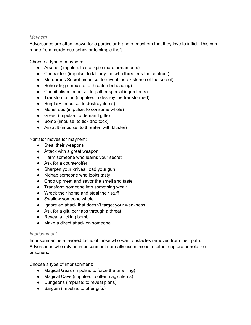#### *Mayhem*

Adversaries are often known for a particular brand of mayhem that they love to inflict. This can range from murderous behavior to simple theft.

Choose a type of mayhem:

- Arsenal (impulse: to stockpile more armaments)
- Contracted (impulse: to kill anyone who threatens the contract)
- Murderous Secret (impulse: to reveal the existence of the secret)
- Beheading (impulse: to threaten beheading)
- Cannibalism (impulse: to gather special ingredients)
- Transformation (impulse: to destroy the transformed)
- Burglary (impulse: to destroy items)
- Monstrous (impulse: to consume whole)
- Greed (impulse: to demand gifts)
- Bomb (impulse: to tick and tock)
- Assault (impulse: to threaten with bluster)

Narrator moves for mayhem:

- Steal their weapons
- Attack with a great weapon
- Harm someone who learns your secret
- Ask for a counteroffer
- Sharpen your knives, load your gun
- Kidnap someone who looks tasty
- Chop up meat and savor the smell and taste
- Transform someone into something weak
- Wreck their home and steal their stuff
- Swallow someone whole
- Ignore an attack that doesn't target your weakness
- Ask for a gift, perhaps through a threat
- $\bullet$  Reveal a ticking bomb
- Make a direct attack on someone

#### *Imprisonment*

Imprisonment is a favored tactic of those who want obstacles removed from their path. Adversaries who rely on imprisonment normally use minions to either capture or hold the prisoners.

Choose a type of imprisonment:

- Magical Geas (impulse: to force the unwilling)
- Magical Cave (impulse: to offer magic items)
- Dungeons (impulse: to reveal plans)
- Bargain (impulse: to offer gifts)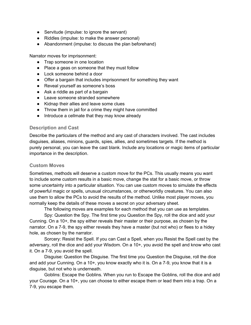- Servitude (impulse: to ignore the servant)
- Riddles (impulse: to make the answer personal)
- Abandonment (impulse: to discuss the plan beforehand)

Narrator moves for imprisonment:

- Trap someone in one location
- Place a geas on someone that they must follow
- Lock someone behind a door
- Offer a bargain that includes imprisonment for something they want
- Reveal yourself as someone's boss
- Ask a riddle as part of a bargain
- Leave someone stranded somewhere
- Kidnap their allies and leave some clues
- Throw them in jail for a crime they might have committed
- Introduce a cellmate that they may know already

#### **Description and Cast**

Describe the particulars of the method and any cast of characters involved. The cast includes disguises, aliases, minions, guards, spies, allies, and sometimes targets. If the method is purely personal, you can leave the cast blank. Include any locations or magic items of particular importance in the description.

#### **Custom Moves**

Sometimes, methods will deserve a custom move for the PCs. This usually means you want to include some custom results in a basic move, change the stat for a basic move, or throw some uncertainty into a particular situation. You can use custom moves to simulate the effects of powerful magic or spells, unusual circumstances, or otherworldly creatures. You can also use them to allow the PCs to avoid the results of the method. Unlike most player moves, you normally keep the details of these moves a secret on your adversary sheet.

The following moves are examples for each method that you can use as templates.

Spy: Question the Spy. The first time you Question the Spy, roll the dice and add your Cunning. On a 10+, the spy either reveals their master or their purpose, as chosen by the narrator. On a 7-9, the spy either reveals they have a master (but not who) or flees to a hidey hole, as chosen by the narrator.

Sorcery: Resist the Spell. If you can Cast a Spell, when you Resist the Spell cast by the adversary, roll the dice and add your Wisdom. On a 10+, you avoid the spell and know who cast it. On a 7-9, you avoid the spell.

Disguise: Question the Disguise. The first time you Question the Disguise, roll the dice and add your Cunning. On a 10+, you know exactly who it is. On a 7-9, you know that it is a disguise, but not who is underneath.

Goblins: Escape the Goblins. When you run to Escape the Goblins, roll the dice and add your Courage. On a 10+, you can choose to either escape them or lead them into a trap. On a 7-9, you escape them.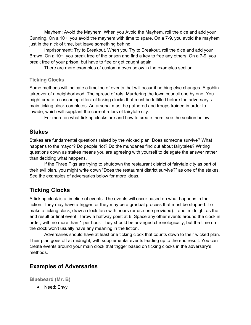Mayhem: Avoid the Mayhem. When you Avoid the Mayhem, roll the dice and add your Cunning. On a 10+, you avoid the mayhem with time to spare. On a 7-9, you avoid the mayhem just in the nick of time, but leave something behind.

Imprisonment: Try to Breakout. When you Try to Breakout, roll the dice and add your Brawn. On a 10+, you break free of the prison and find a key to free any others. On a 7-9, you break free of your prison, but have to flee or get caught again.

There are more examples of custom moves below in the examples section.

#### **Ticking Clocks**

Some methods will indicate a timeline of events that will occur if nothing else changes. A goblin takeover of a neighborhood. The spread of rats. Murdering the town council one by one. You might create a cascading effect of ticking clocks that must be fulfilled before the adversary's main ticking clock completes. An arsenal must be gathered and troops trained in order to invade, which will supplant the current rulers of fairytale city.

For more on what ticking clocks are and how to create them, see the section below.

### **Stakes**

Stakes are fundamental questions raised by the wicked plan. Does someone survive? What happens to the mayor? Do people riot? Do the mundanes find out about fairytales? Writing questions down as stakes means you are agreeing with yourself to delegate the answer rather than deciding what happens.

If the Three Pigs are trying to shutdown the restaurant district of fairytale city as part of their evil plan, you might write down "Does the restaurant district survive?" as one of the stakes. See the examples of adversaries below for more ideas.

# **Ticking Clocks**

A ticking clock is a timeline of events. The events will occur based on what happens in the fiction. They may have a trigger, or they may be a gradual process that must be stopped. To make a ticking clock, draw a clock face with hours (or use one provided). Label midnight as the end result or final event. Throw a halfway point at 6. Space any other events around the clock in order, with no more than 1 per hour. They should be arranged chronologically, but the time on the clock won't usually have any meaning in the fiction.

Adversaries should have at least one ticking clock that counts down to their wicked plan. Their plan goes off at midnight, with supplemental events leading up to the end result. You can create events around your main clock that trigger based on ticking clocks in the adversary's methods.

### **Examples of Adversaries**

**Bluebeard (Mr. B)**

● Need: Envy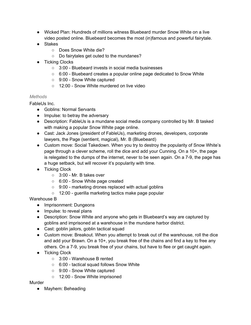- Wicked Plan: Hundreds of millions witness Bluebeard murder Snow White on a live video posted online. Bluebeard becomes the most (in)famous and powerful fairytale.
- Stakes
	- Does Snow White die?
	- Do fairytales get outed to the mundanes?
- Ticking Clocks
	- 3:00 Bluebeard invests in social media businesses
	- $\circ$  6:00 Bluebeard creates a popular online page dedicated to Snow White
	- 9:00 Snow White captured
	- 12:00 Snow White murdered on live video

#### *Methods*

FableUs Inc.

- Goblins: Normal Servants
- Impulse: to betray the adversary
- Description: FableUs is a mundane social media company controlled by Mr. B tasked with making a popular Snow White page online.
- Cast: Jack Jones (president of FableUs), marketing drones, developers, corporate lawyers, the Page (sentient, magical), Mr. B (Bluebeard)
- Custom move: Social Takedown. When you try to destroy the popularity of Snow White's page through a clever scheme, roll the dice and add your Cunning. On a 10+, the page is relegated to the dumps of the internet, never to be seen again. On a 7-9, the page has a huge setback, but will recover it's popularity with time.
- Ticking Clock
	- $\circ$  3:00 Mr. B takes over
	- 6:00 Snow White page created
	- 9:00 marketing drones replaced with actual goblins
	- 12:00 guerilla marketing tactics make page popular

Warehouse B

- Imprisonment: Dungeons
- Impulse: to reveal plans
- Description: Snow White and anyone who gets in Bluebeard's way are captured by goblins and imprisoned at a warehouse in the mundane harbor district.
- Cast: goblin jailors, goblin tactical squad
- Custom move: Breakout. When you attempt to break out of the warehouse, roll the dice and add your Brawn. On a 10+, you break free of the chains and find a key to free any others. On a 7-9, you break free of your chains, but have to flee or get caught again.
- Ticking Clock
	- 3:00 Warehouse B rented
	- 6:00 tactical squad follows Snow White
	- 9:00 Snow White captured
	- 12:00 Snow White imprisoned

#### Murder

● Mayhem: Beheading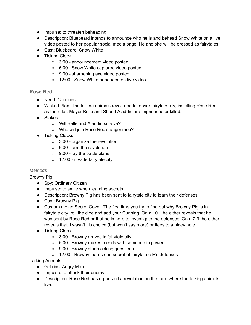- Impulse: to threaten beheading
- Description: Bluebeard intends to announce who he is and behead Snow White on a live video posted to her popular social media page. He and she will be dressed as fairytales.
- Cast: Bluebeard, Snow White
- Ticking Clock
	- 3:00 announcement video posted
	- 6:00 Snow White captured video posted
	- 9:00 sharpening axe video posted
	- 12:00 Snow White beheaded on live video

#### **Rose Red**

- Need: Conquest
- Wicked Plan: The talking animals revolt and takeover fairytale city, installing Rose Red as the ruler. Mayor Belle and Sheriff Aladdin are imprisoned or killed.
- Stakes
	- Will Belle and Aladdin survive?
	- Who will join Rose Red's angry mob?
- Ticking Clocks
	- 3:00 organize the revolution
	- 6:00 arm the revolution
	- 9:00 lay the battle plans
	- 12:00 invade fairytale city

#### *Methods*

Browny Pig

- Spy: Ordinary Citizen
- Impulse: to smile when learning secrets
- Description: Browny Pig has been sent to fairytale city to learn their defenses.
- Cast: Browny Pig
- Custom move: Secret Cover. The first time you try to find out why Browny Pig is in fairytale city, roll the dice and add your Cunning. On a 10+, he either reveals that he was sent by Rose Red or that he is here to investigate the defenses. On a 7-9, he either reveals that it wasn't his choice (but won't say more) or flees to a hidey hole.
- Ticking Clock
	- 3:00 Browny arrives in fairytale city
	- 6:00 Browny makes friends with someone in power
	- 9:00 Browny starts asking questions
	- 12:00 Browny learns one secret of fairytale city's defenses

Talking Animals

- Goblins: Angry Mob
- Impulse: to attack their enemy
- Description: Rose Red has organized a revolution on the farm where the talking animals live.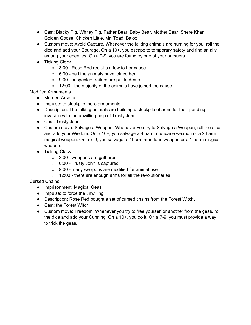- Cast: Blacky Pig, Whitey Pig, Father Bear, Baby Bear, Mother Bear, Shere Khan, Golden Goose, Chicken Little, Mr. Toad, Baloo
- Custom move: Avoid Capture. Whenever the talking animals are hunting for you, roll the dice and add your Courage. On a 10+, you escape to temporary safety and find an ally among your enemies. On a 7-9, you are found by one of your pursuers.
- Ticking Clock
	- 3:00 Rose Red recruits a few to her cause
	- 6:00 half the animals have joined her
	- 9:00 suspected traitors are put to death
	- 12:00 the majority of the animals have joined the cause

Modified Armaments

- Murder: Arsenal
- Impulse: to stockpile more armaments
- Description: The talking animals are building a stockpile of arms for their pending invasion with the unwilling help of Trusty John.
- Cast: Trusty John
- Custom move: Salvage a Weapon. Whenever you try to Salvage a Weapon, roll the dice and add your Wisdom. On a 10+, you salvage a 4 harm mundane weapon or a 2 harm magical weapon. On a 7-9, you salvage a 2 harm mundane weapon or a 1 harm magical weapon.
- Ticking Clock
	- 3:00 weapons are gathered
	- 6:00 Trusty John is captured
	- 9:00 many weapons are modified for animal use
	- 12:00 there are enough arms for all the revolutionaries

Cursed Chains

- Imprisonment: Magical Geas
- Impulse: to force the unwilling
- Description: Rose Red bought a set of cursed chains from the Forest Witch.
- Cast: the Forest Witch
- Custom move: Freedom. Whenever you try to free yourself or another from the geas, roll the dice and add your Cunning. On a 10+, you do it. On a 7-9, you must provide a way to trick the geas.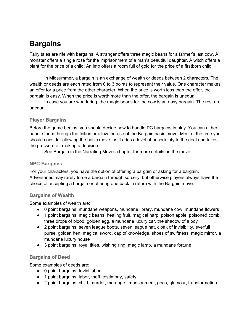# **Bargains**

Fairy tales are rife with bargains. A stranger offers three magic beans for a farmer's last cow. A monster offers a single rose for the imprisonment of a man's beautiful daughter. A witch offers a plant for the price of a child. An imp offers a room full of gold for the price of a firstborn child.

In Midsummer, a bargain is an exchange of wealth or deeds between 2 characters. The wealth or deeds are each rated from 0 to 3 points to represent their value. One character makes an offer for a price from the other character. When the price is worth less than the offer, the bargain is easy. When the price is worth more than the offer, the bargain is unequal.

In case you are wondering, the magic beans for the cow is an easy bargain. The rest are unequal.

#### **Player Bargains**

Before the game begins, you should decide how to handle PC bargains in play. You can either handle them through the fiction or allow the use of the Bargain basic move. Most of the time you should consider allowing the basic move, as it adds a level of uncertainty to the deal and takes the pressure off making a decision.

See Bargain in the Narrating Moves chapter for more details on the move.

#### **NPC Bargains**

For your characters, you have the option of offering a bargain or asking for a bargain. Adversaries may rarely force a bargain through sorcery, but otherwise players always have the choice of accepting a bargain or offering one back in return with the Bargain move.

#### **Bargains of Wealth**

Some examples of wealth are:

- 0 point bargains: mundane weapons, mundane library, mundane cow, mundane flowers
- 1 point bargains: magic beans, healing fruit, magical harp, poison apple, poisoned comb, three drops of blood, golden egg, a mundane luxury car, the shadow of a boy
- 2 point bargains: seven league boots, seven league hat, cloak of invisibility, everfull purse, golden hen, magical sword, cap of knowledge, shoes of swiftness, magic mirror, a mundane luxury house
- 3 point bargains: royal titles, wishing ring, magic lamp, a mundane fortune

#### **Bargains of Deed**

Some examples of deeds are:

- 0 point bargains: trivial labor
- 1 point bargains: labor, theft, testimony, safety
- 2 point bargains: child, murder, marriage, imprisonment, geas, glamour, transformation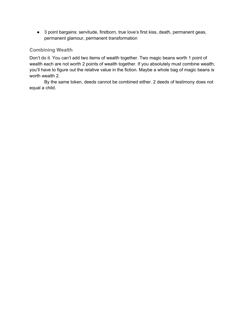● 3 point bargains: servitude, firstborn, true love's first kiss, death, permanent geas, permanent glamour, permanent transformation

### **Combining Wealth**

Don't do it. You can't add two items of wealth together. Two magic beans worth 1 point of wealth each are not worth 2 points of wealth together. If you absolutely must combine wealth, you'll have to figure out the relative value in the fiction. Maybe a whole bag of magic beans is worth wealth 2.

By the same token, deeds cannot be combined either. 2 deeds of testimony does not equal a child.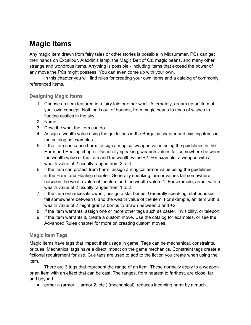# **Magic Items**

Any magic item drawn from fairy tales or other stories is possible in Midsummer. PCs can get their hands on Excalibur, Aladdin's lamp, the Magic Belt of Oz, magic beans, and many other strange and wondrous items. Anything is possible - including items that exceed the power of any move the PCs might possess. You can even come up with your own.

In this chapter you will find rules for creating your own items and a catalog of commonly referenced items.

#### **Designing Magic Items**

- 1. Choose an item featured in a fairy tale or other work. Alternately, dream up an item of your own concept. Nothing is out of bounds, from magic beans to rings of wishes to floating castles in the sky.
- 2. Name it.
- 3. Describe what the item can do.
- 4. Assign a wealth value using the guidelines in the Bargains chapter and existing items in the catalog as examples.
- 5. If the item can cause harm, assign a magical weapon value using the guidelines in the Harm and Healing chapter. Generally speaking, weapon values fall somewhere between the wealth value of the item and the wealth value +2. For example, a weapon with a wealth value of 2 usually ranges from 2 to 4.
- 6. If the item can protect from harm, assign a magical armor value using the guidelines in the Harm and Healing chapter. Generally speaking, armor values fall somewhere between the wealth value of the item and the wealth value -1. For example, armor with a wealth value of 2 usually ranges from 1 to 2.
- 7. If the item enhances its owner, assign a stat bonus. Generally speaking, stat bonuses fall somewhere between 0 and the wealth value of the item. For example, an item with a wealth value of 2 might grant a bonus to Brawn between 0 and +2.
- 8. If the item warrants, assign one or more other tags such as caster, invisibility, or teleport.
- 9. If the item warrants it, create a custom move. Use the catalog for examples, or see the Advanced Rules chapter for more on creating custom moves.

#### **Magic Item Tags**

Magic items have tags that impact their usage in game. Tags can be mechanical, constraints, or cues. Mechanical tags have a direct impact on the game mechanics. Constraint tags create a fictional requirement for use. Cue tags are used to add to the fiction you create when using the item.

There are 3 tags that represent the range of an item. These normally apply to a weapon or an item with an effect that can be cast. The ranges, from nearest to farthest, are close, far, and beyond.

● armor n (armor 1, armor 2, etc.) (mechanical): reduces incoming harm by n much.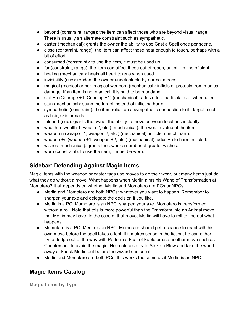- beyond (constraint, range): the item can affect those who are beyond visual range. There is usually an alternate constraint such as sympathetic.
- caster (mechanical): grants the owner the ability to use Cast a Spell once per scene.
- close (constraint, range): the item can affect those near enough to touch, perhaps with a bit of effort.
- consumed (constraint): to use the item, it must be used up.
- far (constraint, range): the item can affect those out of reach, but still in line of sight.
- healing (mechanical): heals all heart tokens when used.
- invisibility (cue): renders the owner undetectable by normal means.
- magical (magical armor, magical weapon) (mechanical): inflicts or protects from magical damage. If an item is not magical, it is said to be mundane.
- $\bullet$  stat +n (Courage +1, Cunning +1) (mechanical): adds n to a particular stat when used.
- stun (mechanical): stuns the target instead of inflicting harm.
- sympathetic (constraint): the item relies on a sympathetic connection to its target, such as hair, skin or nails.
- teleport (cue): grants the owner the ability to move between locations instantly.
- wealth n (wealth 1, wealth 2, etc.) (mechanical): the wealth value of the item.
- weapon n (weapon 1, weapon 2, etc.) (mechanical): inflicts n much harm.
- weapon  $+n$  (weapon  $+1$ , weapon  $+2$ , etc.) (mechanical): adds  $+n$  to harm inflicted.
- wishes (mechanical): grants the owner a number of greater wishes.
- worn (constraint): to use the item, it must be worn.

# **Sidebar: Defending Against Magic Items**

Magic items with the weapon or caster tags use moves to do their work, but many items just do what they do without a move. What happens when Merlin aims his Wand of Transformation at Momotaro? It all depends on whether Merlin and Momotaro are PCs or NPCs.

- Merlin and Momotaro are both NPCs: whatever you want to happen. Remember to sharpen your axe and delegate the decision if you like.
- Merlin is a PC; Momotaro is an NPC: sharpen your axe. Momotaro is transformed without a roll. Note that this is more powerful than the Transform into an Animal move that Merlin may have. In the case of that move, Merlin will have to roll to find out what happens.
- Momotaro is a PC; Merlin is an NPC: Momotaro should get a chance to react with his own move before the spell takes effect. If it makes sense in the fiction, he can either try to dodge out of the way with Perform a Feat of Fable or use another move such as Counterspell to avoid the magic. He could also try to Strike a Blow and take the wand away or knock Merlin out before the wizard can use it.
- Merlin and Momotaro are both PCs: this works the same as if Merlin is an NPC.

# **Magic Items Catalog**

**Magic Items by Type**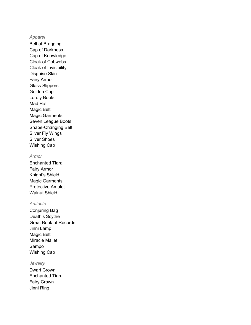#### *Apparel*

Belt of Bragging Cap of Darkness Cap of Knowledge Cloak of Cobwebs Cloak of Invisibility Disguise Skin Fairy Armor Glass Slippers Golden Cap Lordly Boots Mad Hat Magic Belt Magic Garments Seven League Boots Shape-Changing Belt Silver Fly Wings Silver Shoes Wishing Cap

#### *Armor*

Enchanted Tiara Fairy Armor Knight's Shield Magic Garments Protective Amulet Walnut Shield

#### *Artifacts*

Conjuring Bag Death's Scythe Great Book of Records Jinni Lamp Magic Belt Miracle Mallet Sampo Wishing Cap

#### *Jewelry*

Dwarf Crown Enchanted Tiara Fairy Crown Jinni Ring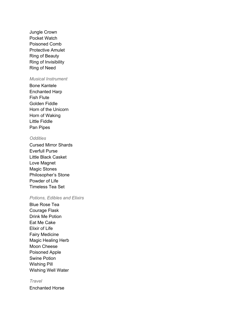Jungle Crown Pocket Watch Poisoned Comb Protective Amulet Ring of Beauty Ring of Invisibility Ring of Need

#### *Musical Instrument*

Bone Kantele Enchanted Harp Fish Flute Golden Fiddle Horn of the Unicorn Horn of Waking Little Fiddle Pan Pipes

#### *Oddities*

Cursed Mirror Shards Everfull Purse Little Black Casket Love Magnet Magic Stones Philosopher's Stone Powder of Life Timeless Tea Set

#### *Potions, Edibles and Elixirs*

Blue Rose Tea Courage Flask Drink Me Potion Eat Me Cake Elixir of Life Fairy Medicine Magic Healing Herb Moon Cheese Poisoned Apple Swine Potion Wishing Pill Wishing Well Water

#### *Travel*

Enchanted Horse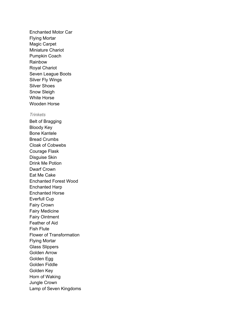Enchanted Motor Car Flying Mortar Magic Carpet Miniature Chariot Pumpkin Coach Rainbow Royal Chariot Seven League Boots Silver Fly Wings Silver Shoes Snow Sleigh White Horse Wooden Horse

#### *Trinkets*

Belt of Bragging Bloody Key Bone Kantele Bread Crumbs Cloak of Cobwebs Courage Flask Disguise Skin Drink Me Potion Dwarf Crown Eat Me Cake Enchanted Forest Wood Enchanted Harp Enchanted Horse Everfull Cup Fairy Crown Fairy Medicine Fairy Ointment Feather of Aid Fish Flute Flower of Transformation Flying Mortar Glass Slippers Golden Arrow Golden Egg Golden Fiddle Golden Key Horn of Waking Jungle Crown Lamp of Seven Kingdoms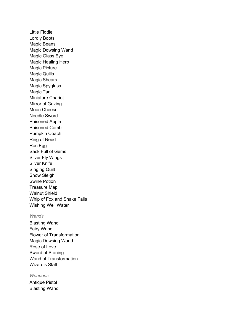Little Fiddle Lordly Boots Magic Beans Magic Dowsing Wand Magic Glass Eye Magic Healing Herb Magic Picture Magic Quills Magic Shears Magic Spyglass Magic Tar Miniature Chariot Mirror of Gazing Moon Cheese Needle Sword Poisoned Apple Poisoned Comb Pumpkin Coach Ring of Need Roc Egg Sack Full of Gems Silver Fly Wings Silver Knife Singing Quilt Snow Sleigh Swine Potion Treasure Map Walnut Shield Whip of Fox and Snake Tails Wishing Well Water

#### *Wands*

Blasting Wand Fairy Wand Flower of Transformation Magic Dowsing Wand Rose of Love Sword of Stoning Wand of Transformation Wizard's Staff

#### *Weapons*

Antique Pistol Blasting Wand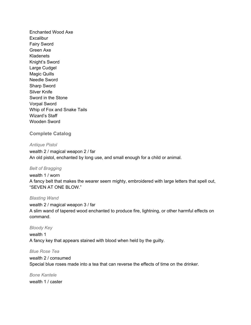Enchanted Wood Axe **Excalibur** Fairy Sword Green Axe **Kladenets** Knight's Sword Large Cudgel Magic Quills Needle Sword Sharp Sword Silver Knife Sword in the Stone Vorpal Sword Whip of Fox and Snake Tails Wizard's Staff Wooden Sword

#### **Complete Catalog**

*Antique Pistol* wealth 2 / magical weapon 2 / far An old pistol, enchanted by long use, and small enough for a child or animal.

#### *Belt of Bragging*

wealth 1 / worn A fancy belt that makes the wearer seem mighty, embroidered with large letters that spell out, "SEVEN AT ONE BLOW."

#### *Blasting Wand*

wealth 2 / magical weapon 3 / far A slim wand of tapered wood enchanted to produce fire, lightning, or other harmful effects on command.

#### *Bloody Key*

wealth 1 A fancy key that appears stained with blood when held by the guilty.

#### *Blue Rose Tea*

wealth 2 / consumed Special blue roses made into a tea that can reverse the effects of time on the drinker.

*Bone Kantele* wealth 1 / caster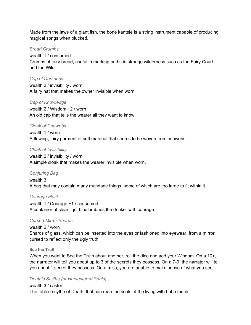Made from the jaws of a giant fish, the bone kantele is a string instrument capable of producing magical songs when plucked.

#### *Bread Crumbs*

wealth 1 / consumed Crumbs of fairy bread, useful in marking paths in strange wilderness such as the Fairy Court and the Wild.

*Cap of Darkness*

wealth 2 / invisibility / worn A fairy hat that makes the owner invisible when worn.

#### *Cap of Knowledge*

wealth 2 / Wisdom +2 / worn An old cap that tells the wearer all they want to know.

#### *Cloak of Cobwebs*

wealth 1 / worn A flowing, fairy garment of soft material that seems to be woven from cobwebs.

#### *Cloak of Invisibility*

wealth 2 / invisibility / worn A simple cloak that makes the wearer invisible when worn.

#### *Conjuring Bag*

wealth 3 A bag that may contain many mundane things, some of which are too large to fit within it.

#### *Courage Flask*

wealth 1 / Courage +1 / consumed A container of clear liquid that imbues the drinker with courage.

#### *Cursed Mirror Shards*

wealth 2 / worn Shards of glass, which can be inserted into the eyes or fashioned into eyewear, from a mirror cursed to reflect only the ugly truth

#### **See the Truth**

When you want to See the Truth about another, roll the dice and add your Wisdom. On a 10+, the narrator will tell you about up to 3 of the secrets they possess. On a 7-9, the narrator will tell you about 1 secret they possess. On a miss, you are unable to make sense of what you see.

#### *Death's Scythe (or Harvester of Souls)*

wealth 3 / caster The fabled scythe of Death, that can reap the souls of the living with but a touch.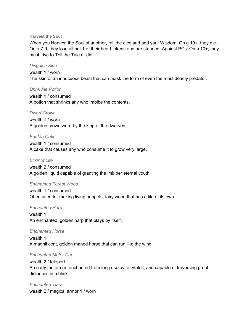#### **Harvest the Soul**

When you Harvest the Soul of another, roll the dice and add your Wisdom. On a 10+, they die. On a 7-9, they lose all but 1 of their heart tokens and are stunned. Against PCs: On a 10+, they must Live to Tell the Tale or die.

#### *Disguise Skin*

wealth 1 / worn The skin of an innocuous beast that can mask the form of even the most deadly predator.

#### *Drink Me Potion*

wealth 1 / consumed A potion that shrinks any who imbibe the contents.

#### *Dwarf Crown*

wealth 1 / worn A golden crown worn by the king of the dwarves.

#### *Eat Me Cake*

wealth 1 / consumed A cake that causes any who consume it to grow very large.

#### *Elixir of Life*

wealth 2 / consumed A golden liquid capable of granting the imbiber eternal youth.

#### *Enchanted Forest Wood*

wealth 1 / consumed Often used for making living puppets, fairy wood that has a life of its own.

#### *Enchanted Harp*

wealth 1 An enchanted, golden harp that plays by itself.

#### *Enchanted Horse*

wealth 1 A magnificent, golden maned horse that can run like the wind.

#### *Enchanted Motor Car*

wealth 2 / teleport An early motor car, enchanted from long use by fairytales, and capable of traversing great distances in a blink.

*Enchanted Tiara* wealth 2 / magical armor 1 / worn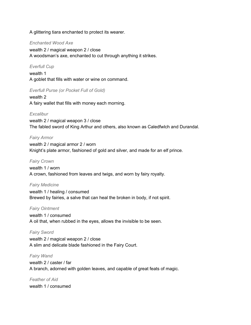A glittering tiara enchanted to protect its wearer.

#### *Enchanted Wood Axe*

wealth 2 / magical weapon 2 / close A woodsman's axe, enchanted to cut through anything it strikes.

#### *Everfull Cup*

wealth 1 A goblet that fills with water or wine on command.

#### *Everfull Purse (or Pocket Full of Gold)*

wealth 2 A fairy wallet that fills with money each morning.

#### *Excalibur*

wealth 2 / magical weapon 3 / close The fabled sword of King Arthur and others, also known as Caledfwlch and Durandal.

#### *Fairy Armor*

wealth 2 / magical armor 2 / worn Knight's plate armor, fashioned of gold and silver, and made for an elf prince.

#### *Fairy Crown*

wealth 1 / worn A crown, fashioned from leaves and twigs, and worn by fairy royalty.

#### *Fairy Medicine*

wealth 1 / healing / consumed Brewed by fairies, a salve that can heal the broken in body, if not spirit.

#### *Fairy Ointment*

wealth 1 / consumed A oil that, when rubbed in the eyes, allows the invisible to be seen.

#### *Fairy Sword*

wealth 2 / magical weapon 2 / close A slim and delicate blade fashioned in the Fairy Court.

#### *Fairy Wand*

wealth 2 / caster / far A branch, adorned with golden leaves, and capable of great feats of magic.

*Feather of Aid* wealth 1 / consumed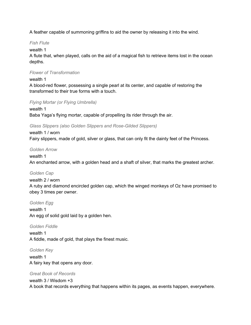A feather capable of summoning griffins to aid the owner by releasing it into the wind.

#### *Fish Flute*

#### wealth 1

A flute that, when played, calls on the aid of a magical fish to retrieve items lost in the ocean depths.

#### *Flower of Transformation*

#### wealth 1

A blood-red flower, possessing a single pearl at its center, and capable of restoring the transformed to their true forms with a touch.

#### *Flying Mortar (or Flying Umbrella)*

wealth 1 Baba Yaga's flying mortar, capable of propelling its rider through the air.

#### *Glass Slippers (also Golden Slippers and Rose-Gilded Slippers)*

wealth 1 / worn Fairy slippers, made of gold, silver or glass, that can only fit the dainty feet of the Princess.

#### *Golden Arrow*

#### wealth 1

An enchanted arrow, with a golden head and a shaft of silver, that marks the greatest archer.

#### *Golden Cap*

#### wealth 2 / worn

A ruby and diamond encircled golden cap, which the winged monkeys of Oz have promised to obey 3 times per owner.

#### *Golden Egg*

wealth 1 An egg of solid gold laid by a golden hen.

#### *Golden Fiddle*

wealth 1 A fiddle, made of gold, that plays the finest music.

#### *Golden Key*

wealth 1 A fairy key that opens any door.

#### *Great Book of Records*

#### wealth 3 / Wisdom +3

A book that records everything that happens within its pages, as events happen, everywhere.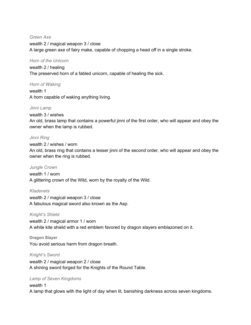*Green Axe* wealth 2 / magical weapon 3 / close A large green axe of fairy make, capable of chopping a head off in a single stroke.

#### *Horn of the Unicorn*

wealth 2 / healing The preserved horn of a fabled unicorn, capable of healing the sick.

#### *Horn of Waking*

wealth 1 A horn capable of waking anything living.

#### *Jinni Lamp*

wealth 3 / wishes An old, brass lamp that contains a powerful jinni of the first order, who will appear and obey the owner when the lamp is rubbed.

#### *Jinni Ring*

wealth 2 / wishes / worn

An old, brass ring that contains a lesser jinni of the second order, who will appear and obey the owner when the ring is rubbed.

#### *Jungle Crown*

wealth 1 / worn A glittering crown of the Wild, worn by the royalty of the Wild.

#### *Kladenets*

wealth 2 / magical weapon 3 / close A fabulous magical sword also known as the Asp.

#### *Knight's Shield*

wealth 2 / magical armor 1 / worn A white kite shield with a red emblem favored by dragon slayers emblazoned on it.

#### **Dragon Slayer**

You avoid serious harm from dragon breath.

#### *Knight's Sword*

wealth 2 / magical weapon 2 / close A shining sword forged for the Knights of the Round Table.

#### *Lamp of Seven Kingdoms*

#### wealth 1

A lamp that glows with the light of day when lit, banishing darkness across seven kingdoms.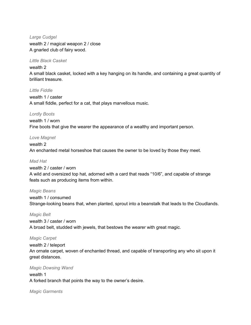*Large Cudgel* wealth 2 / magical weapon 2 / close A gnarled club of fairy wood.

#### *Little Black Casket*

#### wealth 2

A small black casket, locked with a key hanging on its handle, and containing a great quantity of brilliant treasure.

#### *Little Fiddle*

wealth 1 / caster A small fiddle, perfect for a cat, that plays marvellous music.

#### *Lordly Boots*

wealth 1 / worn Fine boots that give the wearer the appearance of a wealthy and important person.

#### *Love Magnet*

wealth 2 An enchanted metal horseshoe that causes the owner to be loved by those they meet.

#### *Mad Hat*

wealth 2 / caster / worn A wild and oversized top hat, adorned with a card that reads "10/6", and capable of strange feats such as producing items from within.

#### *Magic Beans*

wealth 1 / consumed Strange-looking beans that, when planted, sprout into a beanstalk that leads to the Cloudlands.

*Magic Belt* wealth 3 / caster / worn A broad belt, studded with jewels, that bestows the wearer with great magic.

#### *Magic Carpet*

wealth 2 / teleport An ornate carpet, woven of enchanted thread, and capable of transporting any who sit upon it great distances.

#### *Magic Dowsing Wand*

wealth 1 A forked branch that points the way to the owner's desire.

*Magic Garments*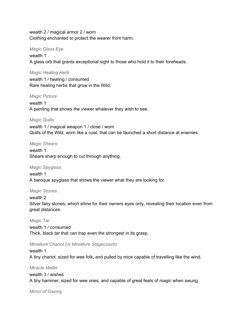wealth 2 / magical armor 2 / worn Clothing enchanted to protect the wearer from harm.

#### *Magic Glass Eye*

wealth 1 A glass orb that grants exceptional sight to those who hold it to their foreheads.

#### *Magic Healing Herb*

wealth 1 / healing / consumed Rare healing herbs that grow in the Wild.

#### *Magic Picture*

wealth 1 A painting that shows the viewer whatever they wish to see.

#### *Magic Quills*

wealth 1 / magical weapon 1 / close / worn Quills of the Wild, worn like a coat, that can be launched a short distance at enemies.

#### *Magic Shears*

wealth 1 Shears sharp enough to cut through anything.

#### *Magic Spyglass*

wealth 1 A baroque spyglass that shows the viewer what they are looking for.

#### *Magic Stones*

#### wealth 2

Silver fairy stones, which shine for their owners eyes only, revealing their location even from great distances.

#### *Magic Tar*

wealth 1 / consumed Thick, black tar that can trap even the strongest in its grasp.

#### *Miniature Chariot (or Miniature Stagecoach)*

#### wealth 1 A tiny chariot, sized for wee folk, and pulled by mice capable of travelling like the wind.

*Miracle Mallet* wealth 3 / wishes A tiny hammer, sized for wee ones, and capable of great feats of magic when swung.

*Mirror of Gazing*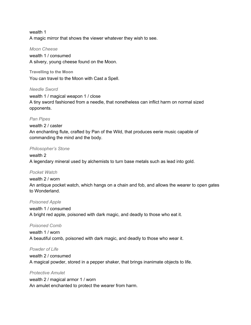wealth 1 A magic mirror that shows the viewer whatever they wish to see.

#### *Moon Cheese*

wealth 1 / consumed A silvery, young cheese found on the Moon.

**Travelling to the Moon** You can travel to the Moon with Cast a Spell.

#### *Needle Sword*

wealth 1 / magical weapon 1 / close A tiny sword fashioned from a needle, that nonetheless can inflict harm on normal sized opponents.

#### *Pan Pipes*

wealth 2 / caster An enchanting flute, crafted by Pan of the Wild, that produces eerie music capable of commanding the mind and the body.

#### *Philosopher's Stone*

wealth 2 A legendary mineral used by alchemists to turn base metals such as lead into gold.

#### *Pocket Watch*

wealth 2 / worn An antique pocket watch, which hangs on a chain and fob, and allows the wearer to open gates to Wonderland.

#### *Poisoned Apple*

wealth 1 / consumed A bright red apple, poisoned with dark magic, and deadly to those who eat it.

#### *Poisoned Comb*

wealth 1 / worn A beautiful comb, poisoned with dark magic, and deadly to those who wear it.

#### *Powder of Life*

wealth 2 / consumed A magical powder, stored in a pepper shaker, that brings inanimate objects to life.

#### *Protective Amulet*

wealth 2 / magical armor 1 / worn An amulet enchanted to protect the wearer from harm.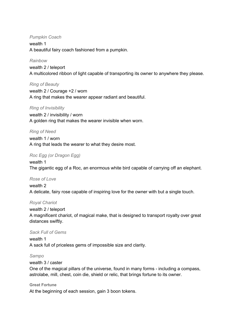#### *Pumpkin Coach*

wealth 1 A beautiful fairy coach fashioned from a pumpkin.

#### *Rainbow*

wealth 2 / teleport A multicolored ribbon of light capable of transporting its owner to anywhere they please.

#### *Ring of Beauty*

wealth 2 / Courage +2 / worn A ring that makes the wearer appear radiant and beautiful.

#### *Ring of Invisibility*

wealth 2 / invisibility / worn A golden ring that makes the wearer invisible when worn.

#### *Ring of Need*

wealth 1 / worn A ring that leads the wearer to what they desire most.

#### *Roc Egg (or Dragon Egg)*

wealth 1 The gigantic egg of a Roc, an enormous white bird capable of carrying off an elephant.

#### *Rose of Love*

wealth 2 A delicate, fairy rose capable of inspiring love for the owner with but a single touch.

#### *Royal Chariot*

# wealth 2 / teleport

A magnificent chariot, of magical make, that is designed to transport royalty over great distances swiftly.

#### *Sack Full of Gems*

wealth 1 A sack full of priceless gems of impossible size and clarity.

#### *Sampo*

#### wealth 3 / caster

One of the magical pillars of the universe, found in many forms - including a compass, astrolabe, mill, chest, coin die, shield or relic, that brings fortune to its owner.

#### **Great Fortune**

At the beginning of each session, gain 3 boon tokens.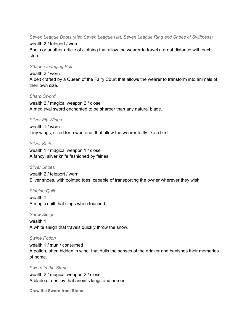*Seven League Boots (also Seven League Hat, Seven League Ring and Shoes of Swiftness)*

#### wealth 2 / teleport / worn

Boots or another article of clothing that allow the wearer to travel a great distance with each step.

#### *Shape-Changing Belt*

#### wealth 2 / worn

A belt crafted by a Queen of the Fairy Court that allows the wearer to transform into animals of their own size.

#### *Sharp Sword*

wealth 2 / magical weapon 2 / close A medieval sword enchanted to be sharper than any natural blade.

#### *Silver Fly Wings*

wealth 1 / worn Tiny wings, sized for a wee one, that allow the wearer to fly like a bird.

#### *Silver Knife*

wealth 1 / magical weapon 1 / close A fancy, silver knife fashioned by fairies.

#### *Silver Shoes*

wealth 2 / teleport / worn Silver shoes, with pointed toes, capable of transporting the owner wherever they wish.

#### *Singing Quilt*

wealth 1 A magic quilt that sings when touched.

*Snow Sleigh* wealth 1 A white sleigh that travels quickly throw the snow.

#### *Swine Potion*

wealth 1 / stun / consumed A potion, often hidden in wine, that dulls the senses of the drinker and banishes their memories of home.

#### *Sword in the Stone*

wealth 2 / magical weapon 2 / close A blade of destiny that anoints kings and heroes.

**Draw the Sword from Stone**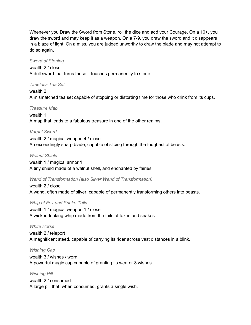Whenever you Draw the Sword from Stone, roll the dice and add your Courage. On a 10+, you draw the sword and may keep it as a weapon. On a 7-9, you draw the sword and it disappears in a blaze of light. On a miss, you are judged unworthy to draw the blade and may not attempt to do so again.

#### *Sword of Stoning*

#### wealth 2 / close

A dull sword that turns those it touches permanently to stone.

#### *Timeless Tea Set*

wealth 2 A mismatched tea set capable of stopping or distorting time for those who drink from its cups.

#### *Treasure Map*

wealth 1 A map that leads to a fabulous treasure in one of the other realms.

#### *Vorpal Sword*

wealth 2 / magical weapon 4 / close An exceedingly sharp blade, capable of slicing through the toughest of beasts.

#### *Walnut Shield*

wealth 1 / magical armor 1 A tiny shield made of a walnut shell, and enchanted by fairies.

#### *Wand of Transformation (also Silver Wand of Transformation)*

wealth 2 / close A wand, often made of silver, capable of permanently transforming others into beasts.

#### *Whip of Fox and Snake Tails*

wealth 1 / magical weapon 1 / close A wicked-looking whip made from the tails of foxes and snakes.

#### *White Horse*

wealth 2 / teleport A magnificent steed, capable of carrying its rider across vast distances in a blink.

#### *Wishing Cap*

wealth 3 / wishes / worn A powerful magic cap capable of granting its wearer 3 wishes.

#### *Wishing Pill*

wealth 2 / consumed A large pill that, when consumed, grants a single wish.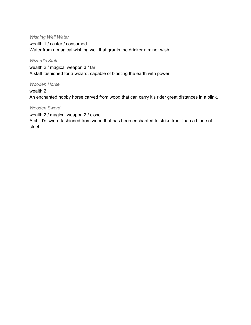#### *Wishing Well Water*

wealth 1 / caster / consumed Water from a magical wishing well that grants the drinker a minor wish.

#### *Wizard's Staff*

wealth 2 / magical weapon 3 / far A staff fashioned for a wizard, capable of blasting the earth with power.

#### *Wooden Horse*

wealth 2

An enchanted hobby horse carved from wood that can carry it's rider great distances in a blink.

#### *Wooden Sword*

wealth 2 / magical weapon 2 / close

A child's sword fashioned from wood that has been enchanted to strike truer than a blade of steel.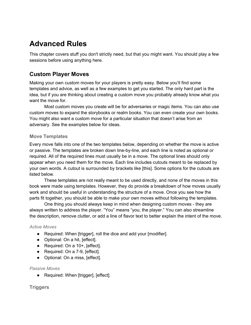# **Advanced Rules**

This chapter covers stuff you don't strictly need, but that you might want. You should play a few sessions before using anything here.

## **Custom Player Moves**

Making your own custom moves for your players is pretty easy. Below you'll find some templates and advice, as well as a few examples to get you started. The only hard part is the idea, but if you are thinking about creating a custom move you probably already know what you want the move for.

Most custom moves you create will be for adversaries or magic items. You can also use custom moves to expand the storybooks or realm books. You can even create your own books. You might also want a custom move for a particular situation that doesn't arise from an adversary. See the examples below for ideas.

#### **Move Templates**

Every move falls into one of the two templates below, depending on whether the move is active or passive. The templates are broken down line-by-line, and each line is noted as optional or required. All of the required lines must usually be in a move. The optional lines should only appear when you need them for the move. Each line includes cutouts meant to be replaced by your own words. A cutout is surrounded by brackets like [this]. Some options for the cutouts are listed below.

These templates are not really meant to be used directly, and none of the moves in this book were made using templates. However, they do provide a breakdown of how moves usually work and should be useful in understanding the structure of a move. Once you see how the parts fit together, you should be able to make your own moves without following the templates.

One thing you should always keep in mind when designing custom moves - they are always written to address the player. "You" means "you, the player." You can also streamline the description, remove clutter, or add a line of flavor text to better explain the intent of the move.

#### *Active Moves*

- Required: When [trigger], roll the dice and add your [modifier].
- Optional: On a hit, [effect].
- Required: On a 10+, [effect].
- Required: On a 7-9, [effect].
- Optional: On a miss, [effect].

#### *Passive Moves*

● Required: When [trigger], [effect].

### **Triggers**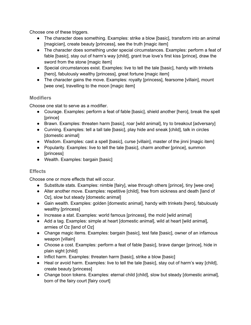Choose one of these triggers.

- The character does something. Examples: strike a blow [basic], transform into an animal [magician], create beauty [princess], see the truth [magic item]
- The character does something under special circumstances. Examples: perform a feat of fable [basic], stay out of harm's way [child], grant true love's first kiss [prince], draw the sword from the stone [magic item]
- Special circumstances exist. Examples: live to tell the tale [basic], handy with trinkets [hero], fabulously wealthy [princess], great fortune [magic item]
- The character gains the move. Examples: royalty [princess], fearsome [villain], mount [wee one], travelling to the moon [magic item]

## **Modifiers**

Choose one stat to serve as a modifier.

- Courage. Examples: perform a feat of fable [basic], shield another [hero], break the spell [prince]
- Brawn. Examples: threaten harm [basic], roar [wild animal], try to breakout [adversary]
- Cunning. Examples: tell a tall tale [basic], play hide and sneak [child], talk in circles [domestic animal]
- Wisdom. Examples: cast a spell [basic], curse [villain], master of the jinni [magic item]
- Popularity. Examples: live to tell the tale [basic], charm another [prince], summon [princess]
- Wealth. Examples: bargain [basic]

# **Effects**

Choose one or more effects that will occur.

- Substitute stats. Examples: nimble [fairy], wise through others [prince], tiny [wee one]
- Alter another move. Examples: repetitive [child], free from sickness and death [land of Oz], slow but steady [domestic animal]
- Gain wealth. Examples: golden [domestic animal], handy with trinkets [hero], fabulously wealthy [princess]
- Increase a stat. Examples: world famous [princess], the mold [wild animal]
- Add a tag. Examples: simple at heart [domestic animal], wild at heart [wild animal], armies of Oz [land of Oz]
- Change magic items. Examples: bargain [basic], test fate [basic], owner of an infamous weapon [villain]
- Choose a cost. Examples: perform a feat of fable [basic], brave danger [prince], hide in plain sight [child]
- Inflict harm. Examples: threaten harm [basic], strike a blow [basic]
- Heal or avoid harm. Examples: live to tell the tale [basic], stay out of harm's way [child], create beauty [princess]
- Change boon tokens. Examples: eternal child [child], slow but steady [domestic animal], born of the fairy court [fairy court]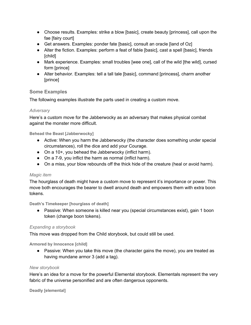- Choose results. Examples: strike a blow [basic], create beauty [princess], call upon the fae [fairy court]
- Get answers. Examples: ponder fate [basic], consult an oracle [land of Oz]
- Alter the fiction. Examples: perform a feat of fable [basic], cast a spell [basic], friends [child]
- Mark experience. Examples: small troubles [wee one], call of the wild [the wild], cursed form [prince]
- Alter behavior. Examples: tell a tall tale [basic], command [princess], charm another [prince]

### **Some Examples**

The following examples illustrate the parts used in creating a custom move.

### *Adversary*

Here's a custom move for the Jabberwocky as an adversary that makes physical combat against the monster more difficult.

**Behead the Beast [Jabberwocky]**

- Active: When you harm the Jabberwocky (the character does something under special circumstances), roll the dice and add your Courage.
- On a 10+, you behead the Jabberwocky (inflict harm).
- On a 7-9, you inflict the harm as normal (inflict harm).
- On a miss, your blow rebounds off the thick hide of the creature (heal or avoid harm).

### *Magic item*

The hourglass of death might have a custom move to represent it's importance or power. This move both encourages the bearer to dwell around death and empowers them with extra boon tokens.

**Death's Timekeeper [hourglass of death]**

● Passive: When someone is killed near you (special circumstances exist), gain 1 boon token (change boon tokens).

### *Expanding a storybook*

This move was dropped from the Child storybook, but could still be used.

**Armored by Innocence [child]**

• Passive: When you take this move (the character gains the move), you are treated as having mundane armor 3 (add a tag).

#### *New storybook*

Here's an idea for a move for the powerful Elemental storybook. Elementals represent the very fabric of the universe personified and are often dangerous opponents.

**Deadly [elemental]**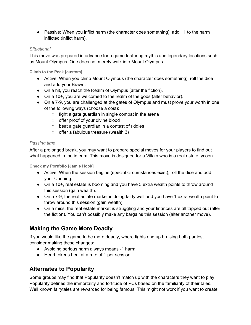• Passive: When you inflict harm (the character does something), add +1 to the harm inflicted (inflict harm).

### *Situational*

This move was prepared in advance for a game featuring mythic and legendary locations such as Mount Olympus. One does not merely walk into Mount Olympus.

**Climb to the Peak [custom]**

- Active: When you climb Mount Olympus (the character does something), roll the dice and add your Brawn.
- On a hit, you reach the Realm of Olympus (alter the fiction).
- On a 10+, you are welcomed to the realm of the gods (alter behavior).
- On a 7-9, you are challenged at the gates of Olympus and must prove your worth in one of the following ways (choose a cost):
	- $\circ$  fight a gate guardian in single combat in the arena
	- offer proof of your divine blood
	- beat a gate guardian in a contest of riddles
	- offer a fabulous treasure (wealth 3)

## *Passing time*

After a prolonged break, you may want to prepare special moves for your players to find out what happened in the interim. This move is designed for a Villain who is a real estate tycoon.

**Check my Portfolio [Jamie Hook]**

- Active: When the session begins (special circumstances exist), roll the dice and add your Cunning.
- On a 10+, real estate is booming and you have 3 extra wealth points to throw around this session (gain wealth).
- On a 7-9, the real estate market is doing fairly well and you have 1 extra wealth point to throw around this session (gain wealth).
- On a miss, the real estate market is struggling and your finances are all tapped out (alter the fiction). You can't possibly make any bargains this session (alter another move).

# **Making the Game More Deadly**

If you would like the game to be more deadly, where fights end up bruising both parties, consider making these changes:

- Avoiding serious harm always means -1 harm.
- Heart tokens heal at a rate of 1 per session.

# **Alternates to Popularity**

Some groups may find that Popularity doesn't match up with the characters they want to play. Popularity defines the immortality and fortitude of PCs based on the familiarity of their tales. Well known fairytales are rewarded for being famous. This might not work if you want to create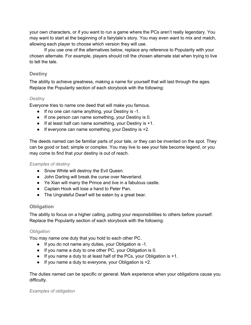your own characters, or if you want to run a game where the PCs aren't really legendary. You may want to start at the beginning of a fairytale's story. You may even want to mix and match, allowing each player to choose which version they will use.

If you use one of the alternatives below, replace any reference to Popularity with your chosen alternate. For example, players should roll the chosen alternate stat when trying to live to tell the tale.

### **Destiny**

The ability to achieve greatness, making a name for yourself that will last through the ages. Replace the Popularity section of each storybook with the following:

### *Destiny*

Everyone tries to name one deed that will make you famous.

- If no one can name anything, your Destiny is -1.
- If one person can name something, your Destiny is 0.
- If at least half can name something, your Destiny is +1.
- If everyone can name something, your Destiny is +2.

The deeds named can be familiar parts of your tale, or they can be invented on the spot. They can be good or bad; simple or complex. You may live to see your fate become legend, or you may come to find that your destiny is out of reach.

### *Examples of destiny*

- Snow White will destroy the Evil Queen.
- John Darling will break the curse over Neverland.
- Ye Xian will marry the Prince and live in a fabulous castle.
- Captain Hook will lose a hand to Peter Pan.
- The Ungrateful Dwarf will be eaten by a great bear.

## **Obligation**

The ability to focus on a higher calling, putting your responsibilities to others before yourself. Replace the Popularity section of each storybook with the following:

### *Obligation*

You may name one duty that you hold to each other PC.

- If you do not name any duties, your Obligation is -1.
- If you name a duty to one other PC, your Obligation is 0.
- If you name a duty to at least half of the PCs, your Obligation is +1.
- If you name a duty to everyone, your Obligation is +2.

The duties named can be specific or general. Mark experience when your obligations cause you difficulty.

### *Examples of obligation*